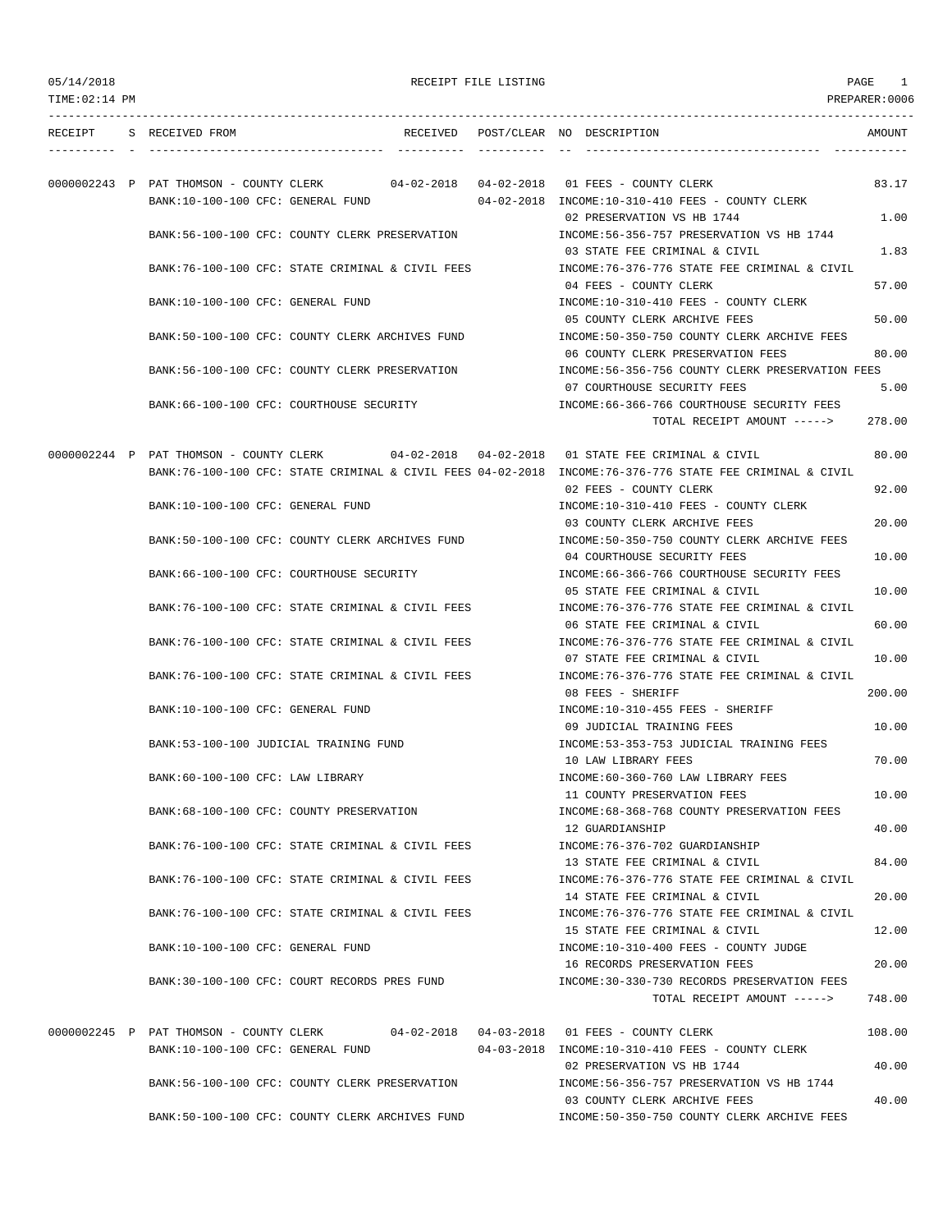| 05/14/2018<br>$TIME: 02:14$ PM |                                           |                                                                                      | RECEIPT FILE LISTING |                                                                                                                                                                                                         | PAGE<br>-1<br>PREPARER: 0006 |
|--------------------------------|-------------------------------------------|--------------------------------------------------------------------------------------|----------------------|---------------------------------------------------------------------------------------------------------------------------------------------------------------------------------------------------------|------------------------------|
|                                | RECEIPT S RECEIVED FROM                   |                                                                                      |                      | RECEIVED POST/CLEAR NO DESCRIPTION                                                                                                                                                                      | AMOUNT                       |
|                                | BANK:10-100-100 CFC: GENERAL FUND         | 0000002243 P PAT THOMSON - COUNTY CLERK 04-02-2018 04-02-2018 01 FEES - COUNTY CLERK |                      | 04-02-2018 INCOME:10-310-410 FEES - COUNTY CLERK<br>02 PRESERVATION VS HB 1744                                                                                                                          | 83.17<br>1.00                |
|                                |                                           | BANK:56-100-100 CFC: COUNTY CLERK PRESERVATION                                       |                      | INCOME: 56-356-757 PRESERVATION VS HB 1744<br>03 STATE FEE CRIMINAL & CIVIL                                                                                                                             | 1.83                         |
|                                |                                           | BANK:76-100-100 CFC: STATE CRIMINAL & CIVIL FEES                                     |                      | INCOME:76-376-776 STATE FEE CRIMINAL & CIVIL<br>04 FEES - COUNTY CLERK                                                                                                                                  | 57.00                        |
|                                | BANK:10-100-100 CFC: GENERAL FUND         |                                                                                      |                      | INCOME:10-310-410 FEES - COUNTY CLERK<br>05 COUNTY CLERK ARCHIVE FEES                                                                                                                                   | 50.00                        |
|                                |                                           | BANK:50-100-100 CFC: COUNTY CLERK ARCHIVES FUND                                      |                      | INCOME:50-350-750 COUNTY CLERK ARCHIVE FEES<br>06 COUNTY CLERK PRESERVATION FEES                                                                                                                        | 80.00                        |
|                                |                                           | BANK:56-100-100 CFC: COUNTY CLERK PRESERVATION                                       |                      | INCOME:56-356-756 COUNTY CLERK PRESERVATION FEES<br>07 COURTHOUSE SECURITY FEES                                                                                                                         | 5.00                         |
|                                | BANK: 66-100-100 CFC: COURTHOUSE SECURITY |                                                                                      |                      | INCOME:66-366-766 COURTHOUSE SECURITY FEES<br>TOTAL RECEIPT AMOUNT ----->                                                                                                                               | 278.00                       |
|                                |                                           |                                                                                      |                      | 0000002244 P PAT THOMSON - COUNTY CLERK 04-02-2018 04-02-2018 01 STATE FEE CRIMINAL & CIVIL<br>BANK:76-100-100 CFC: STATE CRIMINAL & CIVIL FEES 04-02-2018 INCOME:76-376-776 STATE FEE CRIMINAL & CIVIL | 80.00                        |
|                                | BANK:10-100-100 CFC: GENERAL FUND         |                                                                                      |                      | 02 FEES - COUNTY CLERK<br>INCOME:10-310-410 FEES - COUNTY CLERK                                                                                                                                         | 92.00                        |
|                                |                                           | BANK:50-100-100 CFC: COUNTY CLERK ARCHIVES FUND                                      |                      | 03 COUNTY CLERK ARCHIVE FEES<br>INCOME:50-350-750 COUNTY CLERK ARCHIVE FEES                                                                                                                             | 20.00                        |
|                                | BANK: 66-100-100 CFC: COURTHOUSE SECURITY |                                                                                      |                      | 04 COURTHOUSE SECURITY FEES<br>INCOME: 66-366-766 COURTHOUSE SECURITY FEES                                                                                                                              | 10.00                        |
|                                |                                           | BANK:76-100-100 CFC: STATE CRIMINAL & CIVIL FEES                                     |                      | 05 STATE FEE CRIMINAL & CIVIL<br>INCOME:76-376-776 STATE FEE CRIMINAL & CIVIL                                                                                                                           | 10.00<br>60.00               |
|                                |                                           | BANK:76-100-100 CFC: STATE CRIMINAL & CIVIL FEES                                     |                      | 06 STATE FEE CRIMINAL & CIVIL<br>INCOME:76-376-776 STATE FEE CRIMINAL & CIVIL<br>07 STATE FEE CRIMINAL & CIVIL                                                                                          | 10.00                        |
|                                |                                           | BANK:76-100-100 CFC: STATE CRIMINAL & CIVIL FEES                                     |                      | INCOME: 76-376-776 STATE FEE CRIMINAL & CIVIL<br>08 FEES - SHERIFF                                                                                                                                      | 200.00                       |
|                                | BANK:10-100-100 CFC: GENERAL FUND         |                                                                                      |                      | INCOME:10-310-455 FEES - SHERIFF<br>09 JUDICIAL TRAINING FEES                                                                                                                                           | 10.00                        |
|                                | BANK: 53-100-100 JUDICIAL TRAINING FUND   |                                                                                      |                      | INCOME: 53-353-753 JUDICIAL TRAINING FEES<br>10 LAW LIBRARY FEES                                                                                                                                        | 70.00                        |
|                                | BANK:60-100-100 CFC: LAW LIBRARY          |                                                                                      |                      | INCOME: 60-360-760 LAW LIBRARY FEES<br>11 COUNTY PRESERVATION FEES                                                                                                                                      | 10.00                        |
|                                | BANK:68-100-100 CFC: COUNTY PRESERVATION  |                                                                                      |                      | INCOME: 68-368-768 COUNTY PRESERVATION FEES<br>12 GUARDIANSHIP                                                                                                                                          | 40.00                        |
|                                |                                           | BANK: 76-100-100 CFC: STATE CRIMINAL & CIVIL FEES                                    |                      | INCOME: 76-376-702 GUARDIANSHIP<br>13 STATE FEE CRIMINAL & CIVIL                                                                                                                                        | 84.00                        |
|                                |                                           | BANK:76-100-100 CFC: STATE CRIMINAL & CIVIL FEES                                     |                      | INCOME: 76-376-776 STATE FEE CRIMINAL & CIVIL<br>14 STATE FEE CRIMINAL & CIVIL                                                                                                                          | 20.00                        |
|                                |                                           | BANK: 76-100-100 CFC: STATE CRIMINAL & CIVIL FEES                                    |                      | INCOME: 76-376-776 STATE FEE CRIMINAL & CIVIL<br>15 STATE FEE CRIMINAL & CIVIL                                                                                                                          | 12.00                        |
|                                | BANK:10-100-100 CFC: GENERAL FUND         |                                                                                      |                      | INCOME:10-310-400 FEES - COUNTY JUDGE<br>16 RECORDS PRESERVATION FEES                                                                                                                                   | 20.00                        |
|                                |                                           | BANK:30-100-100 CFC: COURT RECORDS PRES FUND                                         |                      | INCOME: 30-330-730 RECORDS PRESERVATION FEES<br>TOTAL RECEIPT AMOUNT ----->                                                                                                                             | 748.00                       |
|                                |                                           | 0000002245 P PAT THOMSON - COUNTY CLERK 04-02-2018 04-03-2018 01 FEES - COUNTY CLERK |                      |                                                                                                                                                                                                         | 108.00                       |
|                                | BANK:10-100-100 CFC: GENERAL FUND         | BANK:56-100-100 CFC: COUNTY CLERK PRESERVATION                                       |                      | 04-03-2018 INCOME:10-310-410 FEES - COUNTY CLERK<br>02 PRESERVATION VS HB 1744<br>INCOME: 56-356-757 PRESERVATION VS HB 1744                                                                            | 40.00                        |
|                                |                                           | BANK:50-100-100 CFC: COUNTY CLERK ARCHIVES FUND                                      |                      | 03 COUNTY CLERK ARCHIVE FEES<br>INCOME: 50-350-750 COUNTY CLERK ARCHIVE FEES                                                                                                                            | 40.00                        |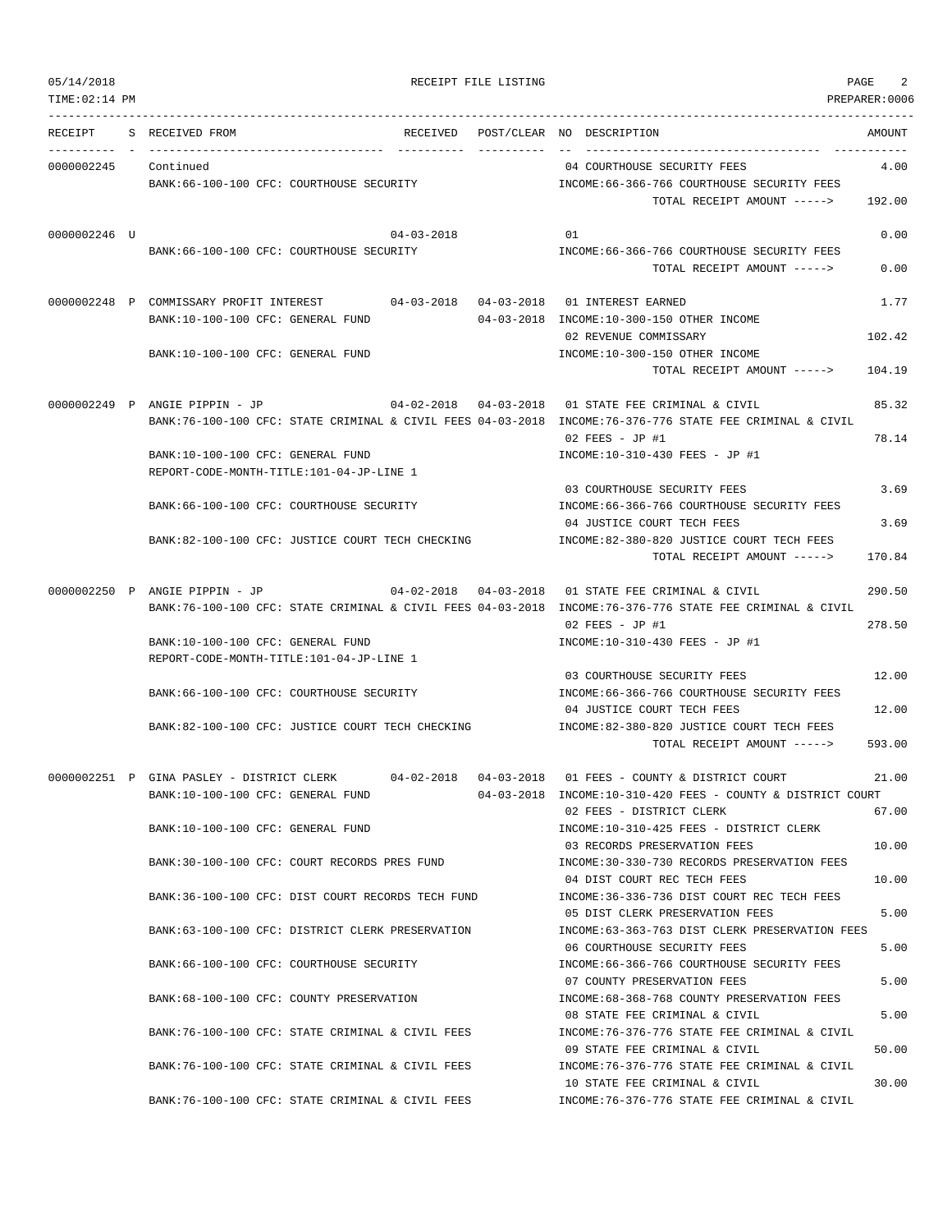|  | 05/14/2018 |  |
|--|------------|--|
|  |            |  |

| 05/14/2018           | RECEIPT FILE LISTING                                                                                                | PAGE                                                                                                                                                           | 2                |
|----------------------|---------------------------------------------------------------------------------------------------------------------|----------------------------------------------------------------------------------------------------------------------------------------------------------------|------------------|
| TIME: 02:14 PM       |                                                                                                                     |                                                                                                                                                                | PREPARER:0006    |
|                      | RECEIPT S RECEIVED FROM                                                                                             | RECEIVED POST/CLEAR NO DESCRIPTION                                                                                                                             | AMOUNT           |
| 0000002245 Continued | BANK:66-100-100 CFC: COURTHOUSE SECURITY                                                                            | 04 COURTHOUSE SECURITY FEES<br>INCOME: 66-366-766 COURTHOUSE SECURITY FEES<br>TOTAL RECEIPT AMOUNT -----> 192.00                                               | 4.00             |
| 0000002246 U         | $04 - 03 - 2018$<br>BANK: 66-100-100 CFC: COURTHOUSE SECURITY                                                       | 01<br>INCOME: 66-366-766 COURTHOUSE SECURITY FEES<br>TOTAL RECEIPT AMOUNT ----->                                                                               | 0.00<br>0.00     |
|                      | 0000002248 P COMMISSARY PROFIT INTEREST<br>BANK:10-100-100 CFC: GENERAL FUND                                        | 04-03-2018  04-03-2018  01 INTEREST EARNED<br>04-03-2018 INCOME:10-300-150 OTHER INCOME                                                                        | 1.77             |
|                      | BANK:10-100-100 CFC: GENERAL FUND                                                                                   | 02 REVENUE COMMISSARY<br>INCOME:10-300-150 OTHER INCOME<br>TOTAL RECEIPT AMOUNT ----->                                                                         | 102.42<br>104.19 |
|                      | 0000002249 P ANGIE PIPPIN - JP                                                                                      | 01 STATE FEE CRIMINAL & CIVIL<br>BANK:76-100-100 CFC: STATE CRIMINAL & CIVIL FEES 04-03-2018 INCOME:76-376-776 STATE FEE CRIMINAL & CIVIL<br>$02$ FEES - JP #1 | 85.32<br>78.14   |
|                      | BANK:10-100-100 CFC: GENERAL FUND<br>REPORT-CODE-MONTH-TITLE:101-04-JP-LINE 1                                       | INCOME:10-310-430 FEES - JP #1                                                                                                                                 |                  |
|                      | BANK: 66-100-100 CFC: COURTHOUSE SECURITY                                                                           | 03 COURTHOUSE SECURITY FEES<br>INCOME: 66-366-766 COURTHOUSE SECURITY FEES                                                                                     | 3.69             |
|                      | BANK:82-100-100 CFC: JUSTICE COURT TECH CHECKING                                                                    | 04 JUSTICE COURT TECH FEES<br>INCOME:82-380-820 JUSTICE COURT TECH FEES<br>TOTAL RECEIPT AMOUNT ----->                                                         | 3.69<br>170.84   |
|                      | 04-02-2018 04-03-2018<br>0000002250 P ANGIE PIPPIN - JP                                                             | 01 STATE FEE CRIMINAL & CIVIL<br>BANK:76-100-100 CFC: STATE CRIMINAL & CIVIL FEES 04-03-2018 INCOME:76-376-776 STATE FEE CRIMINAL & CIVIL<br>$02$ FEES - JP #1 | 290.50<br>278.50 |
|                      | BANK:10-100-100 CFC: GENERAL FUND<br>REPORT-CODE-MONTH-TITLE:101-04-JP-LINE 1                                       | INCOME:10-310-430 FEES - JP #1                                                                                                                                 |                  |
|                      | BANK: 66-100-100 CFC: COURTHOUSE SECURITY                                                                           | 03 COURTHOUSE SECURITY FEES<br>INCOME: 66-366-766 COURTHOUSE SECURITY FEES<br>04 JUSTICE COURT TECH FEES                                                       | 12.00<br>12.00   |
|                      | BANK:82-100-100 CFC: JUSTICE COURT TECH CHECKING                                                                    | INCOME:82-380-820 JUSTICE COURT TECH FEES<br>TOTAL RECEIPT AMOUNT ----->                                                                                       | 593.00           |
|                      | 0000002251 P GINA PASLEY - DISTRICT CLERK<br>$04 - 02 - 2018$ $04 - 03 - 2018$<br>BANK:10-100-100 CFC: GENERAL FUND | 01 FEES - COUNTY & DISTRICT COURT<br>04-03-2018 INCOME:10-310-420 FEES - COUNTY & DISTRICT COURT<br>02 FEES - DISTRICT CLERK                                   | 21.00<br>67.00   |
|                      | BANK:10-100-100 CFC: GENERAL FUND                                                                                   | INCOME:10-310-425 FEES - DISTRICT CLERK<br>03 RECORDS PRESERVATION FEES                                                                                        | 10.00            |
|                      | BANK:30-100-100 CFC: COURT RECORDS PRES FUND                                                                        | INCOME: 30-330-730 RECORDS PRESERVATION FEES<br>04 DIST COURT REC TECH FEES                                                                                    | 10.00            |
|                      | BANK:36-100-100 CFC: DIST COURT RECORDS TECH FUND<br>BANK:63-100-100 CFC: DISTRICT CLERK PRESERVATION               | INCOME: 36-336-736 DIST COURT REC TECH FEES<br>05 DIST CLERK PRESERVATION FEES<br>INCOME: 63-363-763 DIST CLERK PRESERVATION FEES                              | 5.00             |
|                      | BANK: 66-100-100 CFC: COURTHOUSE SECURITY                                                                           | 06 COURTHOUSE SECURITY FEES<br>INCOME: 66-366-766 COURTHOUSE SECURITY FEES                                                                                     | 5.00             |
|                      | BANK: 68-100-100 CFC: COUNTY PRESERVATION                                                                           | 07 COUNTY PRESERVATION FEES<br>INCOME: 68-368-768 COUNTY PRESERVATION FEES                                                                                     | 5.00             |
|                      | BANK:76-100-100 CFC: STATE CRIMINAL & CIVIL FEES                                                                    | 08 STATE FEE CRIMINAL & CIVIL<br>INCOME:76-376-776 STATE FEE CRIMINAL & CIVIL                                                                                  | 5.00             |
|                      | BANK:76-100-100 CFC: STATE CRIMINAL & CIVIL FEES                                                                    | 09 STATE FEE CRIMINAL & CIVIL<br>INCOME: 76-376-776 STATE FEE CRIMINAL & CIVIL<br>10 STATE FEE CRIMINAL & CIVIL                                                | 50.00<br>30.00   |

BANK:76-100-100 CFC: STATE CRIMINAL & CIVIL FEES INCOME:76-376-776 STATE FEE CRIMINAL & CIVIL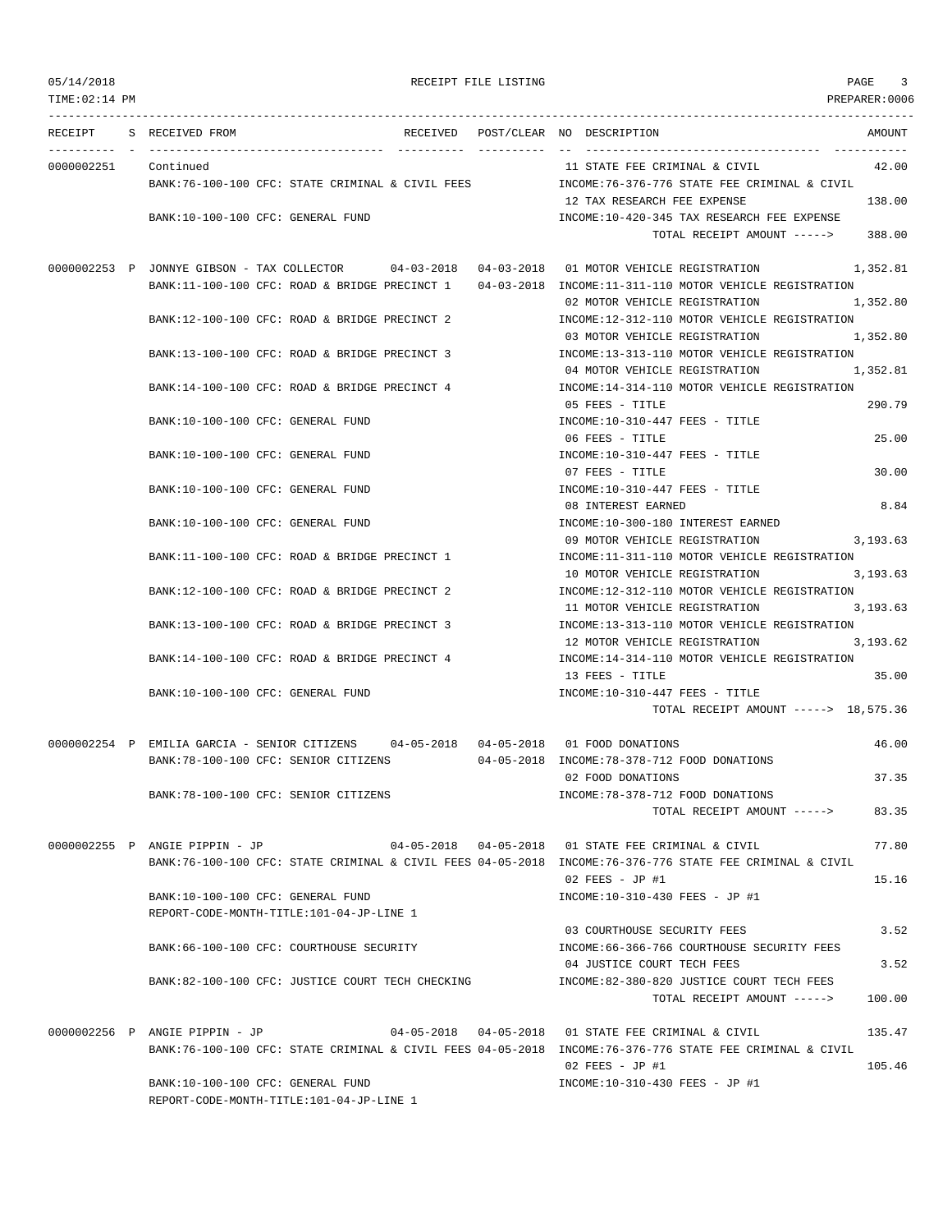| 05/14/2018 |  |
|------------|--|
|------------|--|

RECEIPT FILE LISTING **EXECUTE A SECURE 2** 2

TIME:02:14 PM PREPARER:0006 --------------------------------------------------------------------------------------------------------------------------------- RECEIPT S RECEIVED FROM THE RECEIVED POST/CLEAR NO DESCRIPTION THE RECEIVED AMOUNT ---------- - ----------------------------------- ---------- ---------- -- ----------------------------------- ----------- 0000002251 Continued 11 STATE FEE CRIMINAL & CIVIL 42.00 BANK:76-100-100 CFC: STATE CRIMINAL & CIVIL FEES INCOME:76-376-776 STATE FEE CRIMINAL & CIVIL 12 TAX RESEARCH FEE EXPENSE 138.00 BANK:10-100-100 CFC: GENERAL FUND INCOME:10-420-345 TAX RESEARCH FEE EXPENSE TOTAL RECEIPT AMOUNT -----> 388.00 0000002253 P JONNYE GIBSON - TAX COLLECTOR 04-03-2018 04-03-2018 01 MOTOR VEHICLE REGISTRATION 1,352.81 BANK:11-100-100 CFC: ROAD & BRIDGE PRECINCT 1 04-03-2018 INCOME:11-311-110 MOTOR VEHICLE REGISTRATION 02 MOTOR VEHICLE REGISTRATION 1,352.80 BANK:12-100-100 CFC: ROAD & BRIDGE PRECINCT 2 INCOME:12-312-110 MOTOR VEHICLE REGISTRATION 03 MOTOR VEHICLE REGISTRATION 1,352.80 BANK:13-100-100 CFC: ROAD & BRIDGE PRECINCT 3 INCOME:13-313-110 MOTOR VEHICLE REGISTRATION 04 MOTOR VEHICLE REGISTRATION 1,352.81 BANK:14-100-100 CFC: ROAD & BRIDGE PRECINCT 4 INCOME:14-314-110 MOTOR VEHICLE REGISTRATION 05 FEES - TITLE 290.79 BANK:10-100-100 CFC: GENERAL FUND INCOME:10-310-447 FEES - TITLE 06 FEES - TITLE 25.00 BANK:10-100-100 CFC: GENERAL FUND INCOME:10-310-447 FEES - TITLE 07 FEES - TITLE 30.00 BANK:10-100-100 CFC: GENERAL FUND INCOME:10-310-447 FEES - TITLE 08 INTEREST EARNED 8.84 BANK:10-100-100 CFC: GENERAL FUND INCOME:10-300-180 INTEREST EARNED 09 MOTOR VEHICLE REGISTRATION 3,193.63 BANK:11-100-100 CFC: ROAD & BRIDGE PRECINCT 1 INCOME:11-311-110 MOTOR VEHICLE REGISTRATION 10 MOTOR VEHICLE REGISTRATION 3,193.63 BANK:12-100-100 CFC: ROAD & BRIDGE PRECINCT 2 INCOME:12-312-110 MOTOR VEHICLE REGISTRATION 11 MOTOR VEHICLE REGISTRATION 3.193.63 BANK:13-100-100 CFC: ROAD & BRIDGE PRECINCT 3 INCOME:13-313-110 MOTOR VEHICLE REGISTRATION 12 MOTOR VEHICLE REGISTRATION 3,193.62 BANK:14-100-100 CFC: ROAD & BRIDGE PRECINCT 4 INCOME:14-314-110 MOTOR VEHICLE REGISTRATION 13 FEES - TITLE 35.00 BANK:10-100-100 CFC: GENERAL FUND INCOME:10-310-447 FEES - TITLE TOTAL RECEIPT AMOUNT -----> 18,575.36 0000002254 P EMILIA GARCIA - SENIOR CITIZENS 04-05-2018 04-05-2018 01 FOOD DONATIONS 46.00 BANK:78-100-100 CFC: SENIOR CITIZENS 04-05-2018 INCOME:78-378-712 FOOD DONATIONS 02 FOOD DONATIONS 37.35 BANK:78-100-100 CFC: SENIOR CITIZENS INCOME:78-378-712 FOOD DONATIONS TOTAL RECEIPT AMOUNT -----> 83.35 0000002255 P ANGIE PIPPIN - JP 04-05-2018 04-05-2018 01 STATE FEE CRIMINAL & CIVIL 77.80 BANK:76-100-100 CFC: STATE CRIMINAL & CIVIL FEES 04-05-2018 INCOME:76-376-776 STATE FEE CRIMINAL & CIVIL 02 FEES - JP #1 15.16 BANK:10-100-100 CFC: GENERAL FUND INCOME:10-310-430 FEES - JP #1 REPORT-CODE-MONTH-TITLE:101-04-JP-LINE 1 03 COURTHOUSE SECURITY FEES 3.52 BANK:66-100-100 CFC: COURTHOUSE SECURITY INCOME:66-366-766 COURTHOUSE SECURITY FEES 04 JUSTICE COURT TECH FEES 3.52 BANK:82-100-100 CFC: JUSTICE COURT TECH CHECKING INCOME:82-380-820 JUSTICE COURT TECH FEES TOTAL RECEIPT AMOUNT -----> 100.00 0000002256 P ANGIE PIPPIN - JP 04-05-2018 04-05-2018 01 STATE FEE CRIMINAL & CIVIL 135.47 BANK:76-100-100 CFC: STATE CRIMINAL & CIVIL FEES 04-05-2018 INCOME:76-376-776 STATE FEE CRIMINAL & CIVIL  $0.2$  FEES - JP #1 105.46 BANK:10-100-100 CFC: GENERAL FUND INCOME:10-310-430 FEES - JP #1

REPORT-CODE-MONTH-TITLE:101-04-JP-LINE 1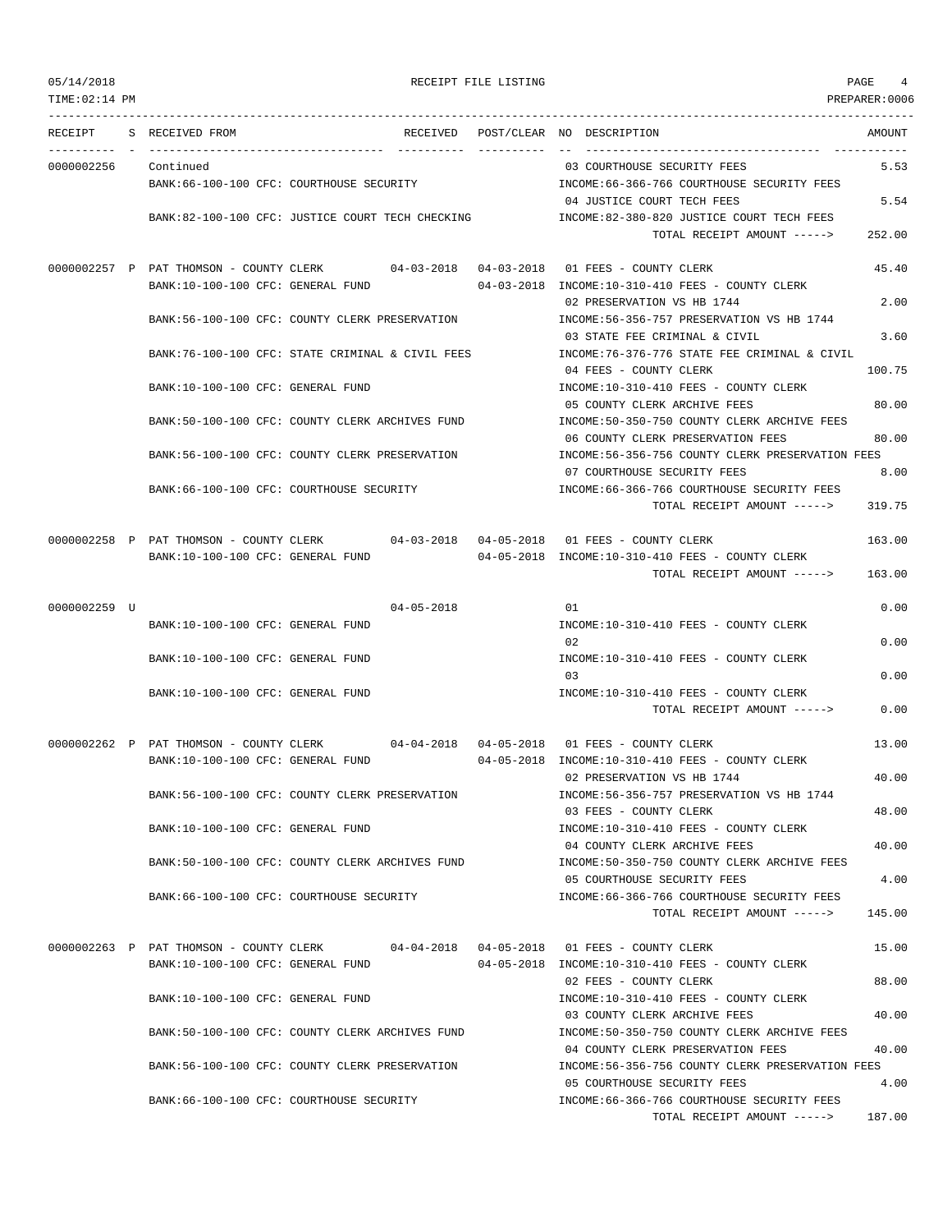| 05/14/2018<br>TIME: 02:14 PM |                                          |                                                                                      | RECEIPT FILE LISTING |                                                                                  | PAGE<br>4<br>PREPARER:0006 |
|------------------------------|------------------------------------------|--------------------------------------------------------------------------------------|----------------------|----------------------------------------------------------------------------------|----------------------------|
| RECEIPT                      | S RECEIVED FROM                          | RECEIVED                                                                             | -----------          | POST/CLEAR NO DESCRIPTION                                                        | AMOUNT<br>------------     |
| 0000002256                   | Continued                                |                                                                                      |                      | 03 COURTHOUSE SECURITY FEES                                                      | 5.53                       |
|                              |                                          | BANK:66-100-100 CFC: COURTHOUSE SECURITY                                             |                      | INCOME:66-366-766 COURTHOUSE SECURITY FEES                                       |                            |
|                              |                                          |                                                                                      |                      | 04 JUSTICE COURT TECH FEES                                                       | 5.54                       |
|                              |                                          | BANK:82-100-100 CFC: JUSTICE COURT TECH CHECKING                                     |                      | INCOME:82-380-820 JUSTICE COURT TECH FEES                                        |                            |
|                              |                                          |                                                                                      |                      | TOTAL RECEIPT AMOUNT ----->                                                      | 252.00                     |
|                              |                                          | 0000002257 P PAT THOMSON - COUNTY CLERK 04-03-2018 04-03-2018 01 FEES - COUNTY CLERK |                      |                                                                                  | 45.40                      |
|                              | BANK:10-100-100 CFC: GENERAL FUND        |                                                                                      |                      | 04-03-2018 INCOME:10-310-410 FEES - COUNTY CLERK                                 |                            |
|                              |                                          |                                                                                      |                      | 02 PRESERVATION VS HB 1744                                                       | 2.00                       |
|                              |                                          | BANK:56-100-100 CFC: COUNTY CLERK PRESERVATION                                       |                      | INCOME: 56-356-757 PRESERVATION VS HB 1744                                       |                            |
|                              |                                          |                                                                                      |                      | 03 STATE FEE CRIMINAL & CIVIL                                                    | 3.60                       |
|                              |                                          | BANK:76-100-100 CFC: STATE CRIMINAL & CIVIL FEES                                     |                      | INCOME: 76-376-776 STATE FEE CRIMINAL & CIVIL                                    |                            |
|                              |                                          |                                                                                      |                      | 04 FEES - COUNTY CLERK                                                           | 100.75                     |
|                              | BANK:10-100-100 CFC: GENERAL FUND        |                                                                                      |                      | INCOME:10-310-410 FEES - COUNTY CLERK                                            |                            |
|                              |                                          |                                                                                      |                      | 05 COUNTY CLERK ARCHIVE FEES                                                     | 80.00                      |
|                              |                                          | BANK:50-100-100 CFC: COUNTY CLERK ARCHIVES FUND                                      |                      | INCOME:50-350-750 COUNTY CLERK ARCHIVE FEES<br>06 COUNTY CLERK PRESERVATION FEES | 80.00                      |
|                              |                                          | BANK:56-100-100 CFC: COUNTY CLERK PRESERVATION                                       |                      | INCOME: 56-356-756 COUNTY CLERK PRESERVATION FEES                                |                            |
|                              |                                          |                                                                                      |                      | 07 COURTHOUSE SECURITY FEES                                                      | 8.00                       |
|                              |                                          | BANK:66-100-100 CFC: COURTHOUSE SECURITY                                             |                      | INCOME: 66-366-766 COURTHOUSE SECURITY FEES                                      |                            |
|                              |                                          |                                                                                      |                      | TOTAL RECEIPT AMOUNT ----->                                                      | 319.75                     |
|                              |                                          | 0000002258 P PAT THOMSON - COUNTY CLERK 04-03-2018 04-05-2018 01 FEES - COUNTY CLERK |                      |                                                                                  | 163.00                     |
|                              | BANK:10-100-100 CFC: GENERAL FUND        |                                                                                      |                      | $04-05-2018$ INCOME:10-310-410 FEES - COUNTY CLERK                               |                            |
|                              |                                          |                                                                                      |                      | TOTAL RECEIPT AMOUNT ----->                                                      | 163.00                     |
| 0000002259 U                 |                                          | $04 - 05 - 2018$                                                                     |                      | 01                                                                               | 0.00                       |
|                              | BANK:10-100-100 CFC: GENERAL FUND        |                                                                                      |                      | INCOME:10-310-410 FEES - COUNTY CLERK                                            |                            |
|                              |                                          |                                                                                      |                      | 02                                                                               | 0.00                       |
|                              | BANK:10-100-100 CFC: GENERAL FUND        |                                                                                      |                      | INCOME:10-310-410 FEES - COUNTY CLERK                                            |                            |
|                              |                                          |                                                                                      |                      | 03                                                                               | 0.00                       |
|                              | BANK:10-100-100 CFC: GENERAL FUND        |                                                                                      |                      | INCOME:10-310-410 FEES - COUNTY CLERK                                            |                            |
|                              |                                          |                                                                                      |                      | TOTAL RECEIPT AMOUNT ----->                                                      | 0.00                       |
|                              | 0000002262 P PAT THOMSON - COUNTY CLERK  |                                                                                      |                      |                                                                                  | 13.00                      |
|                              | BANK:10-100-100 CFC: GENERAL FUND        |                                                                                      |                      | 04-05-2018 INCOME:10-310-410 FEES - COUNTY CLERK                                 |                            |
|                              |                                          |                                                                                      |                      | 02 PRESERVATION VS HB 1744                                                       | 40.00                      |
|                              |                                          | BANK:56-100-100 CFC: COUNTY CLERK PRESERVATION                                       |                      | INCOME: 56-356-757 PRESERVATION VS HB 1744                                       |                            |
|                              |                                          |                                                                                      |                      | 03 FEES - COUNTY CLERK                                                           | 48.00                      |
|                              | BANK:10-100-100 CFC: GENERAL FUND        |                                                                                      |                      | INCOME:10-310-410 FEES - COUNTY CLERK                                            |                            |
|                              |                                          |                                                                                      |                      | 04 COUNTY CLERK ARCHIVE FEES                                                     | 40.00                      |
|                              |                                          | BANK:50-100-100 CFC: COUNTY CLERK ARCHIVES FUND                                      |                      | INCOME:50-350-750 COUNTY CLERK ARCHIVE FEES                                      |                            |
|                              |                                          |                                                                                      |                      | 05 COURTHOUSE SECURITY FEES                                                      | 4.00                       |
|                              | BANK:66-100-100 CFC: COURTHOUSE SECURITY |                                                                                      |                      | INCOME: 66-366-766 COURTHOUSE SECURITY FEES                                      |                            |

0000002263 P PAT THOMSON - COUNTY CLERK 04-04-2018 04-05-2018 01 FEES - COUNTY CLERK 15.00 BANK:10-100-100 CFC: GENERAL FUND 04-05-2018 INCOME:10-310-410 FEES - COUNTY CLERK 02 FEES - COUNTY CLERK 88.00 BANK:10-100-100 CFC: GENERAL FUND INCOME:10-310-410 FEES - COUNTY CLERK 03 COUNTY CLERK ARCHIVE FEES 40.00 BANK:50-100-100 CFC: COUNTY CLERK ARCHIVES FUND INCOME:50-350-750 COUNTY CLERK ARCHIVE FEES 04 COUNTY CLERK PRESERVATION FEES 40.00 BANK:56-100-100 CFC: COUNTY CLERK PRESERVATION INCOME:56-356-756 COUNTY CLERK PRESERVATION FEES 05 COURTHOUSE SECURITY FEES 4.00 BANK:66-100-100 CFC: COURTHOUSE SECURITY INCOME:66-366-766 COURTHOUSE SECURITY FEES TOTAL RECEIPT AMOUNT -----> 187.00

TOTAL RECEIPT AMOUNT -----> 145.00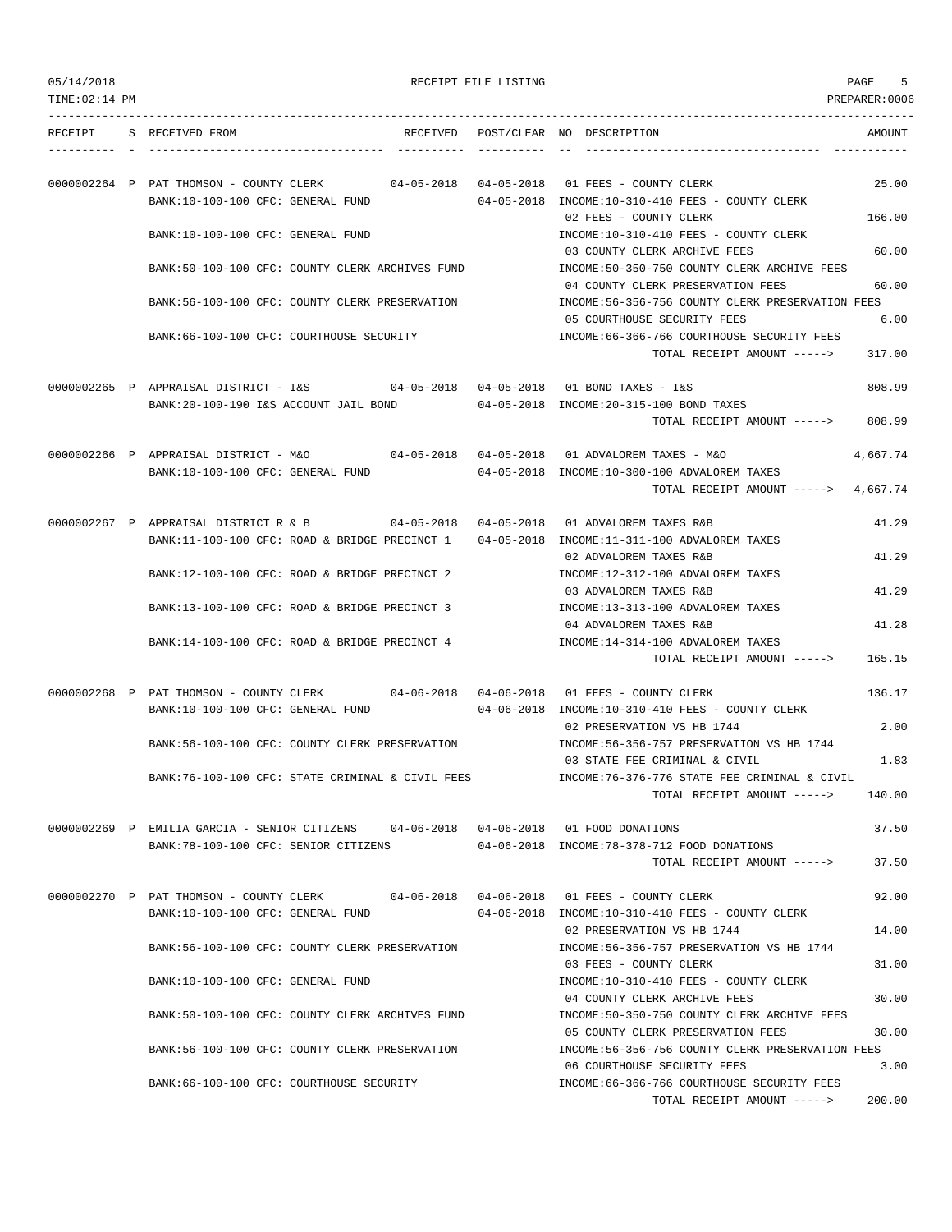| 05/14/2018 |  |
|------------|--|
|            |  |

RECEIPT FILE LISTING **EXECUTE A SECURE 4** SPAGE 5

TOTAL RECEIPT AMOUNT -----> 200.00

TIME:02:14 PM PREPARER:0006 --------------------------------------------------------------------------------------------------------------------------------- RECEIPT S RECEIVED FROM THE RECEIVED POST/CLEAR NO DESCRIPTION THE RECEIVED AMOUNT ---------- - ----------------------------------- ---------- ---------- -- ----------------------------------- ----------- 0000002264 P PAT THOMSON - COUNTY CLERK 04-05-2018 04-05-2018 01 FEES - COUNTY CLERK 25.00 BANK:10-100-100 CFC: GENERAL FUND 04-05-2018 INCOME:10-310-410 FEES - COUNTY CLERK 02 FEES - COUNTY CLERK 166.00 BANK:10-100-100 CFC: GENERAL FUND INCOME:10-310-410 FEES - COUNTY CLERK 03 COUNTY CLERK ARCHIVE FEES 60.00 BANK:50-100-100 CFC: COUNTY CLERK ARCHIVES FUND INCOME:50-350-750 COUNTY CLERK ARCHIVE FEES 04 COUNTY CLERK PRESERVATION FEES 60.00 BANK:56-100-100 CFC: COUNTY CLERK PRESERVATION INCOME:56-356-756 COUNTY CLERK PRESERVATION FEES 05 COURTHOUSE SECURITY FEES 6.00 BANK:66-100-100 CFC: COURTHOUSE SECURITY INCOME:66-366-766 COURTHOUSE SECURITY FEES TOTAL RECEIPT AMOUNT -----> 317.00 0000002265 P APPRAISAL DISTRICT - I&S 04-05-2018 04-05-2018 01 BOND TAXES - I&S 808.99 BANK:20-100-190 I&S ACCOUNT JAIL BOND 04-05-2018 INCOME:20-315-100 BOND TAXES TOTAL RECEIPT AMOUNT -----> 808.99 0000002266 P APPRAISAL DISTRICT - M&O 04-05-2018 04-05-2018 01 ADVALOREM TAXES - M&O 4,667.74 BANK:10-100-100 CFC: GENERAL FUND 04-05-2018 INCOME:10-300-100 ADVALOREM TAXES TOTAL RECEIPT AMOUNT -----> 4,667.74 0000002267 P APPRAISAL DISTRICT R & B 04-05-2018 04-05-2018 01 ADVALOREM TAXES R&B 41.29 BANK:11-100-100 CFC: ROAD & BRIDGE PRECINCT 1 04-05-2018 INCOME:11-311-100 ADVALOREM TAXES 02 ADVALOREM TAXES R&B 41.29 BANK:12-100-100 CFC: ROAD & BRIDGE PRECINCT 2 INCOME:12-312-100 ADVALOREM TAXES 03 ADVALOREM TAXES R&B 41.29 BANK:13-100-100 CFC: ROAD & BRIDGE PRECINCT 3 INCOME:13-313-100 ADVALOREM TAXES 04 ADVALOREM TAXES R&B 41.28 BANK:14-100-100 CFC: ROAD & BRIDGE PRECINCT 4 INCOME:14-314-100 ADVALOREM TAXES TOTAL RECEIPT AMOUNT -----> 165.15 0000002268 P PAT THOMSON - COUNTY CLERK 04-06-2018 04-06-2018 01 FEES - COUNTY CLERK 136.17 BANK:10-100-100 CFC: GENERAL FUND 04-06-2018 INCOME:10-310-410 FEES - COUNTY CLERK 02 PRESERVATION VS HB 1744 2.00 BANK:56-100-100 CFC: COUNTY CLERK PRESERVATION INCOME:56-356-757 PRESERVATION VS HB 1744 03 STATE FEE CRIMINAL & CIVIL 1.83 BANK:76-100-100 CFC: STATE CRIMINAL & CIVIL FEES INCOME:76-376-776 STATE FEE CRIMINAL & CIVIL TOTAL RECEIPT AMOUNT -----> 140.00 0000002269 P EMILIA GARCIA - SENIOR CITIZENS 04-06-2018 04-06-2018 01 FOOD DONATIONS 37.50 BANK:78-100-100 CFC: SENIOR CITIZENS 04-06-2018 INCOME:78-378-712 FOOD DONATIONS TOTAL RECEIPT AMOUNT -----> 37.50 0000002270 P PAT THOMSON - COUNTY CLERK 04-06-2018 04-06-2018 01 FEES - COUNTY CLERK 92.00 BANK:10-100-100 CFC: GENERAL FUND 04-06-2018 INCOME:10-310-410 FEES - COUNTY CLERK 02 PRESERVATION VS HB 1744 14.00 BANK:56-100-100 CFC: COUNTY CLERK PRESERVATION INCOME:56-356-757 PRESERVATION VS HB 1744 03 FEES - COUNTY CLERK 31.00 BANK:10-100-100 CFC: GENERAL FUND SALL RESOLUTIONS:10-310-410 FEES - COUNTY CLERK 04 COUNTY CLERK ARCHIVE FEES 30.00 BANK:50-100-100 CFC: COUNTY CLERK ARCHIVES FUND INCOME:50-350-750 COUNTY CLERK ARCHIVE FEES 05 COUNTY CLERK PRESERVATION FEES 30.00 BANK:56-100-100 CFC: COUNTY CLERK PRESERVATION INCOME:56-356-756 COUNTY CLERK PRESERVATION FEES 06 COURTHOUSE SECURITY FEES 3.00 BANK:66-100-100 CFC: COURTHOUSE SECURITY INCOME:66-366-766 COURTHOUSE SECURITY FEES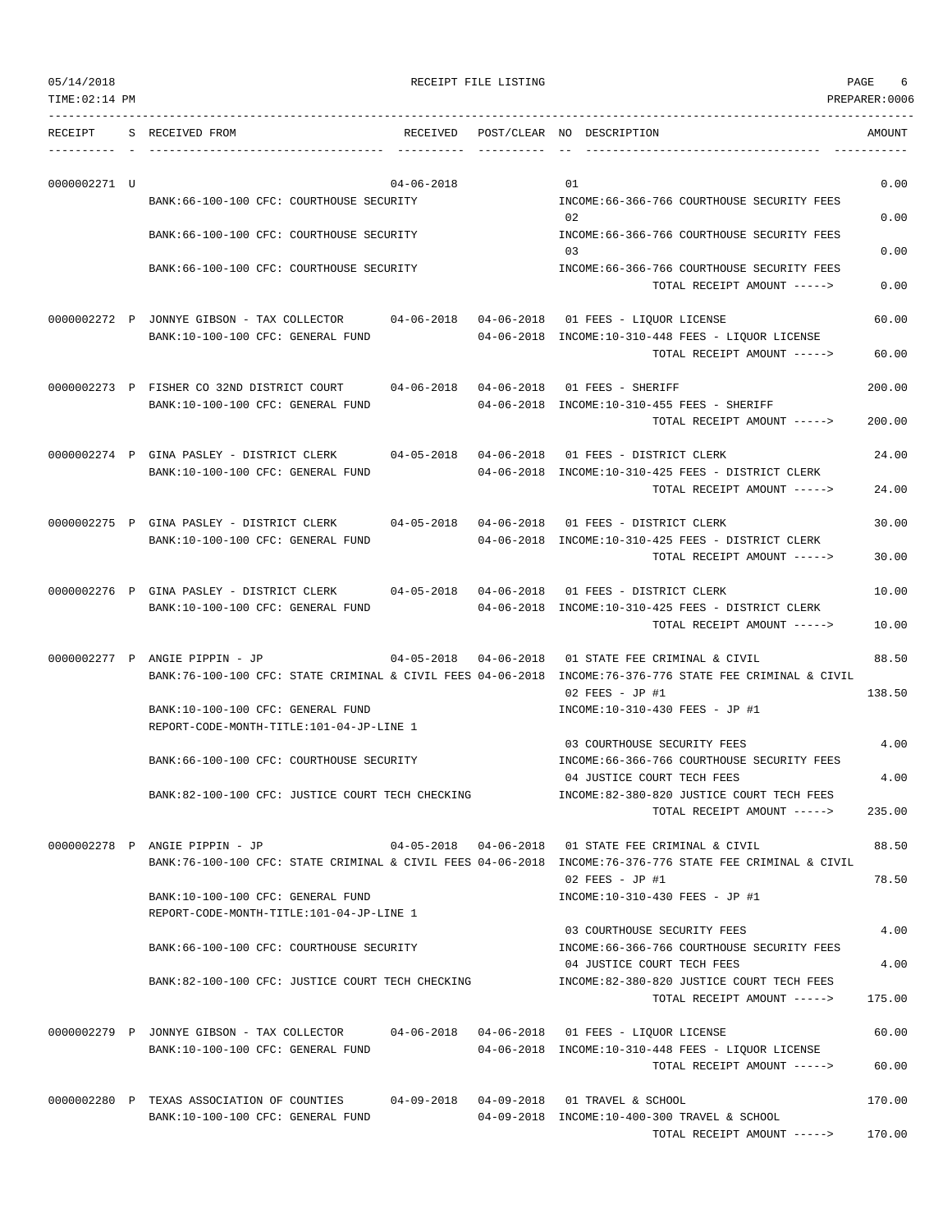| 05/14/2018 | RECEIPT FILE LISTING | PAGE |
|------------|----------------------|------|
|------------|----------------------|------|

TOTAL RECEIPT AMOUNT -----> 170.00

TIME:02:14 PM PREPARER:0006 --------------------------------------------------------------------------------------------------------------------------------- RECEIPT S RECEIVED FROM THE RECEIVED POST/CLEAR NO DESCRIPTION THE RECEIVED AMOUNT ---------- - ----------------------------------- ---------- ---------- -- ----------------------------------- -----------  $0000002271$  U 0.00 BANK:66-100-100 CFC: COURTHOUSE SECURITY INCOME:66-366-766 COURTHOUSE SECURITY FEES 02 0.00 BANK:66-100-100 CFC: COURTHOUSE SECURITY INCOME:66-366-766 COURTHOUSE SECURITY FEES 03 0.00 BANK:66-100-100 CFC: COURTHOUSE SECURITY INCOME:66-366-766 COURTHOUSE SECURITY FEES TOTAL RECEIPT AMOUNT -----> 0.00 0000002272 P JONNYE GIBSON - TAX COLLECTOR 04-06-2018 04-06-2018 01 FEES - LIQUOR LICENSE 60.00 BANK:10-100-100 CFC: GENERAL FUND 04-06-2018 INCOME:10-310-448 FEES - LIQUOR LICENSE TOTAL RECEIPT AMOUNT -----> 60.00 0000002273 P FISHER CO 32ND DISTRICT COURT 04-06-2018 04-06-2018 01 FEES - SHERIFF 200.00 BANK:10-100-100 CFC: GENERAL FUND 04-06-2018 INCOME:10-310-455 FEES - SHERIFF TOTAL RECEIPT AMOUNT -----> 200.00 0000002274 P GINA PASLEY - DISTRICT CLERK 04-05-2018 04-06-2018 01 FEES - DISTRICT CLERK 24.00 BANK:10-100-100 CFC: GENERAL FUND 04-06-2018 INCOME:10-310-425 FEES - DISTRICT CLERK TOTAL RECEIPT AMOUNT -----> 24.00 0000002275 P GINA PASLEY - DISTRICT CLERK 04-05-2018 04-06-2018 01 FEES - DISTRICT CLERK 30.00 BANK:10-100-100 CFC: GENERAL FUND 04-06-2018 INCOME:10-310-425 FEES - DISTRICT CLERK TOTAL RECEIPT AMOUNT -----> 30.00 0000002276 P GINA PASLEY - DISTRICT CLERK 04-05-2018 04-06-2018 01 FEES - DISTRICT CLERK 10.00 BANK:10-100-100 CFC: GENERAL FUND 04-06-2018 INCOME:10-310-425 FEES - DISTRICT CLERK TOTAL RECEIPT AMOUNT -----> 10.00 0000002277 P ANGIE PIPPIN - JP 04-05-2018 04-06-2018 01 STATE FEE CRIMINAL & CIVIL 88.50 BANK:76-100-100 CFC: STATE CRIMINAL & CIVIL FEES 04-06-2018 INCOME:76-376-776 STATE FEE CRIMINAL & CIVIL 02 FEES - JP #1 138.50 BANK:10-100-100 CFC: GENERAL FUND INCOME:10-310-430 FEES - JP #1 REPORT-CODE-MONTH-TITLE:101-04-JP-LINE 1 03 COURTHOUSE SECURITY FEES 4.00 BANK:66-100-100 CFC: COURTHOUSE SECURITY INCOME:66-366-766 COURTHOUSE SECURITY FEES 04 JUSTICE COURT TECH FEES 4.00 BANK:82-100-100 CFC: JUSTICE COURT TECH CHECKING INCOME:82-380-820 JUSTICE COURT TECH FEES TOTAL RECEIPT AMOUNT -----> 235.00 0000002278 P ANGIE PIPPIN - JP 04-05-2018 04-06-2018 01 STATE FEE CRIMINAL & CIVIL 88.50 BANK:76-100-100 CFC: STATE CRIMINAL & CIVIL FEES 04-06-2018 INCOME:76-376-776 STATE FEE CRIMINAL & CIVIL 02 FEES - JP #1 78.50 BANK:10-100-100 CFC: GENERAL FUND INCOME:10-310-430 FEES - JP #1 REPORT-CODE-MONTH-TITLE:101-04-JP-LINE 1 03 COURTHOUSE SECURITY FEES 4.00 BANK:66-100-100 CFC: COURTHOUSE SECURITY INCOME:66-366-766 COURTHOUSE SECURITY FEES 04 JUSTICE COURT TECH FEES 4.00 BANK:82-100-100 CFC: JUSTICE COURT TECH CHECKING INCOME:82-380-820 JUSTICE COURT TECH FEES TOTAL RECEIPT AMOUNT -----> 175.00 0000002279 P JONNYE GIBSON - TAX COLLECTOR 04-06-2018 04-06-2018 01 FEES - LIQUOR LICENSE 60.00 BANK:10-100-100 CFC: GENERAL FUND 04-06-2018 INCOME:10-310-448 FEES - LIQUOR LICENSE TOTAL RECEIPT AMOUNT -----> 60.00 0000002280 P TEXAS ASSOCIATION OF COUNTIES 04-09-2018 04-09-2018 01 TRAVEL & SCHOOL 170.00 BANK:10-100-100 CFC: GENERAL FUND 04-09-2018 INCOME:10-400-300 TRAVEL & SCHOOL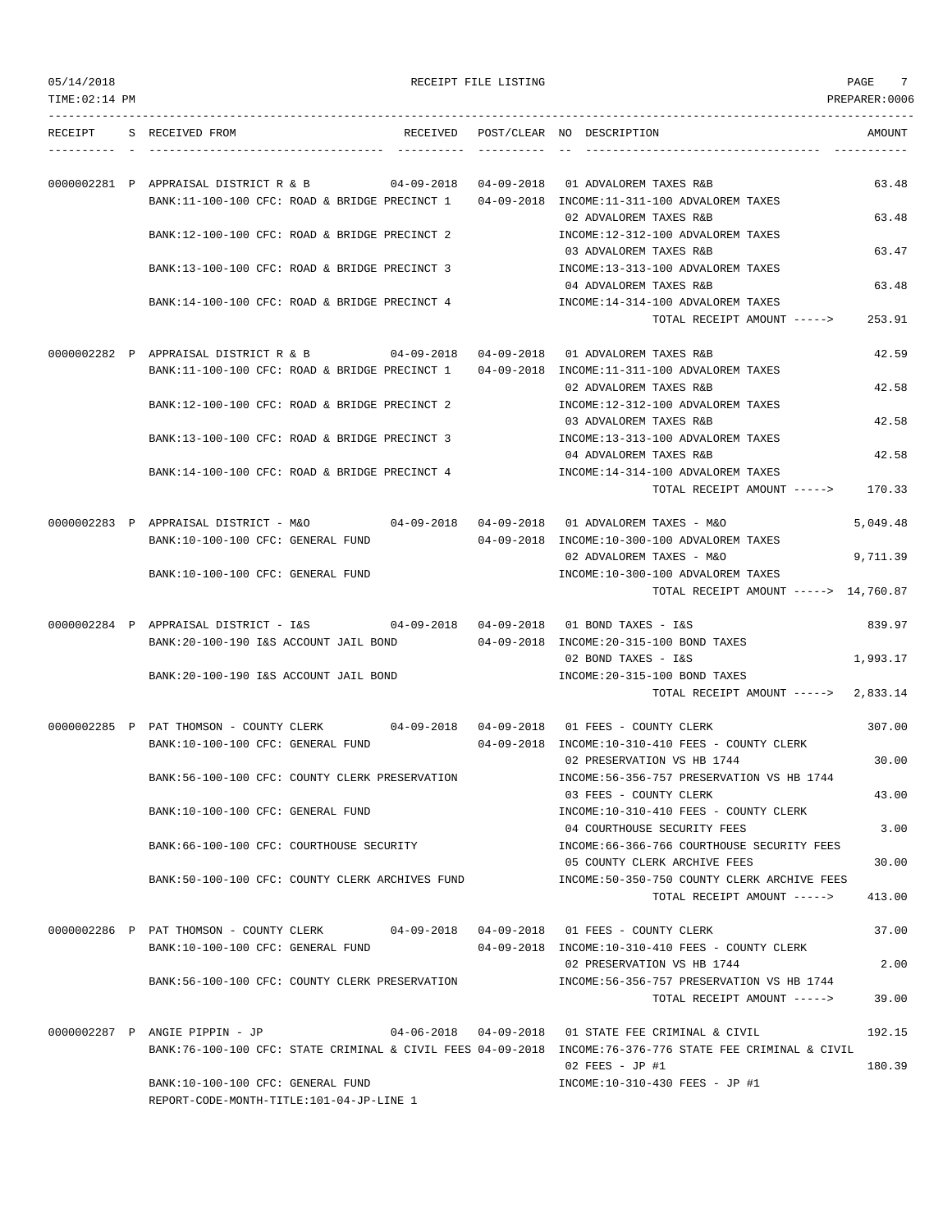| TIME: 02:14 PM |                                                                                        |                       |                                                                                                                               | PREPARER: 0006 |
|----------------|----------------------------------------------------------------------------------------|-----------------------|-------------------------------------------------------------------------------------------------------------------------------|----------------|
|                | RECEIPT S RECEIVED FROM                                                                |                       | RECEIVED POST/CLEAR NO DESCRIPTION                                                                                            | AMOUNT         |
|                | 0000002281 P APPRAISAL DISTRICT R & B<br>BANK:11-100-100 CFC: ROAD & BRIDGE PRECINCT 1 | 04-09-2018 04-09-2018 | 01 ADVALOREM TAXES R&B<br>04-09-2018 INCOME:11-311-100 ADVALOREM TAXES                                                        | 63.48          |
|                | BANK:12-100-100 CFC: ROAD & BRIDGE PRECINCT 2                                          |                       | 02 ADVALOREM TAXES R&B<br>INCOME:12-312-100 ADVALOREM TAXES                                                                   | 63.48          |
|                |                                                                                        |                       | 03 ADVALOREM TAXES R&B                                                                                                        | 63.47          |
|                | BANK:13-100-100 CFC: ROAD & BRIDGE PRECINCT 3                                          |                       | INCOME:13-313-100 ADVALOREM TAXES<br>04 ADVALOREM TAXES R&B                                                                   | 63.48          |
|                | BANK:14-100-100 CFC: ROAD & BRIDGE PRECINCT 4                                          |                       | INCOME:14-314-100 ADVALOREM TAXES<br>TOTAL RECEIPT AMOUNT ----->                                                              | 253.91         |
|                | 0000002282 P APPRAISAL DISTRICT R & B 04-09-2018 04-09-2018 01 ADVALOREM TAXES R&B     |                       |                                                                                                                               | 42.59          |
|                | BANK:11-100-100 CFC: ROAD & BRIDGE PRECINCT 1                                          |                       | 04-09-2018 INCOME:11-311-100 ADVALOREM TAXES<br>02 ADVALOREM TAXES R&B                                                        | 42.58          |
|                | BANK:12-100-100 CFC: ROAD & BRIDGE PRECINCT 2                                          |                       | INCOME:12-312-100 ADVALOREM TAXES<br>03 ADVALOREM TAXES R&B                                                                   | 42.58          |
|                | BANK:13-100-100 CFC: ROAD & BRIDGE PRECINCT 3                                          |                       | INCOME:13-313-100 ADVALOREM TAXES<br>04 ADVALOREM TAXES R&B                                                                   | 42.58          |
|                | BANK:14-100-100 CFC: ROAD & BRIDGE PRECINCT 4                                          |                       | INCOME:14-314-100 ADVALOREM TAXES<br>TOTAL RECEIPT AMOUNT -----> 170.33                                                       |                |
|                | 0000002283 P APPRAISAL DISTRICT - M&O                                                  |                       | 04-09-2018  04-09-2018  01 ADVALOREM TAXES - M&O                                                                              | 5,049.48       |
|                | BANK:10-100-100 CFC: GENERAL FUND                                                      |                       | 04-09-2018 INCOME:10-300-100 ADVALOREM TAXES<br>02 ADVALOREM TAXES - M&O                                                      | 9,711.39       |
|                | BANK:10-100-100 CFC: GENERAL FUND                                                      |                       | INCOME:10-300-100 ADVALOREM TAXES<br>TOTAL RECEIPT AMOUNT -----> 14,760.87                                                    |                |
|                | 0000002284 P APPRAISAL DISTRICT - I&S 04-09-2018 04-09-2018                            |                       | 01 BOND TAXES - I&S                                                                                                           | 839.97         |
|                | BANK:20-100-190 I&S ACCOUNT JAIL BOND                                                  |                       | 04-09-2018 INCOME: 20-315-100 BOND TAXES<br>02 BOND TAXES - I&S                                                               | 1,993.17       |
|                | BANK: 20-100-190 I&S ACCOUNT JAIL BOND                                                 |                       | INCOME: 20-315-100 BOND TAXES<br>TOTAL RECEIPT AMOUNT -----> 2,833.14                                                         |                |
|                | 0000002285 P PAT THOMSON - COUNTY CLERK 04-09-2018 04-09-2018 01 FEES - COUNTY CLERK   |                       |                                                                                                                               | 307.00         |
|                | BANK:10-100-100 CFC: GENERAL FUND                                                      |                       | $04-09-2018$ INCOME: $10-310-410$ FEES - COUNTY CLERK<br>02 PRESERVATION VS HB 1744                                           | 30.00          |
|                | BANK:56-100-100 CFC: COUNTY CLERK PRESERVATION                                         |                       | INCOME: 56-356-757 PRESERVATION VS HB 1744<br>03 FEES - COUNTY CLERK                                                          | 43.00          |
|                | BANK:10-100-100 CFC: GENERAL FUND                                                      |                       | INCOME:10-310-410 FEES - COUNTY CLERK<br>04 COURTHOUSE SECURITY FEES                                                          | 3.00           |
|                | BANK:66-100-100 CFC: COURTHOUSE SECURITY                                               |                       | INCOME: 66-366-766 COURTHOUSE SECURITY FEES<br>05 COUNTY CLERK ARCHIVE FEES                                                   | 30.00          |
|                | BANK:50-100-100 CFC: COUNTY CLERK ARCHIVES FUND                                        |                       | INCOME:50-350-750 COUNTY CLERK ARCHIVE FEES<br>TOTAL RECEIPT AMOUNT ----->                                                    | 413.00         |
|                | 0000002286 P PAT THOMSON - COUNTY CLERK 04-09-2018 04-09-2018 01 FEES - COUNTY CLERK   |                       |                                                                                                                               | 37.00          |
|                | BANK:10-100-100 CFC: GENERAL FUND                                                      |                       | 04-09-2018 INCOME:10-310-410 FEES - COUNTY CLERK<br>02 PRESERVATION VS HB 1744                                                | 2.00           |
|                | BANK:56-100-100 CFC: COUNTY CLERK PRESERVATION                                         |                       | INCOME: 56-356-757 PRESERVATION VS HB 1744<br>TOTAL RECEIPT AMOUNT ----->                                                     | 39.00          |
|                | 0000002287 P ANGIE PIPPIN - JP                                                         |                       | 04-06-2018  04-09-2018  01 STATE FEE CRIMINAL & CIVIL                                                                         | 192.15         |
|                |                                                                                        |                       | BANK:76-100-100 CFC: STATE CRIMINAL & CIVIL FEES 04-09-2018 INCOME:76-376-776 STATE FEE CRIMINAL & CIVIL<br>$02$ FEES - JP #1 | 180.39         |

BANK:10-100-100 CFC: GENERAL FUND INCOME:10-310-430 FEES - JP #1 REPORT-CODE-MONTH-TITLE:101-04-JP-LINE 1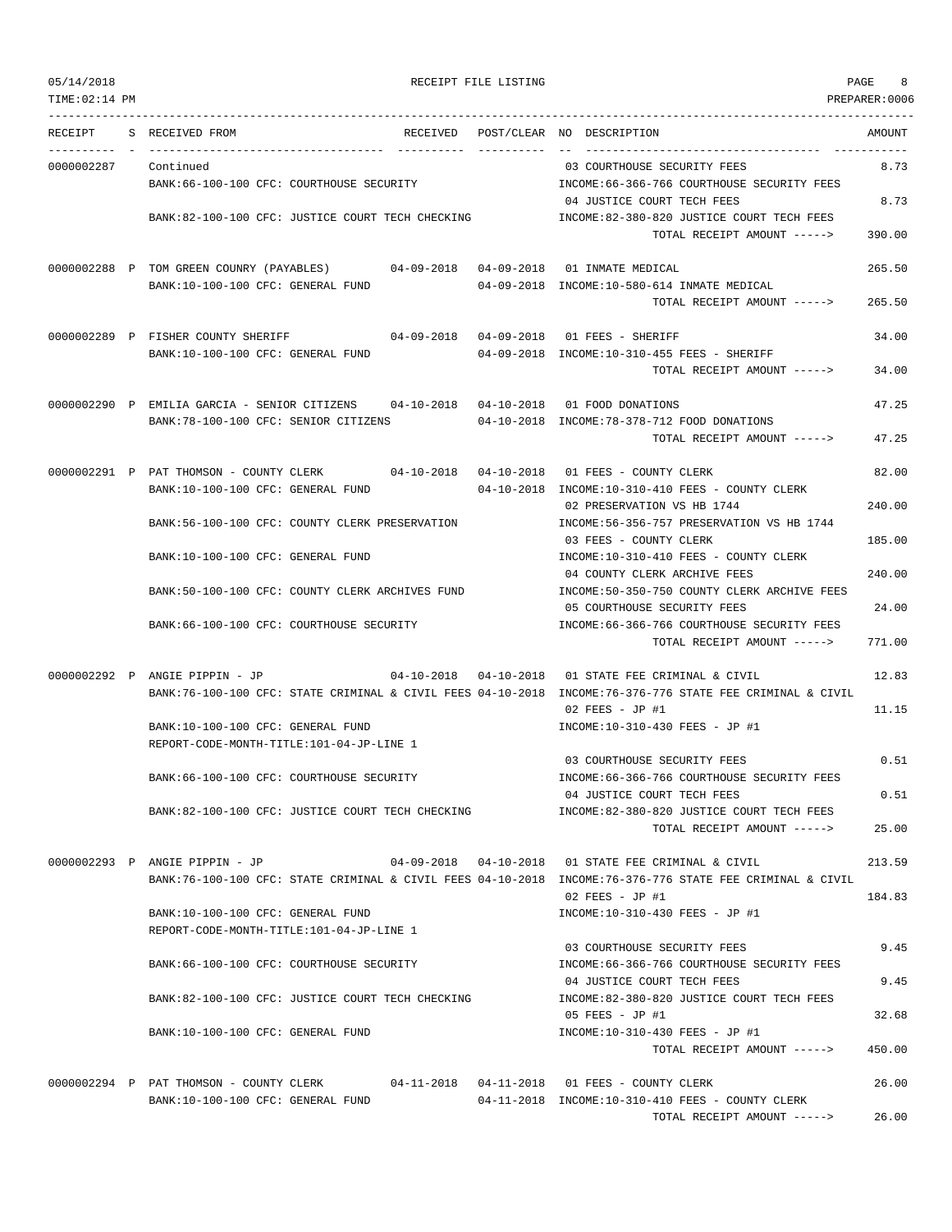TIME:02:14 PM PREPARER:0006 --------------------------------------------------------------------------------------------------------------------------------- RECEIPT S RECEIVED FROM THE RECEIVED POST/CLEAR NO DESCRIPTION THE SECRET AMOUNT ---------- - ----------------------------------- ---------- ---------- -- ----------------------------------- ----------- 0000002287 Continued 03 COURTHOUSE SECURITY FEES 8.73 BANK:66-100-100 CFC: COURTHOUSE SECURITY INCOME:66-366-766 COURTHOUSE SECURITY FEES 04 JUSTICE COURT TECH FEES 8.73 BANK:82-100-100 CFC: JUSTICE COURT TECH CHECKING INCOME:82-380-820 JUSTICE COURT TECH FEES TOTAL RECEIPT AMOUNT -----> 390.00 0000002288 P TOM GREEN COUNRY (PAYABLES) 04-09-2018 04-09-2018 01 INMATE MEDICAL 265.50 BANK:10-100-100 CFC: GENERAL FUND 04-09-2018 INCOME:10-580-614 INMATE MEDICAL TOTAL RECEIPT AMOUNT -----> 265.50 0000002289 P FISHER COUNTY SHERIFF 04-09-2018 04-09-2018 01 FEES - SHERIFF 34.00 BANK:10-100-100 CFC: GENERAL FUND 04-09-2018 INCOME:10-310-455 FEES - SHERIFF TOTAL RECEIPT AMOUNT -----> 34.00 0000002290 P EMILIA GARCIA - SENIOR CITIZENS 04-10-2018 04-10-2018 01 FOOD DONATIONS 47.25 BANK:78-100-100 CFC: SENIOR CITIZENS 04-10-2018 INCOME:78-378-712 FOOD DONATIONS TOTAL RECEIPT AMOUNT -----> 47.25 0000002291 P PAT THOMSON - COUNTY CLERK 04-10-2018 04-10-2018 01 FEES - COUNTY CLERK 82.00 BANK:10-100-100 CFC: GENERAL FUND 04-10-2018 INCOME:10-310-410 FEES - COUNTY CLERK 02 PRESERVATION VS HB 1744 240.00 BANK:56-100-100 CFC: COUNTY CLERK PRESERVATION INCOME:56-356-757 PRESERVATION VS HB 1744 03 FEES - COUNTY CLERK 185.00 BANK:10-100-100 CFC: GENERAL FUND INCOME:10-310-410 FEES - COUNTY CLERK 04 COUNTY CLERK ARCHIVE FEES 240.00 BANK:50-100-100 CFC: COUNTY CLERK ARCHIVES FUND INCOME:50-350-750 COUNTY CLERK ARCHIVE FEES 05 COURTHOUSE SECURITY FEES 24.00 BANK:66-100-100 CFC: COURTHOUSE SECURITY INCOME:66-366-766 COURTHOUSE SECURITY FEES TOTAL RECEIPT AMOUNT -----> 771.00 0000002292 P ANGIE PIPPIN - JP 04-10-2018 04-10-2018 01 STATE FEE CRIMINAL & CIVIL 12.83 BANK:76-100-100 CFC: STATE CRIMINAL & CIVIL FEES 04-10-2018 INCOME:76-376-776 STATE FEE CRIMINAL & CIVIL 02 FEES - JP #1 11.15 BANK:10-100-100 CFC: GENERAL FUND INCOME:10-310-430 FEES - JP #1 REPORT-CODE-MONTH-TITLE:101-04-JP-LINE 1 03 COURTHOUSE SECURITY FEES 0.51 BANK:66-100-100 CFC: COURTHOUSE SECURITY INCOME:66-366-766 COURTHOUSE SECURITY FEES 04 JUSTICE COURT TECH FEES 0.51 BANK:82-100-100 CFC: JUSTICE COURT TECH CHECKING INCOME:82-380-820 JUSTICE COURT TECH FEES TOTAL RECEIPT AMOUNT -----> 25.00 0000002293 P ANGIE PIPPIN - JP 04-09-2018 04-10-2018 01 STATE FEE CRIMINAL & CIVIL 213.59 BANK:76-100-100 CFC: STATE CRIMINAL & CIVIL FEES 04-10-2018 INCOME:76-376-776 STATE FEE CRIMINAL & CIVIL  $02$  FEES - JP #1 184.83 BANK:10-100-100 CFC: GENERAL FUND INCOME:10-310-430 FEES - JP #1 REPORT-CODE-MONTH-TITLE:101-04-JP-LINE 1 03 COURTHOUSE SECURITY FEES 9.45 BANK:66-100-100 CFC: COURTHOUSE SECURITY **INCOME:66-366-766 COURTHOUSE SECURITY FEES** 04 JUSTICE COURT TECH FEES 9.45 BANK:82-100-100 CFC: JUSTICE COURT TECH CHECKING INCOME:82-380-820 JUSTICE COURT TECH FEES 05 FEES - JP #1 32.68 BANK:10-100-100 CFC: GENERAL FUND INCOME:10-310-430 FEES - JP #1 TOTAL RECEIPT AMOUNT -----> 450.00 0000002294 P PAT THOMSON - COUNTY CLERK 04-11-2018 04-11-2018 01 FEES - COUNTY CLERK 26.00 BANK:10-100-100 CFC: GENERAL FUND 04-11-2018 INCOME:10-310-410 FEES - COUNTY CLERK TOTAL RECEIPT AMOUNT -----> 26.00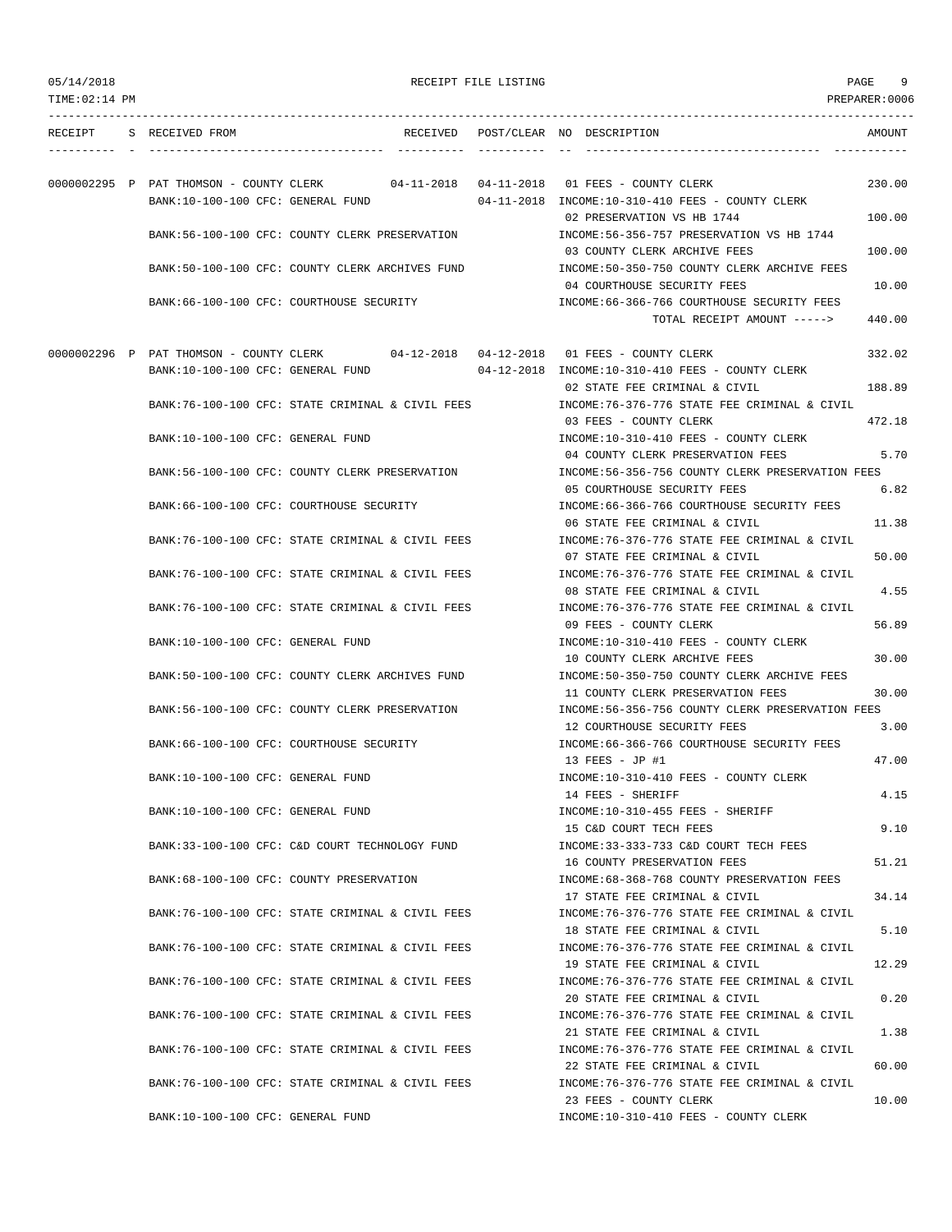TIME:02:14 PM PREPARER:0006 --------------------------------------------------------------------------------------------------------------------------------- RECEIPT S RECEIVED FROM THE RECEIVED POST/CLEAR NO DESCRIPTION THE RECEIVED AMOUNT ---------- - ----------------------------------- ---------- ---------- -- ----------------------------------- ----------- 0000002295 P PAT THOMSON - COUNTY CLERK 04-11-2018 04-11-2018 01 FEES - COUNTY CLERK 230.00 BANK:10-100-100 CFC: GENERAL FUND 04-11-2018 INCOME:10-310-410 FEES - COUNTY CLERK 02 PRESERVATION VS HB 1744 100.00 BANK:56-100-100 CFC: COUNTY CLERK PRESERVATION INCOME:56-356-757 PRESERVATION VS HB 1744 03 COUNTY CLERK ARCHIVE FEES 100.00 BANK:50-100-100 CFC: COUNTY CLERK ARCHIVES FUND INCOME:50-350-750 COUNTY CLERK ARCHIVE FEES 04 COURTHOUSE SECURITY FEES 10.00 BANK:66-100-100 CFC: COURTHOUSE SECURITY INCOME:66-366-766 COURTHOUSE SECURITY FEES TOTAL RECEIPT AMOUNT -----> 440.00 0000002296 P PAT THOMSON - COUNTY CLERK 04-12-2018 04-12-2018 01 FEES - COUNTY CLERK 332.02 BANK:10-100-100 CFC: GENERAL FUND 04-12-2018 INCOME:10-310-410 FEES - COUNTY CLERK 02 STATE FEE CRIMINAL & CIVIL 188.89 BANK:76-100-100 CFC: STATE CRIMINAL & CIVIL FEES INCOME:76-376-776 STATE FEE CRIMINAL & CIVIL 03 FEES - COUNTY CLERK 472.18 BANK:10-100-100 CFC: GENERAL FUND INCOME:10-310-410 FEES - COUNTY CLERK 04 COUNTY CLERK PRESERVATION FEES 5.70 BANK:56-100-100 CFC: COUNTY CLERK PRESERVATION INCOME:56-356-756 COUNTY CLERK PRESERVATION FEES 05 COURTHOUSE SECURITY FEES 6.82 BANK:66-100-100 CFC: COURTHOUSE SECURITY INCOME:66-366-766 COURTHOUSE SECURITY FEES 06 STATE FEE CRIMINAL & CIVIL 11.38 BANK:76-100-100 CFC: STATE CRIMINAL & CIVIL FEES INCOME:76-376-776 STATE FEE CRIMINAL & CIVIL 07 STATE FEE CRIMINAL & CIVIL 50.00 BANK:76-100-100 CFC: STATE CRIMINAL & CIVIL FEES INCOME:76-376-776 STATE FEE CRIMINAL & CIVIL 08 STATE FEE CRIMINAL & CIVIL 4.55 BANK:76-100-100 CFC: STATE CRIMINAL & CIVIL FEES INCOME:76-376-776 STATE FEE CRIMINAL & CIVIL 09 FEES - COUNTY CLERK 56.89 BANK:10-100-100 CFC: GENERAL FUND INCOME:10-310-410 FEES - COUNTY CLERK 10 COUNTY CLERK ARCHIVE FEES 30.00 BANK:50-100-100 CFC: COUNTY CLERK ARCHIVES FUND INCOME:50-350-750 COUNTY CLERK ARCHIVE FEES 11 COUNTY CLERK PRESERVATION FEES 30.00 BANK:56-100-100 CFC: COUNTY CLERK PRESERVATION INCOME:56-356-756 COUNTY CLERK PRESERVATION FEES 12 COURTHOUSE SECURITY FEES 3.00 BANK:66-100-100 CFC: COURTHOUSE SECURITY INCOME:66-366-766 COURTHOUSE SECURITY FEES  $13$  FEES - JP #1  $47.00$ BANK:10-100-100 CFC: GENERAL FUND INCOME:10-310-410 FEES - COUNTY CLERK 14 FEES - SHERIFF 4.15 BANK:10-100-100 CFC: GENERAL FUND INCOME:10-310-455 FEES - SHERIFF 15 C&D COURT TECH FEES 9.10 BANK:33-100-100 CFC: C&D COURT TECHNOLOGY FUND INCOME:33-333-733 C&D COURT TECH FEES 16 COUNTY PRESERVATION FEES 51.21 BANK:68-100-100 CFC: COUNTY PRESERVATION INCOME:68-368-768 COUNTY PRESERVATION FEES 17 STATE FEE CRIMINAL & CIVIL 34.14 BANK:76-100-100 CFC: STATE CRIMINAL & CIVIL FEES INCOME:76-376-776 STATE FEE CRIMINAL & CIVIL 18 STATE FEE CRIMINAL & CIVIL 6 5.10 BANK:76-100-100 CFC: STATE CRIMINAL & CIVIL FEES **INCOME:76-376-776 STATE FEE CRIMINAL & CIVIL** 19 STATE FEE CRIMINAL & CIVIL 12.29 BANK:76-100-100 CFC: STATE CRIMINAL & CIVIL FEES INCOME:76-376-776 STATE FEE CRIMINAL & CIVIL 20 STATE FEE CRIMINAL & CIVIL 0.20 BANK:76-100-100 CFC: STATE CRIMINAL & CIVIL FEES INCOME:76-376-776 STATE FEE CRIMINAL & CIVIL 21 STATE FEE CRIMINAL & CIVIL 1.38 BANK:76-100-100 CFC: STATE CRIMINAL & CIVIL FEES INCOME:76-376-776 STATE FEE CRIMINAL & CIVIL 22 STATE FEE CRIMINAL & CIVIL 60.00 BANK:76-100-100 CFC: STATE CRIMINAL & CIVIL FEES INCOME:76-376-776 STATE FEE CRIMINAL & CIVIL 23 FEES - COUNTY CLERK 10.00 BANK:10-100-100 CFC: GENERAL FUND INCOME:10-310-410 FEES - COUNTY CLERK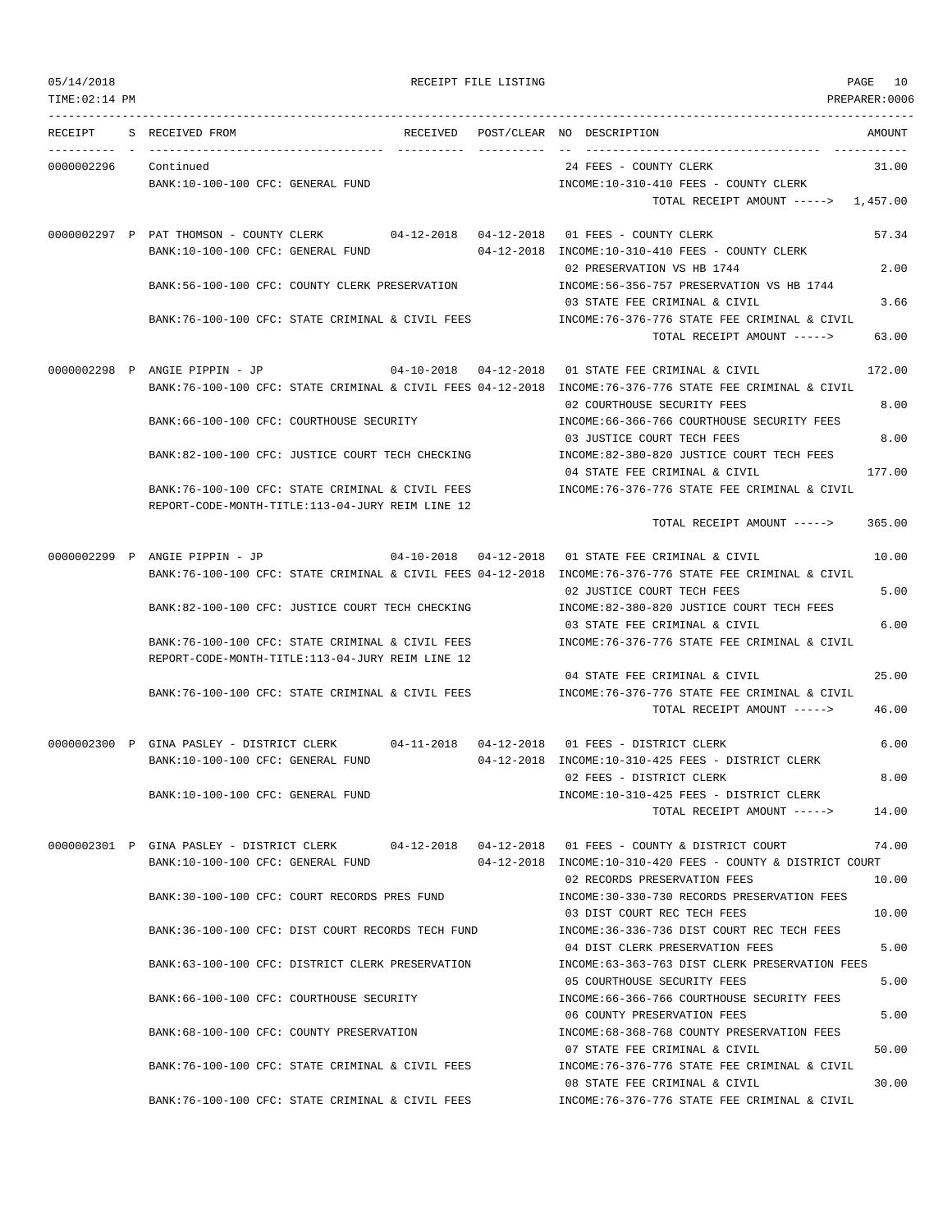TIME:02:14 PM PREPARER:0006 --------------------------------------------------------------------------------------------------------------------------------- RECEIPT S RECEIVED FROM THE RECEIVED POST/CLEAR NO DESCRIPTION THE RECEIVED AMOUNT ---------- - ----------------------------------- ---------- ---------- -- ----------------------------------- ----------- 0000002296 Continued 24 FEES - COUNTY CLERK 31.00 BANK:10-100-100 CFC: GENERAL FUND INCOME:10-310-410 FEES - COUNTY CLERK TOTAL RECEIPT AMOUNT -----> 1,457.00 0000002297 P PAT THOMSON - COUNTY CLERK 04-12-2018 04-12-2018 01 FEES - COUNTY CLERK 57.34 BANK:10-100-100 CFC: GENERAL FUND 04-12-2018 INCOME:10-310-410 FEES - COUNTY CLERK 02 PRESERVATION VS HB 1744 2.00 BANK:56-100-100 CFC: COUNTY CLERK PRESERVATION INCOME:56-356-757 PRESERVATION VS HB 1744 03 STATE FEE CRIMINAL & CIVIL 3.66 BANK:76-100-100 CFC: STATE CRIMINAL & CIVIL FEES INCOME:76-376-776 STATE FEE CRIMINAL & CIVIL TOTAL RECEIPT AMOUNT -----> 63.00 0000002298 P ANGIE PIPPIN - JP 04-10-2018 04-12-2018 01 STATE FEE CRIMINAL & CIVIL 172.00 BANK:76-100-100 CFC: STATE CRIMINAL & CIVIL FEES 04-12-2018 INCOME:76-376-776 STATE FEE CRIMINAL & CIVIL 02 COURTHOUSE SECURITY FEES 6.00 BANK:66-100-100 CFC: COURTHOUSE SECURITY INCOME:66-366-766 COURTHOUSE SECURITY FEES 03 JUSTICE COURT TECH FEES 8.00 BANK:82-100-100 CFC: JUSTICE COURT TECH CHECKING INCOME:82-380-820 JUSTICE COURT TECH FEES 04 STATE FEE CRIMINAL & CIVIL 177.00 BANK:76-100-100 CFC: STATE CRIMINAL & CIVIL FEES INCOME:76-376-776 STATE FEE CRIMINAL & CIVIL REPORT-CODE-MONTH-TITLE:113-04-JURY REIM LINE 12 TOTAL RECEIPT AMOUNT -----> 365.00 0000002299 P ANGIE PIPPIN - JP 04-10-2018 04-12-2018 01 STATE FEE CRIMINAL & CIVIL 10.00 BANK:76-100-100 CFC: STATE CRIMINAL & CIVIL FEES 04-12-2018 INCOME:76-376-776 STATE FEE CRIMINAL & CIVIL 02 JUSTICE COURT TECH FEES 5.00 BANK:82-100-100 CFC: JUSTICE COURT TECH CHECKING INCOME:82-380-820 JUSTICE COURT TECH FEES 03 STATE FEE CRIMINAL & CIVIL 6.00 BANK:76-100-100 CFC: STATE CRIMINAL & CIVIL FEES INCOME:76-376-776 STATE FEE CRIMINAL & CIVIL REPORT-CODE-MONTH-TITLE:113-04-JURY REIM LINE 12 04 STATE FEE CRIMINAL & CIVIL 25.00 BANK:76-100-100 CFC: STATE CRIMINAL & CIVIL FEES INCOME:76-376-776 STATE FEE CRIMINAL & CIVIL TOTAL RECEIPT AMOUNT -----> 46.00 0000002300 P GINA PASLEY - DISTRICT CLERK 04-11-2018 04-12-2018 01 FEES - DISTRICT CLERK 6.00 BANK:10-100-100 CFC: GENERAL FUND 04-12-2018 INCOME:10-310-425 FEES - DISTRICT CLERK 02 FEES - DISTRICT CLERK 8.00 BANK:10-100-100 CFC: GENERAL FUND INCOME:10-310-425 FEES - DISTRICT CLERK TOTAL RECEIPT AMOUNT -----> 14.00 0000002301 P GINA PASLEY - DISTRICT CLERK 04-12-2018 04-12-2018 01 FEES - COUNTY & DISTRICT COURT 74.00 BANK:10-100-100 CFC: GENERAL FUND 04-12-2018 INCOME:10-310-420 FEES - COUNTY & DISTRICT COURT 02 RECORDS PRESERVATION FEES 10.00 BANK:30-100-100 CFC: COURT RECORDS PRES FUND INCOME:30-330-730 RECORDS PRESERVATION FEES 03 DIST COURT REC TECH FEES 10.00 BANK:36-100-100 CFC: DIST COURT RECORDS TECH FUND INCOME:36-336-736 DIST COURT REC TECH FEES 04 DIST CLERK PRESERVATION FEES 5.00 BANK:63-100-100 CFC: DISTRICT CLERK PRESERVATION INCOME:63-363-763 DIST CLERK PRESERVATION FEES 05 COURTHOUSE SECURITY FEES 5.00 BANK:66-100-100 CFC: COURTHOUSE SECURITY INCOME:66-366-766 COURTHOUSE SECURITY FEES 06 COUNTY PRESERVATION FEES 5.00 BANK:68-100-100 CFC: COUNTY PRESERVATION INCOME:68-368-768 COUNTY PRESERVATION FEES 07 STATE FEE CRIMINAL & CIVIL 50.00 BANK:76-100-100 CFC: STATE CRIMINAL & CIVIL FEES INCOME:76-376-776 STATE FEE CRIMINAL & CIVIL 08 STATE FEE CRIMINAL & CIVIL 30.00

BANK:76-100-100 CFC: STATE CRIMINAL & CIVIL FEES INCOME:76-376-776 STATE FEE CRIMINAL & CIVIL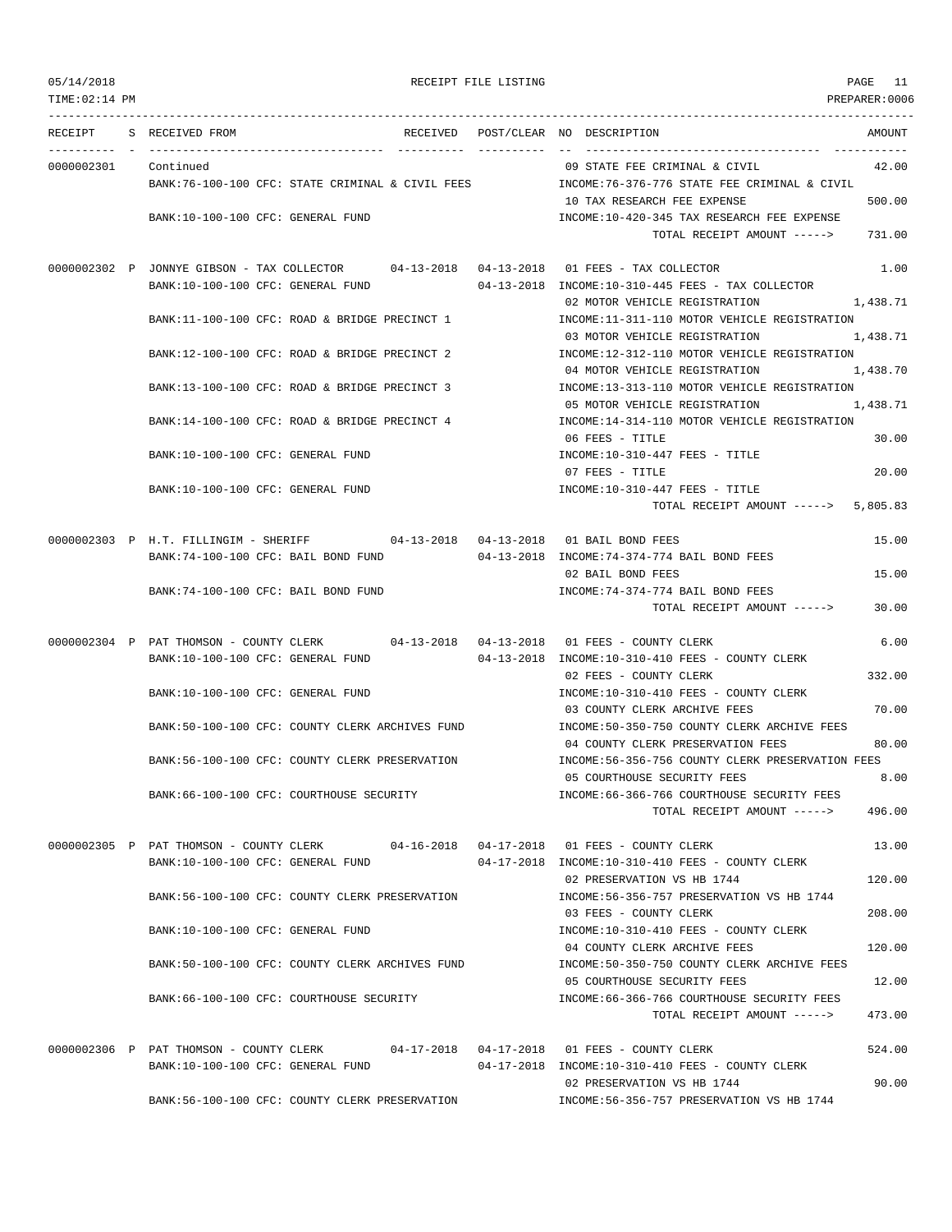| TIME:02:14 PM |                                                                                                                           |            | PREPARER:0006                                                                             |
|---------------|---------------------------------------------------------------------------------------------------------------------------|------------|-------------------------------------------------------------------------------------------|
| RECEIPT       | S RECEIVED FROM<br>RECEIVED<br>________ __________________                                                                | ---------- | AMOUNT<br>POST/CLEAR NO DESCRIPTION                                                       |
| 0000002301    | Continued                                                                                                                 |            | 09 STATE FEE CRIMINAL & CIVIL<br>42.00                                                    |
|               | BANK:76-100-100 CFC: STATE CRIMINAL & CIVIL FEES                                                                          |            | INCOME:76-376-776 STATE FEE CRIMINAL & CIVIL                                              |
|               |                                                                                                                           |            | 500.00<br>10 TAX RESEARCH FEE EXPENSE                                                     |
|               | BANK:10-100-100 CFC: GENERAL FUND                                                                                         |            | INCOME:10-420-345 TAX RESEARCH FEE EXPENSE                                                |
|               |                                                                                                                           |            | 731.00<br>TOTAL RECEIPT AMOUNT ----->                                                     |
|               | 0000002302 P JONNYE GIBSON - TAX COLLECTOR 04-13-2018 04-13-2018 01 FEES - TAX COLLECTOR                                  |            | 1.00                                                                                      |
|               | BANK:10-100-100 CFC: GENERAL FUND                                                                                         |            | $04-13-2018$ INCOME: $10-310-445$ FEES - TAX COLLECTOR                                    |
|               | BANK:11-100-100 CFC: ROAD & BRIDGE PRECINCT 1                                                                             |            | 02 MOTOR VEHICLE REGISTRATION<br>1,438.71<br>INCOME:11-311-110 MOTOR VEHICLE REGISTRATION |
|               |                                                                                                                           |            | 03 MOTOR VEHICLE REGISTRATION<br>1,438.71                                                 |
|               | BANK:12-100-100 CFC: ROAD & BRIDGE PRECINCT 2                                                                             |            | INCOME:12-312-110 MOTOR VEHICLE REGISTRATION                                              |
|               |                                                                                                                           |            | 1,438.70<br>04 MOTOR VEHICLE REGISTRATION                                                 |
|               | BANK:13-100-100 CFC: ROAD & BRIDGE PRECINCT 3                                                                             |            | INCOME:13-313-110 MOTOR VEHICLE REGISTRATION                                              |
|               | BANK:14-100-100 CFC: ROAD & BRIDGE PRECINCT 4                                                                             |            | 05 MOTOR VEHICLE REGISTRATION<br>1,438.71<br>INCOME:14-314-110 MOTOR VEHICLE REGISTRATION |
|               |                                                                                                                           |            | 06 FEES - TITLE<br>30.00                                                                  |
|               | BANK:10-100-100 CFC: GENERAL FUND                                                                                         |            | $INCOME: 10-310-447$ FEES - TITLE                                                         |
|               |                                                                                                                           |            | 07 FEES - TITLE<br>20.00                                                                  |
|               | BANK:10-100-100 CFC: GENERAL FUND                                                                                         |            | INCOME:10-310-447 FEES - TITLE                                                            |
|               |                                                                                                                           |            | TOTAL RECEIPT AMOUNT -----> 5,805.83                                                      |
|               | 0000002303 P H.T. FILLINGIM - SHERIFF 04-13-2018 04-13-2018 01 BAIL BOND FEES                                             |            | 15.00                                                                                     |
|               | BANK:74-100-100 CFC: BAIL BOND FUND                                                                                       |            | 04-13-2018 INCOME: 74-374-774 BAIL BOND FEES                                              |
|               |                                                                                                                           |            | 02 BAIL BOND FEES<br>15.00                                                                |
|               | BANK:74-100-100 CFC: BAIL BOND FUND                                                                                       |            | INCOME: 74-374-774 BAIL BOND FEES<br>TOTAL RECEIPT AMOUNT -----><br>30.00                 |
|               |                                                                                                                           |            |                                                                                           |
|               | 0000002304 P PAT THOMSON - COUNTY CLERK 04-13-2018 04-13-2018 01 FEES - COUNTY CLERK                                      |            | 6.00                                                                                      |
|               | BANK:10-100-100 CFC: GENERAL FUND                                                                                         |            | 04-13-2018 INCOME:10-310-410 FEES - COUNTY CLERK                                          |
|               | BANK:10-100-100 CFC: GENERAL FUND                                                                                         |            | 02 FEES - COUNTY CLERK<br>332.00<br>INCOME:10-310-410 FEES - COUNTY CLERK                 |
|               |                                                                                                                           |            | 70.00<br>03 COUNTY CLERK ARCHIVE FEES                                                     |
|               | BANK:50-100-100 CFC: COUNTY CLERK ARCHIVES FUND                                                                           |            | INCOME:50-350-750 COUNTY CLERK ARCHIVE FEES                                               |
|               |                                                                                                                           |            | 04 COUNTY CLERK PRESERVATION FEES<br>80.00                                                |
|               | BANK: 56-100-100 CFC: COUNTY CLERK PRESERVATION                                                                           |            | INCOME:56-356-756 COUNTY CLERK PRESERVATION FEES                                          |
|               | BANK:66-100-100 CFC: COURTHOUSE SECURITY                                                                                  |            | 8.00<br>05 COURTHOUSE SECURITY FEES<br>INCOME: 66-366-766 COURTHOUSE SECURITY FEES        |
|               |                                                                                                                           |            | 496.00<br>TOTAL RECEIPT AMOUNT ----->                                                     |
|               |                                                                                                                           |            |                                                                                           |
|               | 0000002305 P PAT THOMSON - COUNTY CLERK 04-16-2018 04-17-2018 01 FEES - COUNTY CLERK<br>BANK:10-100-100 CFC: GENERAL FUND |            | 13.00<br>04-17-2018 INCOME:10-310-410 FEES - COUNTY CLERK                                 |
|               |                                                                                                                           |            | 02 PRESERVATION VS HB 1744<br>120.00                                                      |
|               | BANK:56-100-100 CFC: COUNTY CLERK PRESERVATION                                                                            |            | INCOME: 56-356-757 PRESERVATION VS HB 1744                                                |
|               |                                                                                                                           |            | 03 FEES - COUNTY CLERK<br>208.00                                                          |
|               | BANK:10-100-100 CFC: GENERAL FUND                                                                                         |            | INCOME:10-310-410 FEES - COUNTY CLERK<br>04 COUNTY CLERK ARCHIVE FEES<br>120.00           |
|               | BANK:50-100-100 CFC: COUNTY CLERK ARCHIVES FUND                                                                           |            | INCOME:50-350-750 COUNTY CLERK ARCHIVE FEES                                               |
|               |                                                                                                                           |            | 05 COURTHOUSE SECURITY FEES<br>12.00                                                      |
|               | BANK:66-100-100 CFC: COURTHOUSE SECURITY                                                                                  |            | INCOME:66-366-766 COURTHOUSE SECURITY FEES                                                |
|               |                                                                                                                           |            | 473.00<br>TOTAL RECEIPT AMOUNT ----->                                                     |
|               | 0000002306 P PAT THOMSON - COUNTY CLERK 04-17-2018 04-17-2018 01 FEES - COUNTY CLERK                                      |            | 524.00                                                                                    |
|               | BANK:10-100-100 CFC: GENERAL FUND                                                                                         |            | 04-17-2018 INCOME:10-310-410 FEES - COUNTY CLERK                                          |
|               |                                                                                                                           |            | 02 PRESERVATION VS HB 1744<br>90.00                                                       |
|               | BANK:56-100-100 CFC: COUNTY CLERK PRESERVATION                                                                            |            | INCOME: 56-356-757 PRESERVATION VS HB 1744                                                |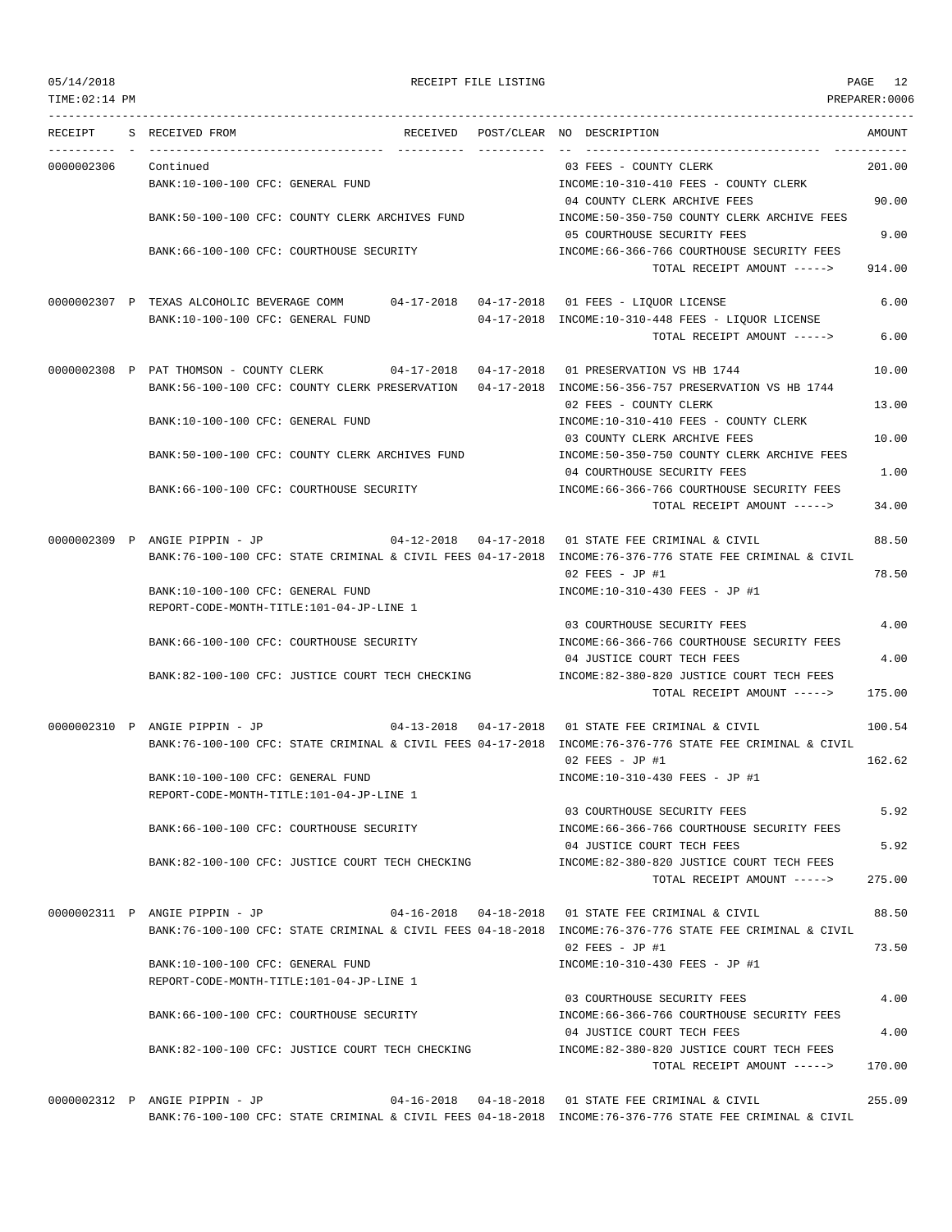TIME:02:14 PM PREPARER:0006

## 05/14/2018 RECEIPT FILE LISTING PAGE 12

---------------------------------------------------------------------------------------------------------------------------------

RECEIPT S RECEIVED FROM THE RECEIVED POST/CLEAR NO DESCRIPTION THE RECEIVED AMOUNT ---------- - ----------------------------------- ---------- ---------- -- ----------------------------------- ----------- 0000002306 Continued 03 FEES - COUNTY CLERK 201.00 BANK:10-100-100 CFC: GENERAL FUND INCOME:10-310-410 FEES - COUNTY CLERK 04 COUNTY CLERK ARCHIVE FEES 90.00 BANK:50-100-100 CFC: COUNTY CLERK ARCHIVES FUND INCOME:50-350-750 COUNTY CLERK ARCHIVE FEES 05 COURTHOUSE SECURITY FEES 9.00 BANK:66-100-100 CFC: COURTHOUSE SECURITY INCOME:66-366-766 COURTHOUSE SECURITY FEES TOTAL RECEIPT AMOUNT -----> 914.00 0000002307 P TEXAS ALCOHOLIC BEVERAGE COMM 04-17-2018 04-17-2018 01 FEES - LIQUOR LICENSE 6.00 BANK:10-100-100 CFC: GENERAL FUND 04-17-2018 INCOME:10-310-448 FEES - LIQUOR LICENSE TOTAL RECEIPT AMOUNT -----> 6.00 0000002308 P PAT THOMSON - COUNTY CLERK 04-17-2018 04-17-2018 01 PRESERVATION VS HB 1744 10.00 BANK:56-100-100 CFC: COUNTY CLERK PRESERVATION 04-17-2018 INCOME:56-356-757 PRESERVATION VS HB 1744 02 FEES - COUNTY CLERK 13.00 BANK:10-100-100 CFC: GENERAL FUND INCOME:10-310-410 FEES - COUNTY CLERK 03 COUNTY CLERK ARCHIVE FEES 10.00 BANK:50-100-100 CFC: COUNTY CLERK ARCHIVES FUND INCOME:50-350-750 COUNTY CLERK ARCHIVE FEES 04 COURTHOUSE SECURITY FEES 1.00 BANK:66-100-100 CFC: COURTHOUSE SECURITY INCOME:66-366-766 COURTHOUSE SECURITY FEES TOTAL RECEIPT AMOUNT -----> 34.00 0000002309 P ANGIE PIPPIN - JP 04-12-2018 04-17-2018 01 STATE FEE CRIMINAL & CIVIL 88.50 BANK:76-100-100 CFC: STATE CRIMINAL & CIVIL FEES 04-17-2018 INCOME:76-376-776 STATE FEE CRIMINAL & CIVIL 02 FEES - JP #1 78.50 BANK:10-100-100 CFC: GENERAL FUND INCOME:10-310-430 FEES - JP #1 REPORT-CODE-MONTH-TITLE:101-04-JP-LINE 1 03 COURTHOUSE SECURITY FEES 4.00 BANK:66-100-100 CFC: COURTHOUSE SECURITY INCOME:66-366-766 COURTHOUSE SECURITY FEES 04 JUSTICE COURT TECH FEES 4.00 BANK:82-100-100 CFC: JUSTICE COURT TECH CHECKING INCOME:82-380-820 JUSTICE COURT TECH FEES TOTAL RECEIPT AMOUNT -----> 175.00 0000002310 P ANGIE PIPPIN - JP 04-13-2018 04-17-2018 01 STATE FEE CRIMINAL & CIVIL 100.54 BANK:76-100-100 CFC: STATE CRIMINAL & CIVIL FEES 04-17-2018 INCOME:76-376-776 STATE FEE CRIMINAL & CIVIL  $02$  FEES - JP #1  $162.62$ BANK:10-100-100 CFC: GENERAL FUND INCOME:10-310-430 FEES - JP #1 REPORT-CODE-MONTH-TITLE:101-04-JP-LINE 1 03 COURTHOUSE SECURITY FEES 5.92 BANK:66-100-100 CFC: COURTHOUSE SECURITY INCOME:66-366-766 COURTHOUSE SECURITY FEES 04 JUSTICE COURT TECH FEES 5.92 BANK:82-100-100 CFC: JUSTICE COURT TECH CHECKING INCOME:82-380-820 JUSTICE COURT TECH FEES TOTAL RECEIPT AMOUNT -----> 275.00 0000002311 P ANGIE PIPPIN - JP 04-16-2018 04-18-2018 01 STATE FEE CRIMINAL & CIVIL 88.50 BANK:76-100-100 CFC: STATE CRIMINAL & CIVIL FEES 04-18-2018 INCOME:76-376-776 STATE FEE CRIMINAL & CIVIL 02 FEES - JP #1 73.50 BANK:10-100-100 CFC: GENERAL FUND INCOME:10-310-430 FEES - JP #1 REPORT-CODE-MONTH-TITLE:101-04-JP-LINE 1 03 COURTHOUSE SECURITY FEES 4.00 BANK:66-100-100 CFC: COURTHOUSE SECURITY INCOME:66-366-766 COURTHOUSE SECURITY FEES 04 JUSTICE COURT TECH FEES 4.00 BANK:82-100-100 CFC: JUSTICE COURT TECH CHECKING INCOME:82-380-820 JUSTICE COURT TECH FEES TOTAL RECEIPT AMOUNT -----> 170.00

0000002312 P ANGIE PIPPIN - JP 04-16-2018 04-18-2018 01 STATE FEE CRIMINAL & CIVIL 255.09 BANK:76-100-100 CFC: STATE CRIMINAL & CIVIL FEES 04-18-2018 INCOME:76-376-776 STATE FEE CRIMINAL & CIVIL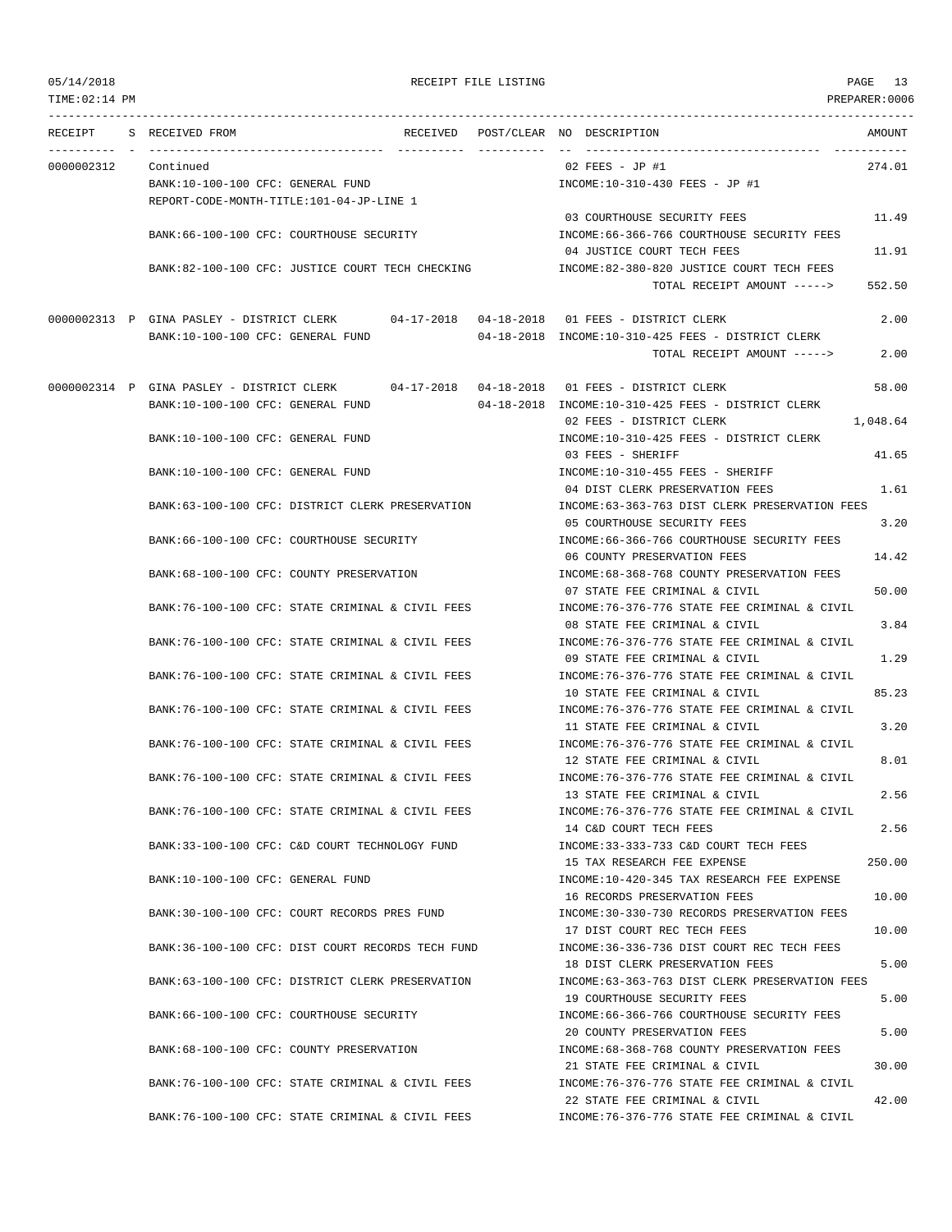TIME:02:14 PM PREPARER:0006 --------------------------------------------------------------------------------------------------------------------------------- RECEIPT S RECEIVED FROM THE RECEIVED POST/CLEAR NO DESCRIPTION THE RECEIVED AMOUNT ---------- - ----------------------------------- ---------- ---------- -- ----------------------------------- ----------- 0000002312 Continued 02 FEES - JP #1 274.01 BANK:10-100-100 CFC: GENERAL FUND INCOME:10-310-430 FEES - JP #1 REPORT-CODE-MONTH-TITLE:101-04-JP-LINE 1 03 COURTHOUSE SECURITY FEES 11.49 BANK:66-100-100 CFC: COURTHOUSE SECURITY INCOME:66-366-766 COURTHOUSE SECURITY FEES 04 JUSTICE COURT TECH FEES 11.91 BANK:82-100-100 CFC: JUSTICE COURT TECH CHECKING INCOME:82-380-820 JUSTICE COURT TECH FEES TOTAL RECEIPT AMOUNT -----> 552.50 0000002313 P GINA PASLEY - DISTRICT CLERK 04-17-2018 04-18-2018 01 FEES - DISTRICT CLERK 2.00 BANK:10-100-100 CFC: GENERAL FUND 04-18-2018 INCOME:10-310-425 FEES - DISTRICT CLERK TOTAL RECEIPT AMOUNT -----> 2.00 0000002314 P GINA PASLEY - DISTRICT CLERK 04-17-2018 04-18-2018 01 FEES - DISTRICT CLERK 58.00 BANK:10-100-100 CFC: GENERAL FUND 04-18-2018 INCOME:10-310-425 FEES - DISTRICT CLERK 02 FEES - DISTRICT CLERK 1,048.64 BANK:10-100-100 CFC: GENERAL FUND INCOME:10-310-425 FEES - DISTRICT CLERK 03 FEES - SHERIFF 41.65 BANK:10-100-100 CFC: GENERAL FUND INCOME:10-310-455 FEES - SHERIFF 04 DIST CLERK PRESERVATION FEES 1.61 BANK:63-100-100 CFC: DISTRICT CLERK PRESERVATION INCOME:63-363-763 DIST CLERK PRESERVATION FEES 05 COURTHOUSE SECURITY FEES 3.20 BANK:66-100-100 CFC: COURTHOUSE SECURITY INCOME:66-366-766 COURTHOUSE SECURITY FEES 06 COUNTY PRESERVATION FEES 14.42 BANK:68-100-100 CFC: COUNTY PRESERVATION INCOME:68-368-768 COUNTY PRESERVATION FEES 07 STATE FEE CRIMINAL & CIVIL 50.00 BANK:76-100-100 CFC: STATE CRIMINAL & CIVIL FEES INCOME:76-376-776 STATE FEE CRIMINAL & CIVIL 08 STATE FEE CRIMINAL & CIVIL 3.84 BANK:76-100-100 CFC: STATE CRIMINAL & CIVIL FEES INCOME:76-376-776 STATE FEE CRIMINAL & CIVIL 09 STATE FEE CRIMINAL & CIVIL 1.29 BANK:76-100-100 CFC: STATE CRIMINAL & CIVIL FEES INCOME:76-376-776 STATE FEE CRIMINAL & CIVIL 10 STATE FEE CRIMINAL & CIVIL 85.23 BANK:76-100-100 CFC: STATE CRIMINAL & CIVIL FEES INCOME:76-376-776 STATE FEE CRIMINAL & CIVIL 11 STATE FEE CRIMINAL & CIVIL 3.20 BANK:76-100-100 CFC: STATE CRIMINAL & CIVIL FEES INCOME:76-376-776 STATE FEE CRIMINAL & CIVIL 12 STATE FEE CRIMINAL & CIVIL 8.01 BANK:76-100-100 CFC: STATE CRIMINAL & CIVIL FEES INCOME:76-376-776 STATE FEE CRIMINAL & CIVIL 13 STATE FEE CRIMINAL & CIVIL 2.56 BANK:76-100-100 CFC: STATE CRIMINAL & CIVIL FEES INCOME:76-376-776 STATE FEE CRIMINAL & CIVIL 14 C&D COURT TECH FEES 2.56 BANK:33-100-100 CFC: C&D COURT TECHNOLOGY FUND INCOME:33-333-733 C&D COURT TECH FEES 15 TAX RESEARCH FEE EXPENSE 250.00 BANK:10-100-100 CFC: GENERAL FUND INCOME:10-420-345 TAX RESEARCH FEE EXPENSE 16 RECORDS PRESERVATION FEES 10.00 BANK:30-100-100 CFC: COURT RECORDS PRES FUND INCOME:30-330-730 RECORDS PRESERVATION FEES 17 DIST COURT REC TECH FEES 10.00 BANK:36-100-100 CFC: DIST COURT RECORDS TECH FUND **INCOME:36-336-736 DIST COURT REC TECH FEES** 18 DIST CLERK PRESERVATION FEES 5.00 BANK:63-100-100 CFC: DISTRICT CLERK PRESERVATION INCOME:63-363-763 DIST CLERK PRESERVATION FEES 19 COURTHOUSE SECURITY FEES 5.00 BANK:66-100-100 CFC: COURTHOUSE SECURITY INCOME:66-366-766 COURTHOUSE SECURITY FEES 20 COUNTY PRESERVATION FEES 600 BANK:68-100-100 CFC: COUNTY PRESERVATION  $\qquad \qquad \qquad \text{INCOME:68-368-768 }$  COUNTY PRESERVATION FEES 21 STATE FEE CRIMINAL & CIVIL 30.00 BANK:76-100-100 CFC: STATE CRIMINAL & CIVIL FEES INCOME:76-376-776 STATE FEE CRIMINAL & CIVIL 22 STATE FEE CRIMINAL & CIVIL 42.00 BANK:76-100-100 CFC: STATE CRIMINAL & CIVIL FEES INCOME:76-376-776 STATE FEE CRIMINAL & CIVIL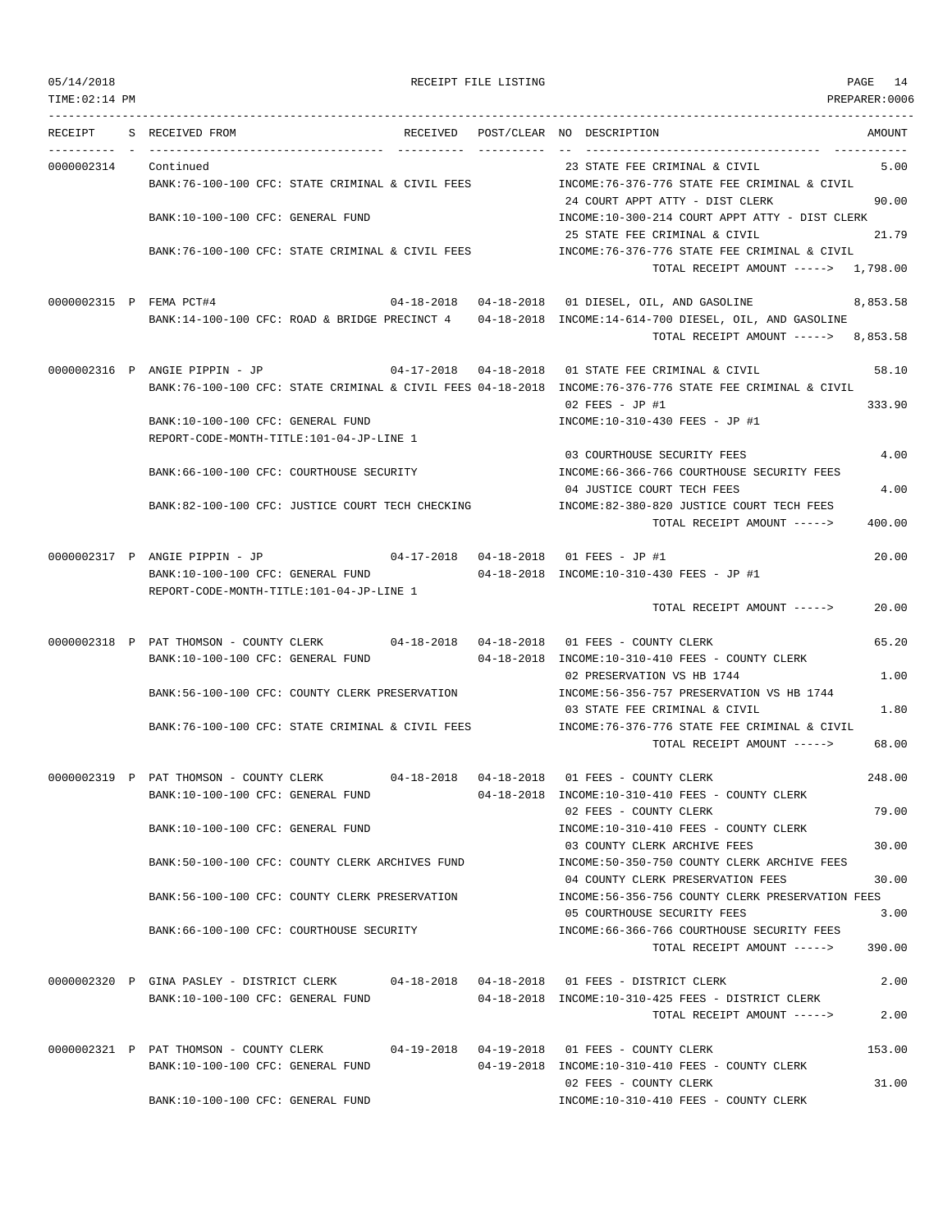| TIME: 02:14 PM       |                                                                                                                           | PREPARER:0006                                                                                                  |
|----------------------|---------------------------------------------------------------------------------------------------------------------------|----------------------------------------------------------------------------------------------------------------|
|                      | RECEIPT S RECEIVED FROM                                                                                                   | RECEIVED POST/CLEAR NO DESCRIPTION<br>AMOUNT                                                                   |
| 0000002314 Continued |                                                                                                                           | 23 STATE FEE CRIMINAL & CIVIL<br>5.00                                                                          |
|                      | BANK:76-100-100 CFC: STATE CRIMINAL & CIVIL FEES                                                                          | INCOME:76-376-776 STATE FEE CRIMINAL & CIVIL<br>24 COURT APPT ATTY - DIST CLERK<br>90.00                       |
|                      | BANK:10-100-100 CFC: GENERAL FUND                                                                                         | INCOME:10-300-214 COURT APPT ATTY - DIST CLERK<br>25 STATE FEE CRIMINAL & CIVIL<br>21.79                       |
|                      | BANK:76-100-100 CFC: STATE CRIMINAL & CIVIL FEES                                                                          | INCOME: 76-376-776 STATE FEE CRIMINAL & CIVIL<br>TOTAL RECEIPT AMOUNT -----> 1,798.00                          |
|                      | 0000002315 P FEMA PCT#4                                                                                                   | 8,853.58                                                                                                       |
|                      | BANK:14-100-100 CFC: ROAD & BRIDGE PRECINCT 4 04-18-2018 INCOME:14-614-700 DIESEL, OIL, AND GASOLINE                      | TOTAL RECEIPT AMOUNT -----><br>8,853.58                                                                        |
|                      | 0000002316 P ANGIE PIPPIN - JP                                                                                            | 04-17-2018  04-18-2018  01 STATE FEE CRIMINAL & CIVIL<br>58.10                                                 |
|                      | BANK:76-100-100 CFC: STATE CRIMINAL & CIVIL FEES 04-18-2018 INCOME:76-376-776 STATE FEE CRIMINAL & CIVIL                  | $02$ FEES - JP #1<br>333.90                                                                                    |
|                      | BANK:10-100-100 CFC: GENERAL FUND<br>REPORT-CODE-MONTH-TITLE:101-04-JP-LINE 1                                             | INCOME:10-310-430 FEES - JP #1                                                                                 |
|                      | BANK:66-100-100 CFC: COURTHOUSE SECURITY                                                                                  | 03 COURTHOUSE SECURITY FEES<br>4.00<br>INCOME: 66-366-766 COURTHOUSE SECURITY FEES                             |
|                      | BANK:82-100-100 CFC: JUSTICE COURT TECH CHECKING                                                                          | 04 JUSTICE COURT TECH FEES<br>4.00<br>INCOME:82-380-820 JUSTICE COURT TECH FEES                                |
|                      |                                                                                                                           | 400.00<br>TOTAL RECEIPT AMOUNT ----->                                                                          |
|                      | 0000002317 P ANGIE PIPPIN - JP 04-17-2018 04-18-2018 01 FEES - JP #1                                                      | 20.00                                                                                                          |
|                      | BANK:10-100-100 CFC: GENERAL FUND<br>REPORT-CODE-MONTH-TITLE:101-04-JP-LINE 1                                             | 04-18-2018 INCOME:10-310-430 FEES - JP #1                                                                      |
|                      |                                                                                                                           | 20.00<br>TOTAL RECEIPT AMOUNT ----->                                                                           |
|                      | 0000002318 P PAT THOMSON - COUNTY CLERK 04-18-2018 04-18-2018 01 FEES - COUNTY CLERK<br>BANK:10-100-100 CFC: GENERAL FUND | 65.20<br>04-18-2018 INCOME:10-310-410 FEES - COUNTY CLERK                                                      |
|                      |                                                                                                                           | 02 PRESERVATION VS HB 1744<br>1.00                                                                             |
|                      | BANK:56-100-100 CFC: COUNTY CLERK PRESERVATION                                                                            | INCOME: 56-356-757 PRESERVATION VS HB 1744<br>03 STATE FEE CRIMINAL & CIVIL<br>1.80                            |
|                      | BANK:76-100-100 CFC: STATE CRIMINAL & CIVIL FEES                                                                          | INCOME:76-376-776 STATE FEE CRIMINAL & CIVIL<br>68.00<br>TOTAL RECEIPT AMOUNT ----->                           |
|                      | 0000002319 P PAT THOMSON - COUNTY CLERK 04-18-2018 04-18-2018 01 FEES - COUNTY CLERK                                      | 248.00                                                                                                         |
|                      | BANK:10-100-100 CFC: GENERAL FUND                                                                                         | 04-18-2018 INCOME:10-310-410 FEES - COUNTY CLERK<br>02 FEES - COUNTY CLERK<br>79.00                            |
|                      | BANK:10-100-100 CFC: GENERAL FUND                                                                                         | INCOME:10-310-410 FEES - COUNTY CLERK<br>03 COUNTY CLERK ARCHIVE FEES<br>30.00                                 |
|                      | BANK:50-100-100 CFC: COUNTY CLERK ARCHIVES FUND                                                                           | INCOME:50-350-750 COUNTY CLERK ARCHIVE FEES<br>04 COUNTY CLERK PRESERVATION FEES<br>30.00                      |
|                      | BANK:56-100-100 CFC: COUNTY CLERK PRESERVATION                                                                            | INCOME:56-356-756 COUNTY CLERK PRESERVATION FEES<br>05 COURTHOUSE SECURITY FEES<br>3.00                        |
|                      | BANK:66-100-100 CFC: COURTHOUSE SECURITY                                                                                  | INCOME: 66-366-766 COURTHOUSE SECURITY FEES                                                                    |
|                      |                                                                                                                           | TOTAL RECEIPT AMOUNT -----><br>390.00                                                                          |
|                      | 0000002320 P GINA PASLEY - DISTRICT CLERK<br>BANK:10-100-100 CFC: GENERAL FUND                                            | 04-18-2018  04-18-2018  01 FEES - DISTRICT CLERK<br>2.00<br>04-18-2018 INCOME:10-310-425 FEES - DISTRICT CLERK |
|                      |                                                                                                                           | 2.00<br>TOTAL RECEIPT AMOUNT ----->                                                                            |
|                      | 0000002321 P PAT THOMSON - COUNTY CLERK<br>BANK:10-100-100 CFC: GENERAL FUND                                              | 04-19-2018  04-19-2018  01 FEES - COUNTY CLERK<br>153.00<br>04-19-2018 INCOME:10-310-410 FEES - COUNTY CLERK   |
|                      |                                                                                                                           | 31.00<br>02 FEES - COUNTY CLERK                                                                                |
|                      | BANK:10-100-100 CFC: GENERAL FUND                                                                                         | INCOME:10-310-410 FEES - COUNTY CLERK                                                                          |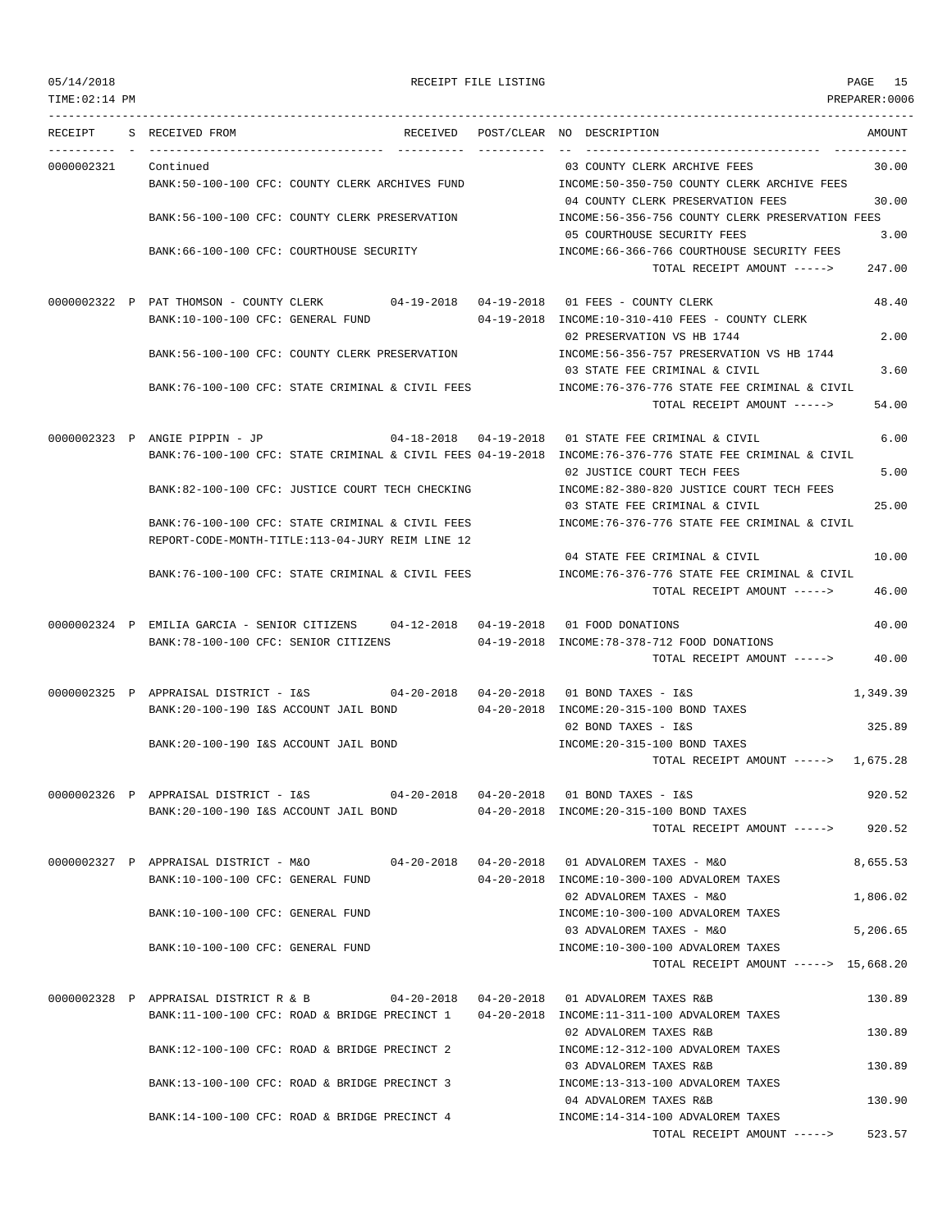TIME:02:14 PM PREPARER:0006 --------------------------------------------------------------------------------------------------------------------------------- RECEIPT S RECEIVED FROM THE RECEIVED POST/CLEAR NO DESCRIPTION THE SECRET AMOUNT ---------- - ----------------------------------- ---------- ---------- -- ----------------------------------- ----------- 0000002321 Continued 03 COUNTY CLERK ARCHIVE FEES 30.00 BANK:50-100-100 CFC: COUNTY CLERK ARCHIVES FUND INCOME:50-350-750 COUNTY CLERK ARCHIVE FEES 04 COUNTY CLERK PRESERVATION FEES 30.00 BANK:56-100-100 CFC: COUNTY CLERK PRESERVATION INCOME:56-356-756 COUNTY CLERK PRESERVATION FEES 05 COURTHOUSE SECURITY FEES 3.00 BANK:66-100-100 CFC: COURTHOUSE SECURITY INCOME:66-366-766 COURTHOUSE SECURITY FEES TOTAL RECEIPT AMOUNT -----> 247.00 0000002322 P PAT THOMSON - COUNTY CLERK 04-19-2018 04-19-2018 01 FEES - COUNTY CLERK 48.40 BANK:10-100-100 CFC: GENERAL FUND 04-19-2018 INCOME:10-310-410 FEES - COUNTY CLERK 02 PRESERVATION VS HB 1744 2.00 BANK:56-100-100 CFC: COUNTY CLERK PRESERVATION INCOME:56-356-757 PRESERVATION VS HB 1744 03 STATE FEE CRIMINAL & CIVIL 3.60 BANK:76-100-100 CFC: STATE CRIMINAL & CIVIL FEES INCOME:76-376-776 STATE FEE CRIMINAL & CIVIL TOTAL RECEIPT AMOUNT -----> 54.00 0000002323 P ANGIE PIPPIN - JP 04-18-2018 04-19-2018 01 STATE FEE CRIMINAL & CIVIL 6.00 BANK:76-100-100 CFC: STATE CRIMINAL & CIVIL FEES 04-19-2018 INCOME:76-376-776 STATE FEE CRIMINAL & CIVIL 02 JUSTICE COURT TECH FEES 5.00 BANK:82-100-100 CFC: JUSTICE COURT TECH CHECKING INCOME:82-380-820 JUSTICE COURT TECH FEES 03 STATE FEE CRIMINAL & CIVIL 25.00 BANK:76-100-100 CFC: STATE CRIMINAL & CIVIL FEES INCOME:76-376-776 STATE FEE CRIMINAL & CIVIL REPORT-CODE-MONTH-TITLE:113-04-JURY REIM LINE 12 04 STATE FEE CRIMINAL & CIVIL 10.00 BANK:76-100-100 CFC: STATE CRIMINAL & CIVIL FEES INCOME:76-376-776 STATE FEE CRIMINAL & CIVIL TOTAL RECEIPT AMOUNT -----> 46.00 0000002324 P EMILIA GARCIA - SENIOR CITIZENS 04-12-2018 04-19-2018 01 FOOD DONATIONS 40.00 BANK:78-100-100 CFC: SENIOR CITIZENS 04-19-2018 INCOME:78-378-712 FOOD DONATIONS TOTAL RECEIPT AMOUNT -----> 40.00 0000002325 P APPRAISAL DISTRICT - I&S 04-20-2018 04-20-2018 01 BOND TAXES - I&S 1,349.39 BANK:20-100-190 I&S ACCOUNT JAIL BOND 04-20-2018 INCOME:20-315-100 BOND TAXES 02 BOND TAXES - I&S 325.89 BANK:20-100-190 I&S ACCOUNT JAIL BOND INCOME:20-315-100 BOND TAXES TOTAL RECEIPT AMOUNT -----> 1,675.28 0000002326 P APPRAISAL DISTRICT - I&S 04-20-2018 04-20-2018 01 BOND TAXES - I&S 920.52 BANK:20-100-190 I&S ACCOUNT JAIL BOND 04-20-2018 INCOME:20-315-100 BOND TAXES TOTAL RECEIPT AMOUNT -----> 920.52 0000002327 P APPRAISAL DISTRICT - M&O 04-20-2018 04-20-2018 01 ADVALOREM TAXES - M&O 8,655.53 BANK:10-100-100 CFC: GENERAL FUND 04-20-2018 INCOME:10-300-100 ADVALOREM TAXES 02 ADVALOREM TAXES - M&O 1,806.02 BANK:10-100-100 CFC: GENERAL FUND INCOME:10-300-100 ADVALOREM TAXES 03 ADVALOREM TAXES - M&O 5,206.65 BANK:10-100-100 CFC: GENERAL FUND INCOME:10-300-100 ADVALOREM TAXES TOTAL RECEIPT AMOUNT -----> 15,668.20 0000002328 P APPRAISAL DISTRICT R & B 04-20-2018 04-20-2018 01 ADVALOREM TAXES R&B 130.89 BANK:11-100-100 CFC: ROAD & BRIDGE PRECINCT 1 04-20-2018 INCOME:11-311-100 ADVALOREM TAXES 02 ADVALOREM TAXES R&B 130.89 BANK:12-100-100 CFC: ROAD & BRIDGE PRECINCT 2 INCOME:12-312-100 ADVALOREM TAXES 03 ADVALOREM TAXES R&B 130.89 BANK:13-100-100 CFC: ROAD & BRIDGE PRECINCT 3 INCOME:13-313-100 ADVALOREM TAXES 04 ADVALOREM TAXES R&B 130.90

BANK:14-100-100 CFC: ROAD & BRIDGE PRECINCT 4 INCOME:14-314-100 ADVALOREM TAXES

TOTAL RECEIPT AMOUNT -----> 523.57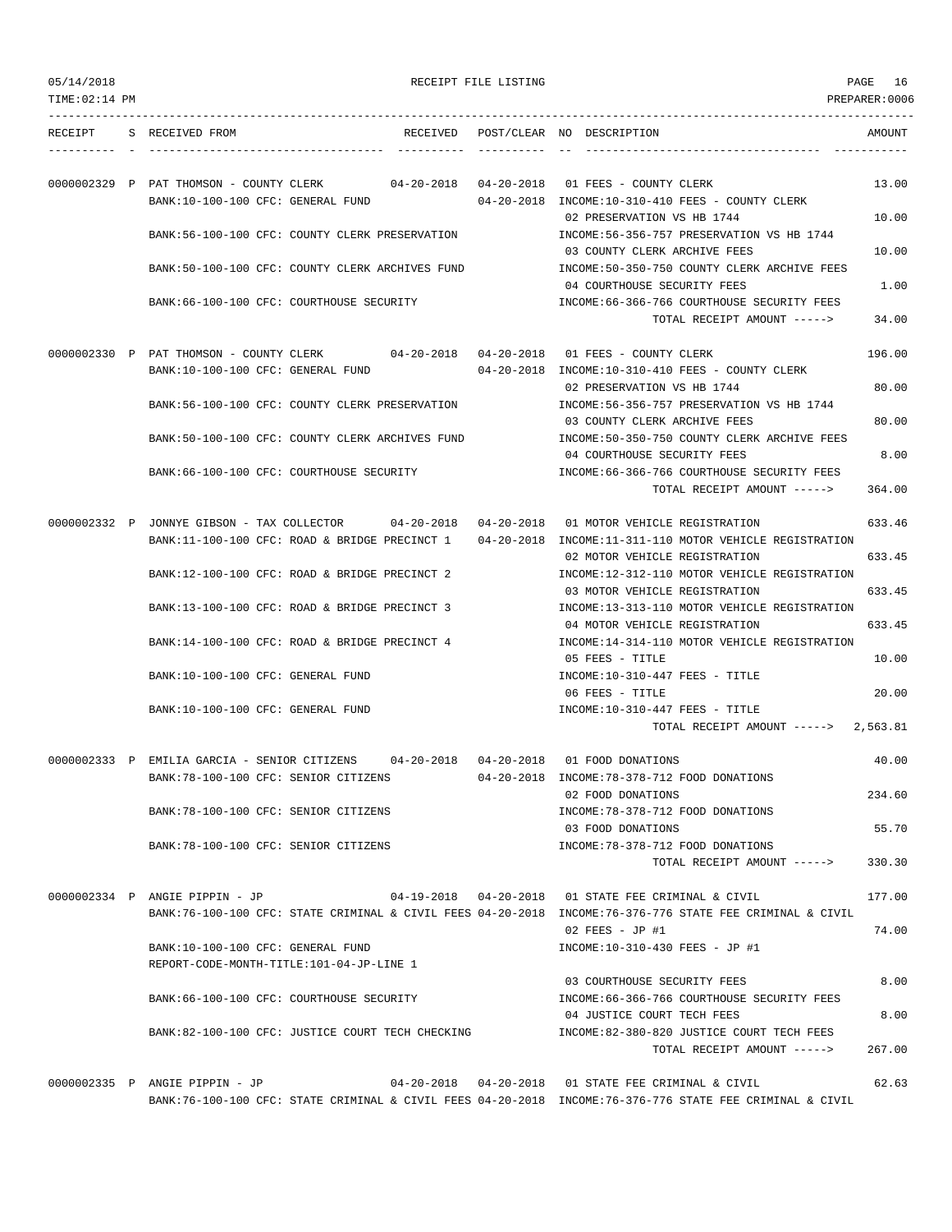| 05/14/2018 |  |
|------------|--|
|------------|--|

RECEIPT FILE LISTING  $PAGE$  16

| TIME: 02:14 PM |                                                                                                                                            | PREPARER:0006                                                                                                             |
|----------------|--------------------------------------------------------------------------------------------------------------------------------------------|---------------------------------------------------------------------------------------------------------------------------|
|                | RECEIPT S RECEIVED FROM                                                                                                                    | RECEIVED POST/CLEAR NO DESCRIPTION<br>AMOUNT                                                                              |
|                | 0000002329 P PAT THOMSON - COUNTY CLERK 04-20-2018 04-20-2018 01 FEES - COUNTY CLERK<br>BANK:10-100-100 CFC: GENERAL FUND                  | 13.00<br>04-20-2018 INCOME:10-310-410 FEES - COUNTY CLERK                                                                 |
|                | BANK:56-100-100 CFC: COUNTY CLERK PRESERVATION                                                                                             | 02 PRESERVATION VS HB 1744<br>10.00<br>INCOME: 56-356-757 PRESERVATION VS HB 1744                                         |
|                | BANK:50-100-100 CFC: COUNTY CLERK ARCHIVES FUND                                                                                            | 03 COUNTY CLERK ARCHIVE FEES<br>10.00<br>INCOME:50-350-750 COUNTY CLERK ARCHIVE FEES                                      |
|                | BANK:66-100-100 CFC: COURTHOUSE SECURITY                                                                                                   | 04 COURTHOUSE SECURITY FEES<br>1.00<br>INCOME: 66-366-766 COURTHOUSE SECURITY FEES                                        |
|                |                                                                                                                                            | 34.00<br>TOTAL RECEIPT AMOUNT ----->                                                                                      |
|                | 0000002330 P PAT THOMSON - COUNTY CLERK 04-20-2018 04-20-2018 01 FEES - COUNTY CLERK<br>BANK:10-100-100 CFC: GENERAL FUND                  | 196.00<br>04-20-2018 INCOME:10-310-410 FEES - COUNTY CLERK                                                                |
|                | BANK:56-100-100 CFC: COUNTY CLERK PRESERVATION                                                                                             | 80.00<br>02 PRESERVATION VS HB 1744<br>INCOME:56-356-757 PRESERVATION VS HB 1744<br>80.00<br>03 COUNTY CLERK ARCHIVE FEES |
|                | BANK:50-100-100 CFC: COUNTY CLERK ARCHIVES FUND                                                                                            | INCOME:50-350-750 COUNTY CLERK ARCHIVE FEES<br>04 COURTHOUSE SECURITY FEES<br>8.00                                        |
|                | BANK:66-100-100 CFC: COURTHOUSE SECURITY                                                                                                   | INCOME: 66-366-766 COURTHOUSE SECURITY FEES<br>364.00<br>TOTAL RECEIPT AMOUNT ----->                                      |
|                | 0000002332 P JONNYE GIBSON - TAX COLLECTOR 04-20-2018 04-20-2018                                                                           | 633.46<br>01 MOTOR VEHICLE REGISTRATION                                                                                   |
|                | BANK:11-100-100 CFC: ROAD & BRIDGE PRECINCT 1 04-20-2018 INCOME:11-311-110 MOTOR VEHICLE REGISTRATION                                      | 633.45<br>02 MOTOR VEHICLE REGISTRATION                                                                                   |
|                | BANK:12-100-100 CFC: ROAD & BRIDGE PRECINCT 2                                                                                              | INCOME:12-312-110 MOTOR VEHICLE REGISTRATION<br>633.45<br>03 MOTOR VEHICLE REGISTRATION                                   |
|                | BANK:13-100-100 CFC: ROAD & BRIDGE PRECINCT 3                                                                                              | INCOME:13-313-110 MOTOR VEHICLE REGISTRATION<br>633.45<br>04 MOTOR VEHICLE REGISTRATION                                   |
|                | BANK:14-100-100 CFC: ROAD & BRIDGE PRECINCT 4                                                                                              | INCOME:14-314-110 MOTOR VEHICLE REGISTRATION<br>05 FEES - TITLE<br>10.00                                                  |
|                | BANK:10-100-100 CFC: GENERAL FUND                                                                                                          | $INCOME: 10-310-447$ FEES - TITLE<br>20.00<br>06 FEES - TITLE                                                             |
|                | BANK:10-100-100 CFC: GENERAL FUND                                                                                                          | $INCOME: 10-310-447$ FEES - TITLE<br>TOTAL RECEIPT AMOUNT $--- 2,563.81$                                                  |
|                | 0000002333 P EMILIA GARCIA - SENIOR CITIZENS 04-20-2018 04-20-2018                                                                         | 40.00<br>01 FOOD DONATIONS                                                                                                |
|                | BANK:78-100-100 CFC: SENIOR CITIZENS                                                                                                       | 04-20-2018 INCOME:78-378-712 FOOD DONATIONS<br>234.60<br>02 FOOD DONATIONS                                                |
|                | BANK: 78-100-100 CFC: SENIOR CITIZENS                                                                                                      | INCOME: 78-378-712 FOOD DONATIONS<br>55.70<br>03 FOOD DONATIONS                                                           |
|                | BANK:78-100-100 CFC: SENIOR CITIZENS                                                                                                       | INCOME: 78-378-712 FOOD DONATIONS<br>330.30<br>TOTAL RECEIPT AMOUNT ----->                                                |
|                | 0000002334 P ANGIE PIPPIN - JP<br>BANK:76-100-100 CFC: STATE CRIMINAL & CIVIL FEES 04-20-2018 INCOME:76-376-776 STATE FEE CRIMINAL & CIVIL | 04-19-2018  04-20-2018  01 STATE FEE CRIMINAL & CIVIL<br>177.00                                                           |
|                | BANK:10-100-100 CFC: GENERAL FUND                                                                                                          | 74.00<br>02 FEES - JP #1<br>INCOME:10-310-430 FEES - JP #1                                                                |
|                | REPORT-CODE-MONTH-TITLE:101-04-JP-LINE 1                                                                                                   |                                                                                                                           |
|                | BANK:66-100-100 CFC: COURTHOUSE SECURITY                                                                                                   | 03 COURTHOUSE SECURITY FEES<br>8.00<br>INCOME:66-366-766 COURTHOUSE SECURITY FEES                                         |
|                | BANK:82-100-100 CFC: JUSTICE COURT TECH CHECKING                                                                                           | 8.00<br>04 JUSTICE COURT TECH FEES<br>INCOME:82-380-820 JUSTICE COURT TECH FEES                                           |
|                |                                                                                                                                            | 267.00<br>TOTAL RECEIPT AMOUNT ----->                                                                                     |
|                | 0000002335 P ANGIE PIPPIN - JP                                                                                                             | 04-20-2018  04-20-2018  01 STATE FEE CRIMINAL & CIVIL<br>62.63                                                            |

BANK:76-100-100 CFC: STATE CRIMINAL & CIVIL FEES 04-20-2018 INCOME:76-376-776 STATE FEE CRIMINAL & CIVIL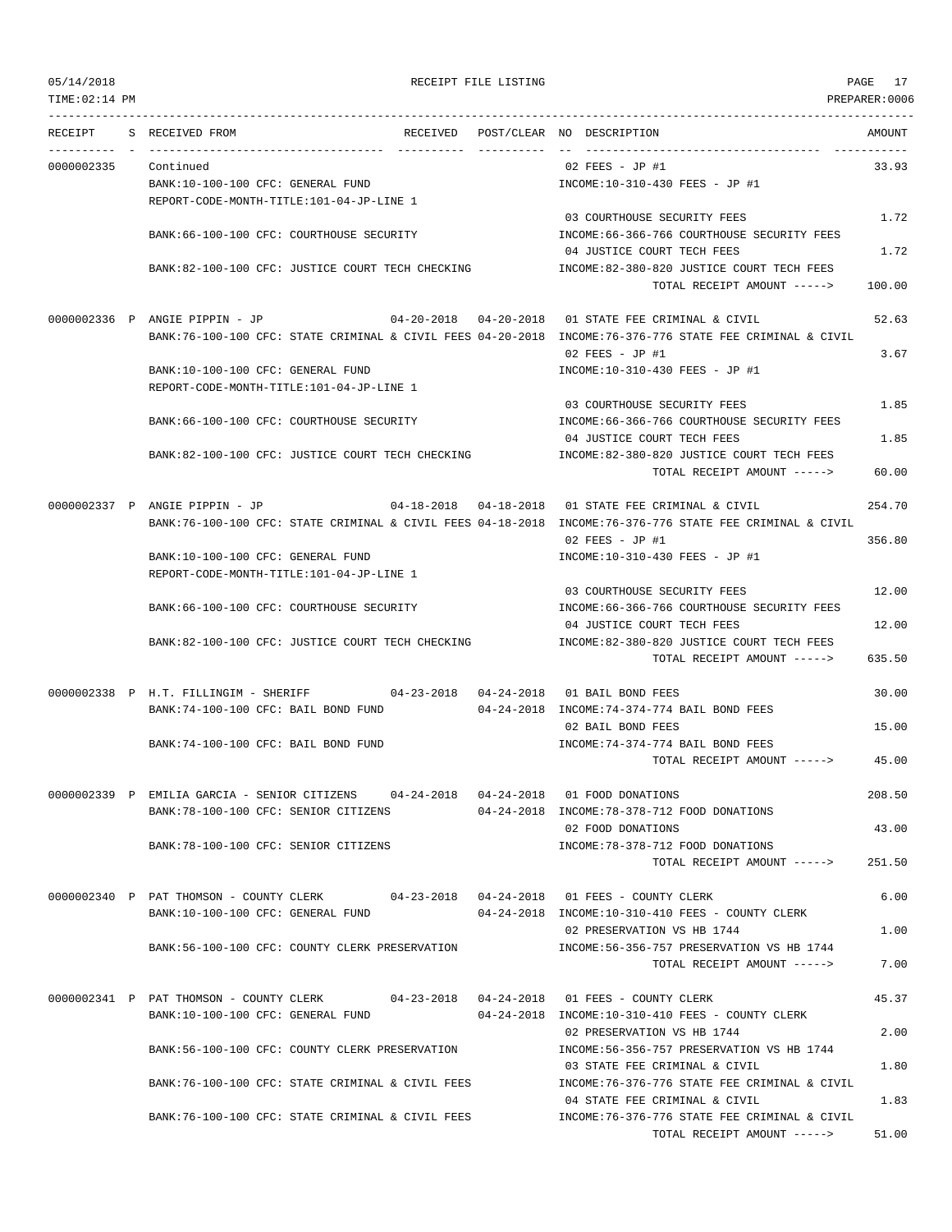| 05/14/2018<br>TIME: 02:14 PM |                                                                               |                                                                                      | RECEIPT FILE LISTING |                                                                                                          | PAGE 17<br>PREPARER: 0006 |
|------------------------------|-------------------------------------------------------------------------------|--------------------------------------------------------------------------------------|----------------------|----------------------------------------------------------------------------------------------------------|---------------------------|
|                              | RECEIPT S RECEIVED FROM                                                       | RECEIVED POST/CLEAR NO DESCRIPTION                                                   |                      |                                                                                                          | AMOUNT                    |
| 0000002335                   | Continued                                                                     |                                                                                      |                      | 02 FEES - JP #1                                                                                          | 33.93                     |
|                              | BANK:10-100-100 CFC: GENERAL FUND                                             |                                                                                      |                      | INCOME:10-310-430 FEES - JP #1                                                                           |                           |
|                              | REPORT-CODE-MONTH-TITLE:101-04-JP-LINE 1                                      |                                                                                      |                      |                                                                                                          |                           |
|                              |                                                                               |                                                                                      |                      | 03 COURTHOUSE SECURITY FEES                                                                              | 1.72                      |
|                              | BANK: 66-100-100 CFC: COURTHOUSE SECURITY                                     |                                                                                      |                      | INCOME: 66-366-766 COURTHOUSE SECURITY FEES                                                              |                           |
|                              |                                                                               |                                                                                      |                      | 04 JUSTICE COURT TECH FEES                                                                               | 1.72                      |
|                              |                                                                               | BANK:82-100-100 CFC: JUSTICE COURT TECH CHECKING                                     |                      | INCOME:82-380-820 JUSTICE COURT TECH FEES                                                                |                           |
|                              |                                                                               |                                                                                      |                      | TOTAL RECEIPT AMOUNT ----->                                                                              | 100.00                    |
|                              |                                                                               |                                                                                      |                      |                                                                                                          |                           |
|                              |                                                                               |                                                                                      |                      |                                                                                                          | 52.63                     |
|                              |                                                                               |                                                                                      |                      | BANK:76-100-100 CFC: STATE CRIMINAL & CIVIL FEES 04-20-2018 INCOME:76-376-776 STATE FEE CRIMINAL & CIVIL |                           |
|                              |                                                                               |                                                                                      |                      | $02$ FEES - JP #1                                                                                        | 3.67                      |
|                              |                                                                               |                                                                                      |                      |                                                                                                          |                           |
|                              | BANK:10-100-100 CFC: GENERAL FUND<br>REPORT-CODE-MONTH-TITLE:101-04-JP-LINE 1 |                                                                                      |                      | INCOME:10-310-430 FEES - JP #1                                                                           |                           |
|                              |                                                                               |                                                                                      |                      |                                                                                                          |                           |
|                              |                                                                               |                                                                                      |                      | 03 COURTHOUSE SECURITY FEES                                                                              | 1.85                      |
|                              | BANK:66-100-100 CFC: COURTHOUSE SECURITY                                      |                                                                                      |                      | INCOME: 66-366-766 COURTHOUSE SECURITY FEES                                                              |                           |
|                              |                                                                               |                                                                                      |                      | 04 JUSTICE COURT TECH FEES                                                                               | 1.85                      |
|                              |                                                                               | BANK:82-100-100 CFC: JUSTICE COURT TECH CHECKING                                     |                      | INCOME:82-380-820 JUSTICE COURT TECH FEES                                                                |                           |
|                              |                                                                               |                                                                                      |                      | TOTAL RECEIPT AMOUNT ----->                                                                              | 60.00                     |
|                              |                                                                               |                                                                                      |                      |                                                                                                          |                           |
|                              |                                                                               |                                                                                      |                      | 0000002337 P ANGIE PIPPIN - JP 04-18-2018 04-18-2018 01 STATE FEE CRIMINAL & CIVIL                       | 254.70                    |
|                              |                                                                               |                                                                                      |                      | BANK:76-100-100 CFC: STATE CRIMINAL & CIVIL FEES 04-18-2018 INCOME:76-376-776 STATE FEE CRIMINAL & CIVIL |                           |
|                              |                                                                               |                                                                                      |                      | $02$ FEES - JP #1                                                                                        | 356.80                    |
|                              | BANK:10-100-100 CFC: GENERAL FUND                                             |                                                                                      |                      | INCOME:10-310-430 FEES - JP #1                                                                           |                           |
|                              | REPORT-CODE-MONTH-TITLE:101-04-JP-LINE 1                                      |                                                                                      |                      |                                                                                                          |                           |
|                              |                                                                               |                                                                                      |                      | 03 COURTHOUSE SECURITY FEES                                                                              | 12.00                     |
|                              | BANK: 66-100-100 CFC: COURTHOUSE SECURITY                                     |                                                                                      |                      | INCOME:66-366-766 COURTHOUSE SECURITY FEES                                                               |                           |
|                              |                                                                               |                                                                                      |                      | 04 JUSTICE COURT TECH FEES                                                                               | 12.00                     |
|                              |                                                                               | BANK:82-100-100 CFC: JUSTICE COURT TECH CHECKING                                     |                      | INCOME:82-380-820 JUSTICE COURT TECH FEES                                                                |                           |
|                              |                                                                               |                                                                                      |                      | TOTAL RECEIPT AMOUNT ----->                                                                              | 635.50                    |
|                              |                                                                               | 0000002338 P H.T. FILLINGIM - SHERIFF 04-23-2018 04-24-2018 01 BAIL BOND FEES        |                      |                                                                                                          |                           |
|                              |                                                                               |                                                                                      |                      |                                                                                                          | 30.00                     |
|                              | BANK:74-100-100 CFC: BAIL BOND FUND                                           |                                                                                      |                      | 04-24-2018 INCOME:74-374-774 BAIL BOND FEES                                                              |                           |
|                              |                                                                               |                                                                                      |                      | 02 BAIL BOND FEES                                                                                        | 15.00                     |
|                              | BANK:74-100-100 CFC: BAIL BOND FUND                                           |                                                                                      |                      | INCOME: 74-374-774 BAIL BOND FEES                                                                        |                           |
|                              |                                                                               |                                                                                      |                      | TOTAL RECEIPT AMOUNT ----->                                                                              | 45.00                     |
|                              |                                                                               |                                                                                      |                      |                                                                                                          |                           |
|                              |                                                                               | 0000002339 P EMILIA GARCIA - SENIOR CITIZENS 04-24-2018 04-24-2018 01 FOOD DONATIONS |                      |                                                                                                          | 208.50                    |
|                              | BANK: 78-100-100 CFC: SENIOR CITIZENS                                         |                                                                                      |                      | 04-24-2018 INCOME:78-378-712 FOOD DONATIONS                                                              | 43.00                     |
|                              | BANK: 78-100-100 CFC: SENIOR CITIZENS                                         |                                                                                      |                      | 02 FOOD DONATIONS<br>INCOME: 78-378-712 FOOD DONATIONS                                                   |                           |
|                              |                                                                               |                                                                                      |                      | TOTAL RECEIPT AMOUNT ----->                                                                              | 251.50                    |
|                              |                                                                               |                                                                                      |                      |                                                                                                          |                           |
|                              |                                                                               | 0000002340 P PAT THOMSON - COUNTY CLERK 04-23-2018 04-24-2018 01 FEES - COUNTY CLERK |                      |                                                                                                          | 6.00                      |
|                              | BANK:10-100-100 CFC: GENERAL FUND                                             |                                                                                      |                      | 04-24-2018 INCOME:10-310-410 FEES - COUNTY CLERK                                                         |                           |
|                              |                                                                               |                                                                                      |                      | 02 PRESERVATION VS HB 1744                                                                               | 1.00                      |
|                              |                                                                               | BANK:56-100-100 CFC: COUNTY CLERK PRESERVATION                                       |                      | INCOME: 56-356-757 PRESERVATION VS HB 1744                                                               |                           |
|                              |                                                                               |                                                                                      |                      | TOTAL RECEIPT AMOUNT ----->                                                                              | 7.00                      |
|                              |                                                                               |                                                                                      |                      |                                                                                                          |                           |
|                              |                                                                               | 0000002341 P PAT THOMSON - COUNTY CLERK 04-23-2018 04-24-2018 01 FEES - COUNTY CLERK |                      |                                                                                                          | 45.37                     |
|                              | BANK:10-100-100 CFC: GENERAL FUND                                             |                                                                                      |                      | 04-24-2018 INCOME:10-310-410 FEES - COUNTY CLERK                                                         |                           |
|                              |                                                                               |                                                                                      |                      | 02 PRESERVATION VS HB 1744                                                                               | 2.00                      |
|                              |                                                                               | BANK:56-100-100 CFC: COUNTY CLERK PRESERVATION                                       |                      | INCOME: 56-356-757 PRESERVATION VS HB 1744                                                               |                           |
|                              |                                                                               |                                                                                      |                      | 03 STATE FEE CRIMINAL & CIVIL                                                                            | 1.80                      |
|                              |                                                                               | BANK:76-100-100 CFC: STATE CRIMINAL & CIVIL FEES                                     |                      | INCOME: 76-376-776 STATE FEE CRIMINAL & CIVIL                                                            |                           |
|                              |                                                                               |                                                                                      |                      | 04 STATE FEE CRIMINAL & CIVIL                                                                            | 1.83                      |
|                              |                                                                               | BANK:76-100-100 CFC: STATE CRIMINAL & CIVIL FEES                                     |                      | INCOME:76-376-776 STATE FEE CRIMINAL & CIVIL                                                             |                           |
|                              |                                                                               |                                                                                      |                      | TOTAL RECEIPT AMOUNT ----->                                                                              | 51.00                     |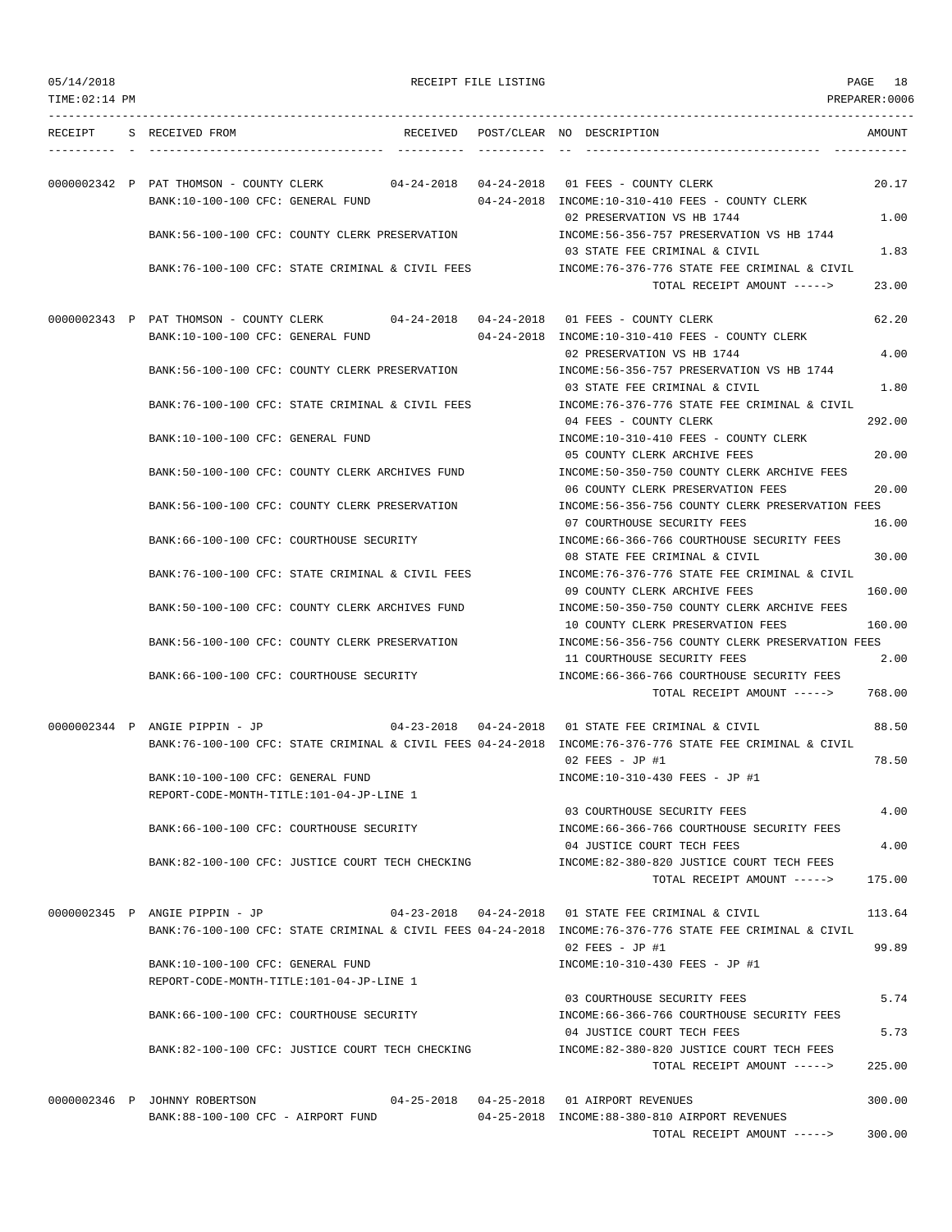| 05/14/2018 |  |
|------------|--|
|------------|--|

RECEIPT FILE LISTING **PAGE** 18

| TIME:02:14 PM |                                                                                      |  |                                                                                                          | PREPARER:0006 |
|---------------|--------------------------------------------------------------------------------------|--|----------------------------------------------------------------------------------------------------------|---------------|
| RECEIPT       | S RECEIVED FROM                                                                      |  | RECEIVED POST/CLEAR NO DESCRIPTION                                                                       | AMOUNT        |
|               |                                                                                      |  |                                                                                                          |               |
|               | 0000002342 P PAT THOMSON - COUNTY CLERK 04-24-2018 04-24-2018 01 FEES - COUNTY CLERK |  |                                                                                                          | 20.17         |
|               | BANK:10-100-100 CFC: GENERAL FUND                                                    |  | 04-24-2018 INCOME:10-310-410 FEES - COUNTY CLERK                                                         |               |
|               | BANK:56-100-100 CFC: COUNTY CLERK PRESERVATION                                       |  | 02 PRESERVATION VS HB 1744<br>INCOME: 56-356-757 PRESERVATION VS HB 1744                                 | 1.00          |
|               |                                                                                      |  | 03 STATE FEE CRIMINAL & CIVIL                                                                            | 1.83          |
|               | BANK:76-100-100 CFC: STATE CRIMINAL & CIVIL FEES                                     |  | INCOME:76-376-776 STATE FEE CRIMINAL & CIVIL                                                             |               |
|               |                                                                                      |  | TOTAL RECEIPT AMOUNT ----->                                                                              | 23.00         |
|               | 0000002343 P PAT THOMSON - COUNTY CLERK 04-24-2018 04-24-2018 01 FEES - COUNTY CLERK |  |                                                                                                          | 62.20         |
|               | BANK:10-100-100 CFC: GENERAL FUND                                                    |  | $04-24-2018$ INCOME:10-310-410 FEES - COUNTY CLERK                                                       |               |
|               |                                                                                      |  | 02 PRESERVATION VS HB 1744                                                                               | 4.00          |
|               | BANK:56-100-100 CFC: COUNTY CLERK PRESERVATION                                       |  | INCOME: 56-356-757 PRESERVATION VS HB 1744                                                               |               |
|               |                                                                                      |  | 03 STATE FEE CRIMINAL & CIVIL                                                                            | 1.80          |
|               | BANK:76-100-100 CFC: STATE CRIMINAL & CIVIL FEES                                     |  | INCOME:76-376-776 STATE FEE CRIMINAL & CIVIL                                                             |               |
|               | BANK:10-100-100 CFC: GENERAL FUND                                                    |  | 04 FEES - COUNTY CLERK<br>INCOME:10-310-410 FEES - COUNTY CLERK                                          | 292.00        |
|               |                                                                                      |  | 05 COUNTY CLERK ARCHIVE FEES                                                                             | 20.00         |
|               | BANK:50-100-100 CFC: COUNTY CLERK ARCHIVES FUND                                      |  | INCOME:50-350-750 COUNTY CLERK ARCHIVE FEES                                                              |               |
|               |                                                                                      |  | 06 COUNTY CLERK PRESERVATION FEES                                                                        | 20.00         |
|               | BANK:56-100-100 CFC: COUNTY CLERK PRESERVATION                                       |  | INCOME:56-356-756 COUNTY CLERK PRESERVATION FEES                                                         |               |
|               |                                                                                      |  | 07 COURTHOUSE SECURITY FEES                                                                              | 16.00         |
|               | BANK:66-100-100 CFC: COURTHOUSE SECURITY                                             |  | INCOME:66-366-766 COURTHOUSE SECURITY FEES                                                               |               |
|               |                                                                                      |  | 08 STATE FEE CRIMINAL & CIVIL                                                                            | 30.00         |
|               | BANK:76-100-100 CFC: STATE CRIMINAL & CIVIL FEES                                     |  | INCOME: 76-376-776 STATE FEE CRIMINAL & CIVIL<br>09 COUNTY CLERK ARCHIVE FEES                            | 160.00        |
|               | BANK:50-100-100 CFC: COUNTY CLERK ARCHIVES FUND                                      |  | INCOME:50-350-750 COUNTY CLERK ARCHIVE FEES                                                              |               |
|               |                                                                                      |  | 10 COUNTY CLERK PRESERVATION FEES                                                                        | 160.00        |
|               | BANK:56-100-100 CFC: COUNTY CLERK PRESERVATION                                       |  | INCOME:56-356-756 COUNTY CLERK PRESERVATION FEES                                                         |               |
|               |                                                                                      |  | 11 COURTHOUSE SECURITY FEES                                                                              | 2.00          |
|               | BANK:66-100-100 CFC: COURTHOUSE SECURITY                                             |  | INCOME: 66-366-766 COURTHOUSE SECURITY FEES<br>TOTAL RECEIPT AMOUNT ----->                               | 768.00        |
|               | 0000002344 P ANGIE PIPPIN - JP                                                       |  | $04-23-2018$ $04-24-2018$ 01 STATE FEE CRIMINAL & CIVIL                                                  | 88.50         |
|               |                                                                                      |  | BANK:76-100-100 CFC: STATE CRIMINAL & CIVIL FEES 04-24-2018 INCOME:76-376-776 STATE FEE CRIMINAL & CIVIL |               |
|               |                                                                                      |  | $02$ FEES - JP #1                                                                                        | 78.50         |
|               | BANK:10-100-100 CFC: GENERAL FUND                                                    |  | INCOME:10-310-430 FEES - JP #1                                                                           |               |
|               | REPORT-CODE-MONTH-TITLE:101-04-JP-LINE 1                                             |  |                                                                                                          |               |
|               |                                                                                      |  | 03 COURTHOUSE SECURITY FEES                                                                              | 4.00          |
|               | BANK:66-100-100 CFC: COURTHOUSE SECURITY                                             |  | INCOME: 66-366-766 COURTHOUSE SECURITY FEES                                                              |               |
|               | BANK:82-100-100 CFC: JUSTICE COURT TECH CHECKING                                     |  | 04 JUSTICE COURT TECH FEES<br>INCOME:82-380-820 JUSTICE COURT TECH FEES                                  | 4.00          |
|               |                                                                                      |  | TOTAL RECEIPT AMOUNT ----->                                                                              | 175.00        |
|               |                                                                                      |  |                                                                                                          |               |
|               | 0000002345 P ANGIE PIPPIN - JP                                                       |  | 04-23-2018  04-24-2018  01 STATE FEE CRIMINAL & CIVIL                                                    | 113.64        |
|               |                                                                                      |  | BANK:76-100-100 CFC: STATE CRIMINAL & CIVIL FEES 04-24-2018 INCOME:76-376-776 STATE FEE CRIMINAL & CIVIL |               |
|               |                                                                                      |  | $02$ FEES - JP #1                                                                                        | 99.89         |
|               | BANK:10-100-100 CFC: GENERAL FUND                                                    |  | INCOME:10-310-430 FEES - JP #1                                                                           |               |
|               | REPORT-CODE-MONTH-TITLE:101-04-JP-LINE 1                                             |  | 03 COURTHOUSE SECURITY FEES                                                                              | 5.74          |
|               | BANK:66-100-100 CFC: COURTHOUSE SECURITY                                             |  | INCOME: 66-366-766 COURTHOUSE SECURITY FEES                                                              |               |
|               |                                                                                      |  | 04 JUSTICE COURT TECH FEES                                                                               | 5.73          |
|               | BANK:82-100-100 CFC: JUSTICE COURT TECH CHECKING                                     |  | INCOME:82-380-820 JUSTICE COURT TECH FEES                                                                |               |
|               |                                                                                      |  | TOTAL RECEIPT AMOUNT ----->                                                                              | 225.00        |
|               |                                                                                      |  |                                                                                                          |               |
|               | 0000002346 P JOHNNY ROBERTSON                                                        |  | 04-25-2018  04-25-2018  01 AIRPORT REVENUES                                                              | 300.00        |
|               | BANK:88-100-100 CFC - AIRPORT FUND                                                   |  | 04-25-2018 INCOME:88-380-810 AIRPORT REVENUES<br>TOTAL RECEIPT AMOUNT ----->                             | 300.00        |
|               |                                                                                      |  |                                                                                                          |               |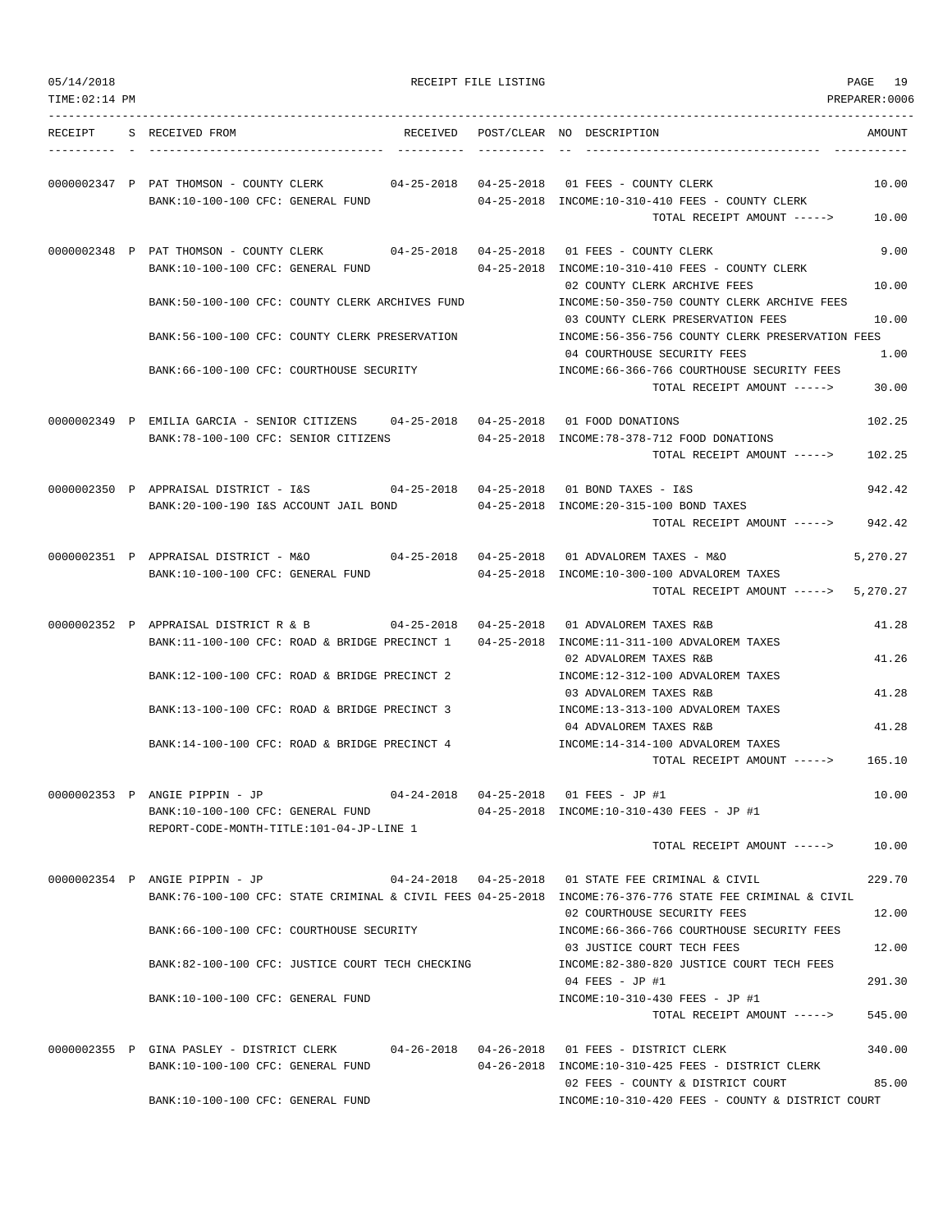| 05/14/2018<br>$TIME: 02:14$ PM |                                                                                                                              |                         | RECEIPT FILE LISTING |                                                                                                                                                                                                  | PAGE<br>19<br>PREPARER: 0006 |
|--------------------------------|------------------------------------------------------------------------------------------------------------------------------|-------------------------|----------------------|--------------------------------------------------------------------------------------------------------------------------------------------------------------------------------------------------|------------------------------|
|                                | RECEIPT S RECEIVED FROM                                                                                                      |                         |                      | RECEIVED POST/CLEAR NO DESCRIPTION                                                                                                                                                               | AMOUNT                       |
|                                | 0000002347 P PAT THOMSON - COUNTY CLERK<br>BANK:10-100-100 CFC: GENERAL FUND                                                 |                         |                      | 04-25-2018  04-25-2018  01  FEES - COUNTY CLERK<br>04-25-2018 INCOME:10-310-410 FEES - COUNTY CLERK<br>TOTAL RECEIPT AMOUNT ----->                                                               | 10.00<br>10.00               |
|                                | 0000002348 P PAT THOMSON - COUNTY CLERK<br>BANK:10-100-100 CFC: GENERAL FUND                                                 | $04-25-2018$ 04-25-2018 |                      | 01 FEES - COUNTY CLERK<br>04-25-2018 INCOME:10-310-410 FEES - COUNTY CLERK                                                                                                                       | 9.00                         |
|                                | BANK:50-100-100 CFC: COUNTY CLERK ARCHIVES FUND                                                                              |                         |                      | 02 COUNTY CLERK ARCHIVE FEES<br>INCOME: 50-350-750 COUNTY CLERK ARCHIVE FEES                                                                                                                     | 10.00                        |
|                                | BANK:56-100-100 CFC: COUNTY CLERK PRESERVATION                                                                               |                         |                      | 03 COUNTY CLERK PRESERVATION FEES<br>INCOME:56-356-756 COUNTY CLERK PRESERVATION FEES                                                                                                            | 10.00                        |
|                                | BANK:66-100-100 CFC: COURTHOUSE SECURITY                                                                                     |                         |                      | 04 COURTHOUSE SECURITY FEES<br>INCOME:66-366-766 COURTHOUSE SECURITY FEES<br>TOTAL RECEIPT AMOUNT ----->                                                                                         | 1.00<br>30.00                |
|                                | 0000002349 P EMILIA GARCIA - SENIOR CITIZENS 04-25-2018 04-25-2018 01 FOOD DONATIONS<br>BANK:78-100-100 CFC: SENIOR CITIZENS |                         |                      | 04-25-2018 INCOME:78-378-712 FOOD DONATIONS<br>TOTAL RECEIPT AMOUNT ----->                                                                                                                       | 102.25<br>102.25             |
|                                | 0000002350 P APPRAISAL DISTRICT - I&S<br>BANK: 20-100-190 I&S ACCOUNT JAIL BOND                                              |                         |                      | $04-25-2018$ $04-25-2018$ 01 BOND TAXES - I&S<br>04-25-2018 INCOME: 20-315-100 BOND TAXES<br>TOTAL RECEIPT AMOUNT ----->                                                                         | 942.42<br>942.42             |
|                                | 0000002351 P APPRAISAL DISTRICT - M&O<br>BANK:10-100-100 CFC: GENERAL FUND                                                   |                         |                      | 04-25-2018 INCOME:10-300-100 ADVALOREM TAXES<br>TOTAL RECEIPT AMOUNT ----->                                                                                                                      | 5,270.27<br>5,270.27         |
|                                | 0000002352 P APPRAISAL DISTRICT R & B<br>BANK:11-100-100 CFC: ROAD & BRIDGE PRECINCT 1                                       | $04 - 25 - 2018$        | $04 - 25 - 2018$     | 01 ADVALOREM TAXES R&B<br>04-25-2018 INCOME:11-311-100 ADVALOREM TAXES<br>02 ADVALOREM TAXES R&B                                                                                                 | 41.28<br>41.26               |
|                                | BANK:12-100-100 CFC: ROAD & BRIDGE PRECINCT 2                                                                                |                         |                      | INCOME:12-312-100 ADVALOREM TAXES<br>03 ADVALOREM TAXES R&B                                                                                                                                      | 41.28                        |
|                                | BANK:13-100-100 CFC: ROAD & BRIDGE PRECINCT 3                                                                                |                         |                      | INCOME:13-313-100 ADVALOREM TAXES<br>04 ADVALOREM TAXES R&B                                                                                                                                      | 41.28                        |
|                                | BANK:14-100-100 CFC: ROAD & BRIDGE PRECINCT 4                                                                                |                         |                      | INCOME:14-314-100 ADVALOREM TAXES<br>TOTAL RECEIPT AMOUNT ----->                                                                                                                                 | 165.10                       |
|                                | 0000002353 P ANGIE PIPPIN - JP<br>BANK:10-100-100 CFC: GENERAL FUND<br>REPORT-CODE-MONTH-TITLE:101-04-JP-LINE 1              |                         |                      | 04-24-2018  04-25-2018  01 FEES - JP #1<br>04-25-2018 INCOME:10-310-430 FEES - JP #1                                                                                                             | 10.00                        |
|                                |                                                                                                                              |                         |                      | TOTAL RECEIPT AMOUNT ----->                                                                                                                                                                      | 10.00                        |
|                                | 0000002354 P ANGIE PIPPIN - JP                                                                                               |                         |                      | 04-24-2018  04-25-2018  01 STATE FEE CRIMINAL & CIVIL<br>BANK:76-100-100 CFC: STATE CRIMINAL & CIVIL FEES 04-25-2018 INCOME:76-376-776 STATE FEE CRIMINAL & CIVIL<br>02 COURTHOUSE SECURITY FEES | 229.70<br>12.00              |
|                                | BANK:66-100-100 CFC: COURTHOUSE SECURITY                                                                                     |                         |                      | INCOME:66-366-766 COURTHOUSE SECURITY FEES<br>03 JUSTICE COURT TECH FEES                                                                                                                         | 12.00                        |
|                                | BANK:82-100-100 CFC: JUSTICE COURT TECH CHECKING                                                                             |                         |                      | INCOME:82-380-820 JUSTICE COURT TECH FEES<br>04 FEES - JP #1                                                                                                                                     | 291.30                       |
|                                | BANK:10-100-100 CFC: GENERAL FUND                                                                                            |                         |                      | INCOME:10-310-430 FEES - JP #1<br>TOTAL RECEIPT AMOUNT ----->                                                                                                                                    | 545.00                       |
|                                | 0000002355 P GINA PASLEY - DISTRICT CLERK<br>BANK:10-100-100 CFC: GENERAL FUND                                               |                         |                      | 04-26-2018  04-26-2018  01  FEES - DISTRICT CLERK<br>04-26-2018 INCOME:10-310-425 FEES - DISTRICT CLERK<br>02 FEES - COUNTY & DISTRICT COURT                                                     | 340.00<br>85.00              |
|                                | BANK:10-100-100 CFC: GENERAL FUND                                                                                            |                         |                      | INCOME:10-310-420 FEES - COUNTY & DISTRICT COURT                                                                                                                                                 |                              |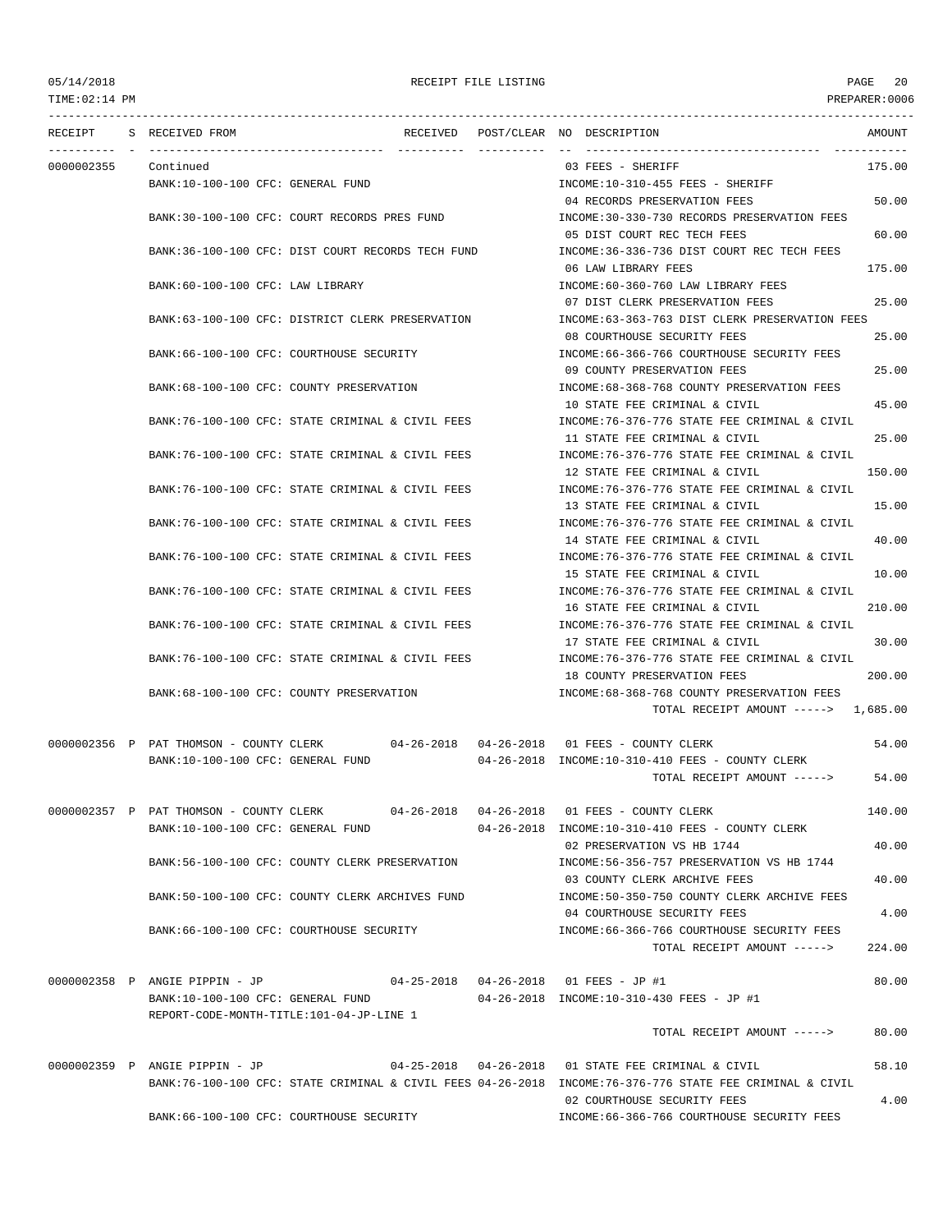TIME:02:14 PM PREPARER:0006

# 05/14/2018 RECEIPT FILE LISTING PAGE 20

| RECEIPT    | S RECEIVED FROM                                                                      |  | RECEIVED POST/CLEAR NO DESCRIPTION<br>AMOUNT                                                             |       |
|------------|--------------------------------------------------------------------------------------|--|----------------------------------------------------------------------------------------------------------|-------|
| 0000002355 | Continued                                                                            |  | 175.00<br>03 FEES - SHERIFF                                                                              |       |
|            | BANK:10-100-100 CFC: GENERAL FUND                                                    |  | INCOME:10-310-455 FEES - SHERIFF                                                                         |       |
|            |                                                                                      |  | 04 RECORDS PRESERVATION FEES                                                                             | 50.00 |
|            | BANK:30-100-100 CFC: COURT RECORDS PRES FUND                                         |  | INCOME:30-330-730 RECORDS PRESERVATION FEES                                                              |       |
|            |                                                                                      |  |                                                                                                          |       |
|            |                                                                                      |  | 05 DIST COURT REC TECH FEES                                                                              | 60.00 |
|            | BANK:36-100-100 CFC: DIST COURT RECORDS TECH FUND                                    |  | INCOME:36-336-736 DIST COURT REC TECH FEES                                                               |       |
|            |                                                                                      |  | 175.00<br>06 LAW LIBRARY FEES                                                                            |       |
|            | BANK:60-100-100 CFC: LAW LIBRARY                                                     |  | INCOME:60-360-760 LAW LIBRARY FEES                                                                       |       |
|            |                                                                                      |  | 07 DIST CLERK PRESERVATION FEES                                                                          | 25.00 |
|            | BANK:63-100-100 CFC: DISTRICT CLERK PRESERVATION                                     |  | INCOME:63-363-763 DIST CLERK PRESERVATION FEES                                                           |       |
|            |                                                                                      |  | 08 COURTHOUSE SECURITY FEES                                                                              | 25.00 |
|            | BANK:66-100-100 CFC: COURTHOUSE SECURITY                                             |  | INCOME: 66-366-766 COURTHOUSE SECURITY FEES                                                              |       |
|            |                                                                                      |  | 09 COUNTY PRESERVATION FEES                                                                              | 25.00 |
|            | BANK:68-100-100 CFC: COUNTY PRESERVATION                                             |  | INCOME:68-368-768 COUNTY PRESERVATION FEES                                                               |       |
|            |                                                                                      |  | 10 STATE FEE CRIMINAL & CIVIL                                                                            | 45.00 |
|            | BANK:76-100-100 CFC: STATE CRIMINAL & CIVIL FEES                                     |  | INCOME:76-376-776 STATE FEE CRIMINAL & CIVIL                                                             |       |
|            |                                                                                      |  | 11 STATE FEE CRIMINAL & CIVIL                                                                            | 25.00 |
|            | BANK:76-100-100 CFC: STATE CRIMINAL & CIVIL FEES                                     |  | INCOME:76-376-776 STATE FEE CRIMINAL & CIVIL                                                             |       |
|            |                                                                                      |  | 12 STATE FEE CRIMINAL & CIVIL<br>150.00                                                                  |       |
|            | BANK:76-100-100 CFC: STATE CRIMINAL & CIVIL FEES                                     |  | INCOME:76-376-776 STATE FEE CRIMINAL & CIVIL                                                             |       |
|            |                                                                                      |  | 13 STATE FEE CRIMINAL & CIVIL                                                                            | 15.00 |
|            | BANK:76-100-100 CFC: STATE CRIMINAL & CIVIL FEES                                     |  | INCOME:76-376-776 STATE FEE CRIMINAL & CIVIL                                                             |       |
|            |                                                                                      |  |                                                                                                          |       |
|            |                                                                                      |  | 14 STATE FEE CRIMINAL & CIVIL                                                                            | 40.00 |
|            | BANK:76-100-100 CFC: STATE CRIMINAL & CIVIL FEES                                     |  | INCOME:76-376-776 STATE FEE CRIMINAL & CIVIL                                                             |       |
|            |                                                                                      |  | 15 STATE FEE CRIMINAL & CIVIL                                                                            | 10.00 |
|            | BANK:76-100-100 CFC: STATE CRIMINAL & CIVIL FEES                                     |  | INCOME:76-376-776 STATE FEE CRIMINAL & CIVIL                                                             |       |
|            |                                                                                      |  | 16 STATE FEE CRIMINAL & CIVIL<br>210.00                                                                  |       |
|            | BANK:76-100-100 CFC: STATE CRIMINAL & CIVIL FEES                                     |  | INCOME:76-376-776 STATE FEE CRIMINAL & CIVIL                                                             |       |
|            |                                                                                      |  | 17 STATE FEE CRIMINAL & CIVIL                                                                            | 30.00 |
|            | BANK:76-100-100 CFC: STATE CRIMINAL & CIVIL FEES                                     |  | INCOME: 76-376-776 STATE FEE CRIMINAL & CIVIL                                                            |       |
|            |                                                                                      |  | 200.00<br>18 COUNTY PRESERVATION FEES                                                                    |       |
|            | BANK:68-100-100 CFC: COUNTY PRESERVATION                                             |  | INCOME: 68-368-768 COUNTY PRESERVATION FEES                                                              |       |
|            |                                                                                      |  | TOTAL RECEIPT AMOUNT -----> 1,685.00                                                                     |       |
|            |                                                                                      |  |                                                                                                          |       |
|            | 0000002356 P PAT THOMSON - COUNTY CLERK 04-26-2018 04-26-2018 01 FEES - COUNTY CLERK |  |                                                                                                          | 54.00 |
|            | BANK:10-100-100 CFC: GENERAL FUND                                                    |  | $04-26-2018$ INCOME:10-310-410 FEES - COUNTY CLERK                                                       |       |
|            |                                                                                      |  | TOTAL RECEIPT AMOUNT ----->                                                                              | 54.00 |
|            |                                                                                      |  |                                                                                                          |       |
|            | 0000002357 P PAT THOMSON - COUNTY CLERK                                              |  | 140.00                                                                                                   |       |
|            | BANK:10-100-100 CFC: GENERAL FUND                                                    |  | 04-26-2018 INCOME:10-310-410 FEES - COUNTY CLERK                                                         |       |
|            |                                                                                      |  | 02 PRESERVATION VS HB 1744                                                                               | 40.00 |
|            | BANK:56-100-100 CFC: COUNTY CLERK PRESERVATION                                       |  | INCOME: 56-356-757 PRESERVATION VS HB 1744                                                               |       |
|            |                                                                                      |  | 03 COUNTY CLERK ARCHIVE FEES                                                                             | 40.00 |
|            | BANK:50-100-100 CFC: COUNTY CLERK ARCHIVES FUND                                      |  | INCOME: 50-350-750 COUNTY CLERK ARCHIVE FEES                                                             |       |
|            |                                                                                      |  | 04 COURTHOUSE SECURITY FEES                                                                              | 4.00  |
|            | BANK:66-100-100 CFC: COURTHOUSE SECURITY                                             |  | INCOME: 66-366-766 COURTHOUSE SECURITY FEES                                                              |       |
|            |                                                                                      |  | TOTAL RECEIPT AMOUNT -----><br>224.00                                                                    |       |
|            |                                                                                      |  |                                                                                                          |       |
|            | 0000002358 P ANGIE PIPPIN - JP                                                       |  | 04-25-2018  04-26-2018  01 FEES - JP #1                                                                  | 80.00 |
|            | BANK:10-100-100 CFC: GENERAL FUND                                                    |  | 04-26-2018 INCOME:10-310-430 FEES - JP #1                                                                |       |
|            | REPORT-CODE-MONTH-TITLE:101-04-JP-LINE 1                                             |  |                                                                                                          |       |
|            |                                                                                      |  | TOTAL RECEIPT AMOUNT ----->                                                                              | 80.00 |
|            |                                                                                      |  |                                                                                                          |       |
|            | 0000002359 P ANGIE PIPPIN - JP                                                       |  | 04-25-2018  04-26-2018  01 STATE FEE CRIMINAL & CIVIL                                                    | 58.10 |
|            |                                                                                      |  | BANK:76-100-100 CFC: STATE CRIMINAL & CIVIL FEES 04-26-2018 INCOME:76-376-776 STATE FEE CRIMINAL & CIVIL |       |
|            |                                                                                      |  | 02 COURTHOUSE SECURITY FEES                                                                              | 4.00  |
|            | BANK:66-100-100 CFC: COURTHOUSE SECURITY                                             |  | INCOME:66-366-766 COURTHOUSE SECURITY FEES                                                               |       |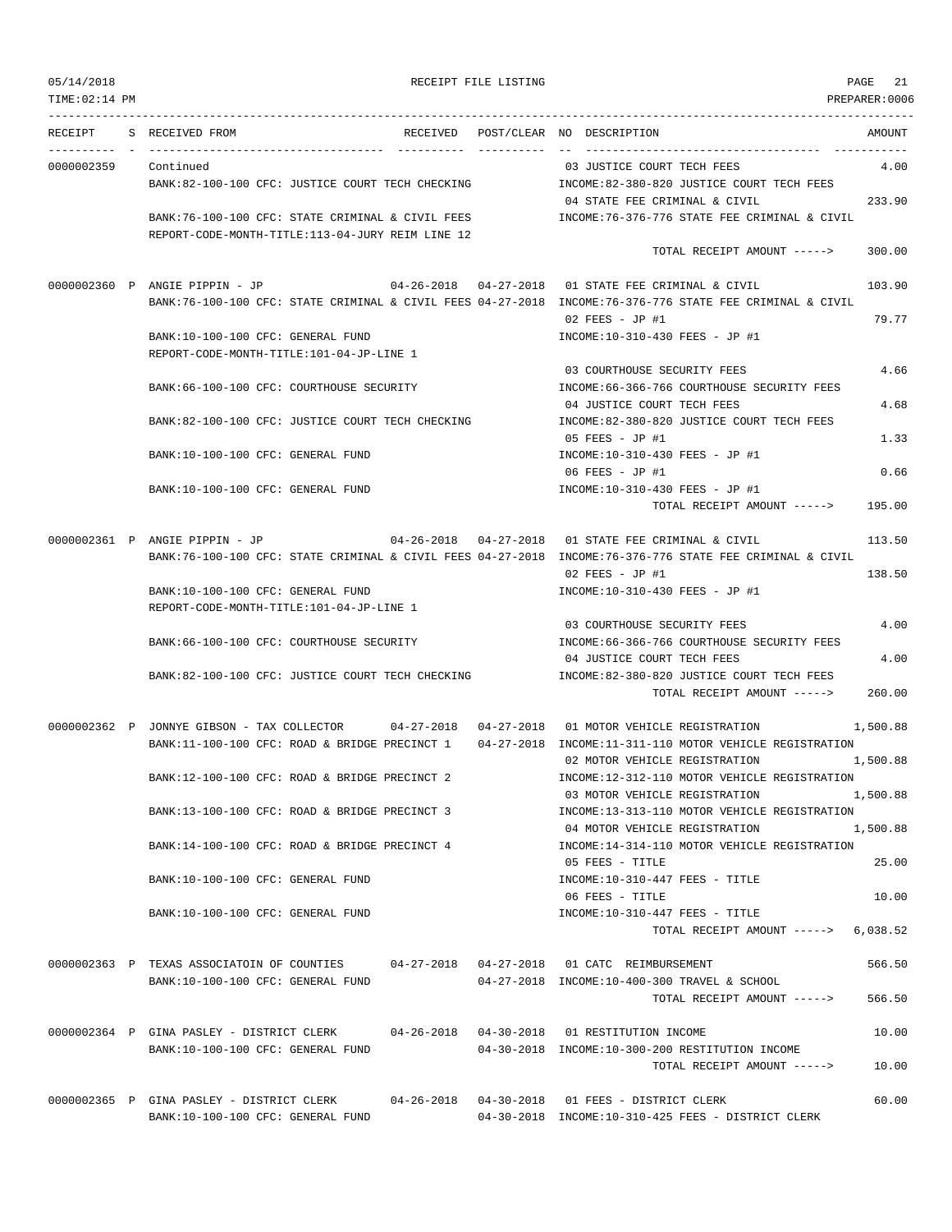| 05/14/2018<br>TIME: 02:14 PM |                                                                                                                                            | RECEIPT FILE LISTING |                                                                               | PAGE 21<br>PREPARER: 0006 |
|------------------------------|--------------------------------------------------------------------------------------------------------------------------------------------|----------------------|-------------------------------------------------------------------------------|---------------------------|
|                              |                                                                                                                                            |                      |                                                                               |                           |
|                              | RECEIPT S RECEIVED FROM                                                                                                                    |                      | RECEIVED POST/CLEAR NO DESCRIPTION                                            | AMOUNT                    |
| 0000002359                   | Continued                                                                                                                                  |                      | 03 JUSTICE COURT TECH FEES                                                    | 4.00                      |
|                              | BANK:82-100-100 CFC: JUSTICE COURT TECH CHECKING                                                                                           |                      | INCOME:82-380-820 JUSTICE COURT TECH FEES                                     |                           |
|                              |                                                                                                                                            |                      | 04 STATE FEE CRIMINAL & CIVIL                                                 | 233.90                    |
|                              | BANK:76-100-100 CFC: STATE CRIMINAL & CIVIL FEES                                                                                           |                      | INCOME:76-376-776 STATE FEE CRIMINAL & CIVIL                                  |                           |
|                              | REPORT-CODE-MONTH-TITLE:113-04-JURY REIM LINE 12                                                                                           |                      | TOTAL RECEIPT AMOUNT ----->                                                   | 300.00                    |
|                              |                                                                                                                                            |                      |                                                                               |                           |
|                              | 0000002360 P ANGIE PIPPIN - JP<br>BANK:76-100-100 CFC: STATE CRIMINAL & CIVIL FEES 04-27-2018 INCOME:76-376-776 STATE FEE CRIMINAL & CIVIL |                      | 04-26-2018  04-27-2018  01 STATE FEE CRIMINAL & CIVIL                         | 103.90                    |
|                              |                                                                                                                                            |                      | $02$ FEES - JP #1                                                             | 79.77                     |
|                              | BANK:10-100-100 CFC: GENERAL FUND                                                                                                          |                      | INCOME:10-310-430 FEES - JP #1                                                |                           |
|                              | REPORT-CODE-MONTH-TITLE:101-04-JP-LINE 1                                                                                                   |                      |                                                                               |                           |
|                              |                                                                                                                                            |                      | 03 COURTHOUSE SECURITY FEES                                                   | 4.66                      |
|                              | BANK:66-100-100 CFC: COURTHOUSE SECURITY                                                                                                   |                      | INCOME: 66-366-766 COURTHOUSE SECURITY FEES                                   |                           |
|                              |                                                                                                                                            |                      | 04 JUSTICE COURT TECH FEES                                                    | 4.68                      |
|                              | BANK:82-100-100 CFC: JUSTICE COURT TECH CHECKING                                                                                           |                      | INCOME:82-380-820 JUSTICE COURT TECH FEES                                     |                           |
|                              |                                                                                                                                            |                      | 05 FEES - JP #1                                                               | 1.33                      |
|                              | BANK:10-100-100 CFC: GENERAL FUND                                                                                                          |                      | INCOME:10-310-430 FEES - JP #1                                                |                           |
|                              | BANK:10-100-100 CFC: GENERAL FUND                                                                                                          |                      | 06 FEES - JP #1<br>INCOME:10-310-430 FEES - JP #1                             | 0.66                      |
|                              |                                                                                                                                            |                      | TOTAL RECEIPT AMOUNT ----->                                                   | 195.00                    |
|                              | 0000002361 P ANGIE PIPPIN - JP 04-26-2018 04-27-2018 01 STATE FEE CRIMINAL & CIVIL                                                         |                      |                                                                               | 113.50                    |
|                              | BANK:76-100-100 CFC: STATE CRIMINAL & CIVIL FEES 04-27-2018 INCOME:76-376-776 STATE FEE CRIMINAL & CIVIL                                   |                      |                                                                               |                           |
|                              |                                                                                                                                            |                      | $02$ FEES - JP #1                                                             | 138.50                    |
|                              | BANK:10-100-100 CFC: GENERAL FUND                                                                                                          |                      | INCOME:10-310-430 FEES - JP #1                                                |                           |
|                              | REPORT-CODE-MONTH-TITLE:101-04-JP-LINE 1                                                                                                   |                      |                                                                               |                           |
|                              |                                                                                                                                            |                      | 03 COURTHOUSE SECURITY FEES                                                   | 4.00                      |
|                              | BANK:66-100-100 CFC: COURTHOUSE SECURITY                                                                                                   |                      | INCOME: 66-366-766 COURTHOUSE SECURITY FEES                                   |                           |
|                              |                                                                                                                                            |                      | 04 JUSTICE COURT TECH FEES                                                    | 4.00                      |
|                              | BANK:82-100-100 CFC: JUSTICE COURT TECH CHECKING                                                                                           |                      | INCOME:82-380-820 JUSTICE COURT TECH FEES<br>TOTAL RECEIPT AMOUNT ----->      | 260.00                    |
|                              |                                                                                                                                            |                      |                                                                               |                           |
|                              | 0000002362 P JONNYE GIBSON - TAX COLLECTOR 04-27-2018 04-27-2018 01 MOTOR VEHICLE REGISTRATION                                             |                      |                                                                               | 1,500.88                  |
|                              | BANK:11-100-100 CFC: ROAD & BRIDGE PRECINCT 1 04-27-2018 INCOME:11-311-110 MOTOR VEHICLE REGISTRATION                                      |                      |                                                                               |                           |
|                              |                                                                                                                                            |                      | 02 MOTOR VEHICLE REGISTRATION                                                 | 1,500.88                  |
|                              | BANK:12-100-100 CFC: ROAD & BRIDGE PRECINCT 2                                                                                              |                      | INCOME:12-312-110 MOTOR VEHICLE REGISTRATION                                  |                           |
|                              |                                                                                                                                            |                      | 03 MOTOR VEHICLE REGISTRATION                                                 | 1,500.88                  |
|                              | BANK:13-100-100 CFC: ROAD & BRIDGE PRECINCT 3                                                                                              |                      | INCOME:13-313-110 MOTOR VEHICLE REGISTRATION                                  |                           |
|                              |                                                                                                                                            |                      | 04 MOTOR VEHICLE REGISTRATION<br>INCOME:14-314-110 MOTOR VEHICLE REGISTRATION | 1,500.88                  |
|                              | BANK:14-100-100 CFC: ROAD & BRIDGE PRECINCT 4                                                                                              |                      | 05 FEES - TITLE                                                               | 25.00                     |
|                              | BANK:10-100-100 CFC: GENERAL FUND                                                                                                          |                      | $INCOME: 10-310-447$ FEES - TITLE                                             |                           |
|                              |                                                                                                                                            |                      | 06 FEES - TITLE                                                               | 10.00                     |
|                              | BANK:10-100-100 CFC: GENERAL FUND                                                                                                          |                      | INCOME:10-310-447 FEES - TITLE                                                |                           |
|                              |                                                                                                                                            |                      | TOTAL RECEIPT AMOUNT $---> 6.038.52$                                          |                           |
|                              | 0000002363 P TEXAS ASSOCIATOIN OF COUNTIES                                                                                                 |                      | 04-27-2018  04-27-2018  01 CATC REIMBURSEMENT                                 | 566.50                    |
|                              | BANK:10-100-100 CFC: GENERAL FUND                                                                                                          |                      | 04-27-2018 INCOME:10-400-300 TRAVEL & SCHOOL                                  |                           |
|                              |                                                                                                                                            |                      | TOTAL RECEIPT AMOUNT ----->                                                   | 566.50                    |
|                              | 0000002364 P GINA PASLEY - DISTRICT CLERK                                                                                                  |                      |                                                                               | 10.00                     |
|                              | BANK:10-100-100 CFC: GENERAL FUND                                                                                                          |                      | 04-30-2018 INCOME:10-300-200 RESTITUTION INCOME                               |                           |
|                              |                                                                                                                                            |                      | TOTAL RECEIPT AMOUNT ----->                                                   | 10.00                     |
|                              |                                                                                                                                            |                      |                                                                               |                           |

0000002365 P GINA PASLEY - DISTRICT CLERK 04-26-2018 04-30-2018 01 FEES - DISTRICT CLERK 60.00

BANK:10-100-100 CFC: GENERAL FUND 04-30-2018 INCOME:10-310-425 FEES - DISTRICT CLERK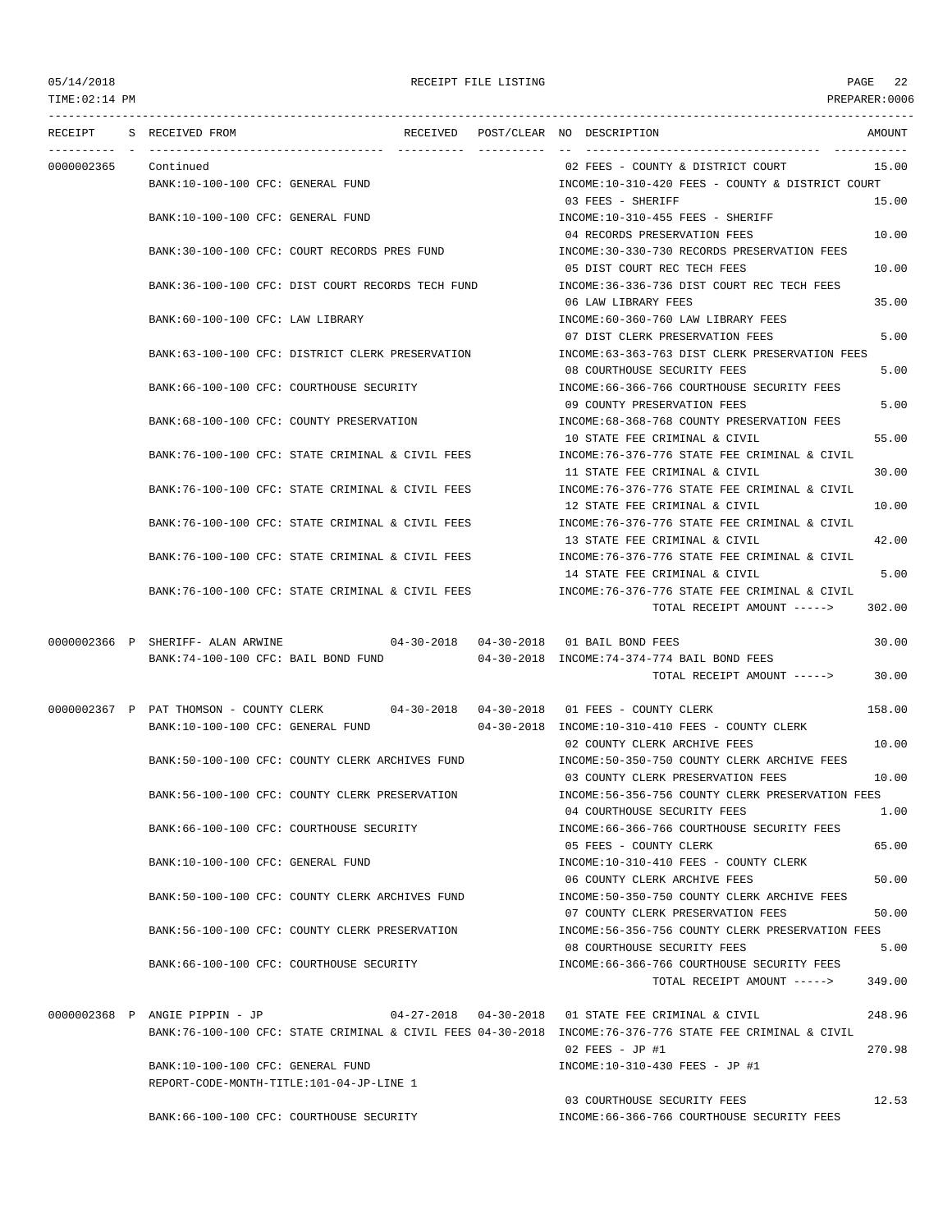TIME:02:14 PM PREPARER:0006

|            | RECEIPT S RECEIVED FROM                        |                                                                                      | RECEIVED POST/CLEAR NO DESCRIPTION                                                                       | AMOUNT |
|------------|------------------------------------------------|--------------------------------------------------------------------------------------|----------------------------------------------------------------------------------------------------------|--------|
|            |                                                |                                                                                      |                                                                                                          |        |
| 0000002365 | Continued<br>BANK:10-100-100 CFC: GENERAL FUND |                                                                                      | 02 FEES - COUNTY & DISTRICT COURT<br>INCOME:10-310-420 FEES - COUNTY & DISTRICT COURT                    | 15.00  |
|            |                                                |                                                                                      | 03 FEES - SHERIFF                                                                                        | 15.00  |
|            | BANK:10-100-100 CFC: GENERAL FUND              |                                                                                      | INCOME:10-310-455 FEES - SHERIFF                                                                         |        |
|            |                                                |                                                                                      | 04 RECORDS PRESERVATION FEES                                                                             | 10.00  |
|            |                                                | BANK:30-100-100 CFC: COURT RECORDS PRES FUND                                         | INCOME: 30-330-730 RECORDS PRESERVATION FEES<br>05 DIST COURT REC TECH FEES                              | 10.00  |
|            |                                                | BANK:36-100-100 CFC: DIST COURT RECORDS TECH FUND                                    | INCOME: 36-336-736 DIST COURT REC TECH FEES                                                              |        |
|            |                                                |                                                                                      | 06 LAW LIBRARY FEES                                                                                      | 35.00  |
|            | BANK:60-100-100 CFC: LAW LIBRARY               |                                                                                      | INCOME:60-360-760 LAW LIBRARY FEES                                                                       |        |
|            |                                                | BANK:63-100-100 CFC: DISTRICT CLERK PRESERVATION                                     | 07 DIST CLERK PRESERVATION FEES<br>INCOME: 63-363-763 DIST CLERK PRESERVATION FEES                       | 5.00   |
|            |                                                |                                                                                      | 08 COURTHOUSE SECURITY FEES                                                                              | 5.00   |
|            | BANK:66-100-100 CFC: COURTHOUSE SECURITY       |                                                                                      | INCOME:66-366-766 COURTHOUSE SECURITY FEES                                                               |        |
|            |                                                |                                                                                      | 09 COUNTY PRESERVATION FEES                                                                              | 5.00   |
|            | BANK: 68-100-100 CFC: COUNTY PRESERVATION      |                                                                                      | INCOME: 68-368-768 COUNTY PRESERVATION FEES                                                              |        |
|            |                                                | BANK:76-100-100 CFC: STATE CRIMINAL & CIVIL FEES                                     | 10 STATE FEE CRIMINAL & CIVIL<br>INCOME: 76-376-776 STATE FEE CRIMINAL & CIVIL                           | 55.00  |
|            |                                                |                                                                                      | 11 STATE FEE CRIMINAL & CIVIL                                                                            | 30.00  |
|            |                                                | BANK:76-100-100 CFC: STATE CRIMINAL & CIVIL FEES                                     | INCOME: 76-376-776 STATE FEE CRIMINAL & CIVIL                                                            |        |
|            |                                                |                                                                                      | 12 STATE FEE CRIMINAL & CIVIL                                                                            | 10.00  |
|            |                                                | BANK:76-100-100 CFC: STATE CRIMINAL & CIVIL FEES                                     | INCOME: 76-376-776 STATE FEE CRIMINAL & CIVIL<br>13 STATE FEE CRIMINAL & CIVIL                           | 42.00  |
|            |                                                | BANK:76-100-100 CFC: STATE CRIMINAL & CIVIL FEES                                     | INCOME: 76-376-776 STATE FEE CRIMINAL & CIVIL                                                            |        |
|            |                                                |                                                                                      | 14 STATE FEE CRIMINAL & CIVIL                                                                            | 5.00   |
|            |                                                | BANK:76-100-100 CFC: STATE CRIMINAL & CIVIL FEES                                     | INCOME:76-376-776 STATE FEE CRIMINAL & CIVIL                                                             |        |
|            |                                                |                                                                                      | TOTAL RECEIPT AMOUNT ----->                                                                              | 302.00 |
|            | 0000002366 P SHERIFF- ALAN ARWINE              | 04-30-2018  04-30-2018  01 BAIL BOND FEES                                            |                                                                                                          | 30.00  |
|            |                                                |                                                                                      | BANK:74-100-100 CFC: BAIL BOND FUND 04-30-2018 INCOME:74-374-774 BAIL BOND FEES                          |        |
|            |                                                |                                                                                      | TOTAL RECEIPT AMOUNT ----->                                                                              | 30.00  |
|            |                                                | 0000002367 P PAT THOMSON - COUNTY CLERK 04-30-2018 04-30-2018 01 FEES - COUNTY CLERK |                                                                                                          | 158.00 |
|            | BANK:10-100-100 CFC: GENERAL FUND              |                                                                                      | 04-30-2018 INCOME:10-310-410 FEES - COUNTY CLERK                                                         |        |
|            |                                                |                                                                                      | 02 COUNTY CLERK ARCHIVE FEES                                                                             | 10.00  |
|            |                                                | BANK:50-100-100 CFC: COUNTY CLERK ARCHIVES FUND                                      | INCOME:50-350-750 COUNTY CLERK ARCHIVE FEES                                                              |        |
|            |                                                | BANK:56-100-100 CFC: COUNTY CLERK PRESERVATION                                       | 03 COUNTY CLERK PRESERVATION FEES<br>INCOME:56-356-756 COUNTY CLERK PRESERVATION FEES                    | 10.00  |
|            |                                                |                                                                                      | 04 COURTHOUSE SECURITY FEES                                                                              | 1.00   |
|            | BANK:66-100-100 CFC: COURTHOUSE SECURITY       |                                                                                      | INCOME:66-366-766 COURTHOUSE SECURITY FEES                                                               |        |
|            |                                                |                                                                                      | 05 FEES - COUNTY CLERK                                                                                   | 65.00  |
|            | BANK:10-100-100 CFC: GENERAL FUND              |                                                                                      | INCOME:10-310-410 FEES - COUNTY CLERK                                                                    |        |
|            |                                                | BANK:50-100-100 CFC: COUNTY CLERK ARCHIVES FUND                                      | 06 COUNTY CLERK ARCHIVE FEES<br>INCOME:50-350-750 COUNTY CLERK ARCHIVE FEES                              | 50.00  |
|            |                                                |                                                                                      | 07 COUNTY CLERK PRESERVATION FEES                                                                        | 50.00  |
|            |                                                | BANK:56-100-100 CFC: COUNTY CLERK PRESERVATION                                       | INCOME: 56-356-756 COUNTY CLERK PRESERVATION FEES                                                        |        |
|            |                                                |                                                                                      | 08 COURTHOUSE SECURITY FEES                                                                              | 5.00   |
|            | BANK:66-100-100 CFC: COURTHOUSE SECURITY       |                                                                                      | INCOME:66-366-766 COURTHOUSE SECURITY FEES<br>TOTAL RECEIPT AMOUNT ----->                                | 349.00 |
|            |                                                |                                                                                      |                                                                                                          |        |
|            | 0000002368 P ANGIE PIPPIN - JP                 |                                                                                      | 04-27-2018  04-30-2018  01 STATE FEE CRIMINAL & CIVIL                                                    | 248.96 |
|            |                                                |                                                                                      | BANK:76-100-100 CFC: STATE CRIMINAL & CIVIL FEES 04-30-2018 INCOME:76-376-776 STATE FEE CRIMINAL & CIVIL |        |
|            | BANK:10-100-100 CFC: GENERAL FUND              |                                                                                      | $02$ FEES - JP #1<br>INCOME:10-310-430 FEES - JP #1                                                      | 270.98 |
|            | REPORT-CODE-MONTH-TITLE:101-04-JP-LINE 1       |                                                                                      |                                                                                                          |        |
|            |                                                |                                                                                      | 03 COURTHOUSE SECURITY FEES                                                                              | 12.53  |

BANK:66-100-100 CFC: COURTHOUSE SECURITY INCOME:66-366-766 COURTHOUSE SECURITY FEES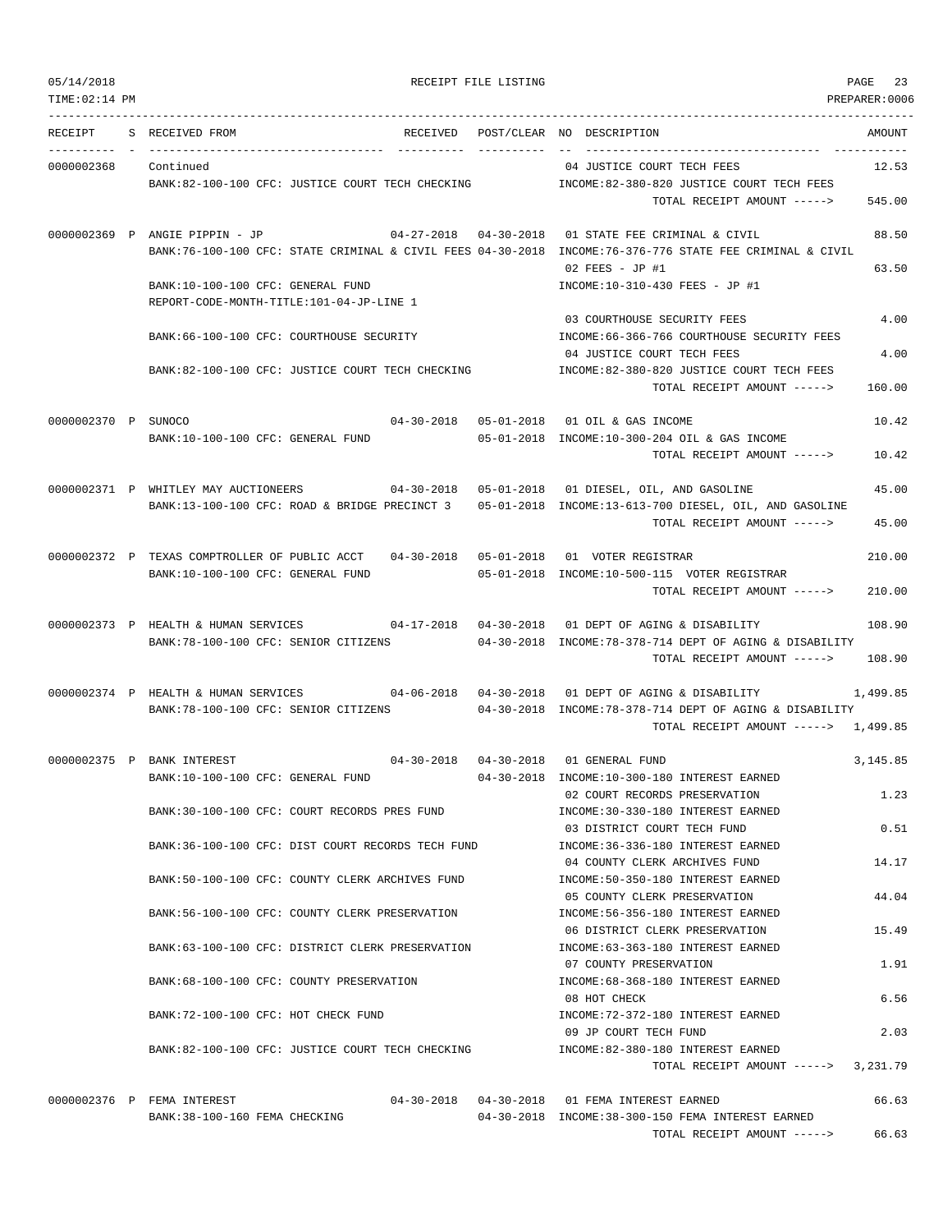TIME:02:14 PM PREPARER:0006 --------------------------------------------------------------------------------------------------------------------------------- RECEIPT S RECEIVED FROM THE RECEIVED POST/CLEAR NO DESCRIPTION THE SECRET AMOUNT ---------- - ----------------------------------- ---------- ---------- -- ----------------------------------- ----------- 0000002368 Continued 04 JUSTICE COURT TECH FEES 12.53 BANK:82-100-100 CFC: JUSTICE COURT TECH CHECKING INCOME:82-380-820 JUSTICE COURT TECH FEES TOTAL RECEIPT AMOUNT -----> 545.00 0000002369 P ANGIE PIPPIN - JP 04-27-2018 04-30-2018 01 STATE FEE CRIMINAL & CIVIL 88.50 BANK:76-100-100 CFC: STATE CRIMINAL & CIVIL FEES 04-30-2018 INCOME:76-376-776 STATE FEE CRIMINAL & CIVIL  $0.2$  FEES - JP #1 63.50 BANK:10-100-100 CFC: GENERAL FUND INCOME:10-310-430 FEES - JP #1 REPORT-CODE-MONTH-TITLE:101-04-JP-LINE 1 03 COURTHOUSE SECURITY FEES 4.00 BANK:66-100-100 CFC: COURTHOUSE SECURITY **INCOME:66-366-766 COURTHOUSE SECURITY FEES** 04 JUSTICE COURT TECH FEES 4.00 BANK:82-100-100 CFC: JUSTICE COURT TECH CHECKING INCOME:82-380-820 JUSTICE COURT TECH FEES TOTAL RECEIPT AMOUNT -----> 160.00 0000002370 P SUNOCO 04-30-2018 05-01-2018 01 OIL & GAS INCOME 10.42 BANK:10-100-100 CFC: GENERAL FUND 05-01-2018 INCOME:10-300-204 OIL & GAS INCOME TOTAL RECEIPT AMOUNT -----> 10.42 0000002371 P WHITLEY MAY AUCTIONEERS 04-30-2018 05-01-2018 01 DIESEL, OIL, AND GASOLINE 45.00 BANK:13-100-100 CFC: ROAD & BRIDGE PRECINCT 3 05-01-2018 INCOME:13-613-700 DIESEL, OIL, AND GASOLINE TOTAL RECEIPT AMOUNT -----> 45.00 0000002372 P TEXAS COMPTROLLER OF PUBLIC ACCT 04-30-2018 05-01-2018 01 VOTER REGISTRAR 210.00 BANK:10-100-100 CFC: GENERAL FUND 05-01-2018 INCOME:10-500-115 VOTER REGISTRAR TOTAL RECEIPT AMOUNT -----> 210.00 0000002373 P HEALTH & HUMAN SERVICES 04-17-2018 04-30-2018 01 DEPT OF AGING & DISABILITY 108.90 BANK:78-100-100 CFC: SENIOR CITIZENS 04-30-2018 INCOME:78-378-714 DEPT OF AGING & DISABILITY TOTAL RECEIPT AMOUNT -----> 108.90 0000002374 P HEALTH & HUMAN SERVICES 04-06-2018 04-30-2018 01 DEPT OF AGING & DISABILITY 1,499.85 BANK:78-100-100 CFC: SENIOR CITIZENS 04-30-2018 INCOME:78-378-714 DEPT OF AGING & DISABILITY TOTAL RECEIPT AMOUNT -----> 1,499.85 0000002375 P BANK INTEREST 04-30-2018 04-30-2018 01 GENERAL FUND 3,145.85 BANK:10-100-100 CFC: GENERAL FUND 04-30-2018 INCOME:10-300-180 INTEREST EARNED 02 COURT RECORDS PRESERVATION 1.23 BANK:30-100-100 CFC: COURT RECORDS PRES FUND INCOME:30-330-180 INTEREST EARNED 03 DISTRICT COURT TECH FUND 0.51 BANK:36-100-100 CFC: DIST COURT RECORDS TECH FUND INCOME:36-336-180 INTEREST EARNED 04 COUNTY CLERK ARCHIVES FUND 14.17 BANK:50-100-100 CFC: COUNTY CLERK ARCHIVES FUND INCOME:50-350-180 INTEREST EARNED 05 COUNTY CLERK PRESERVATION 44.04 BANK:56-100-100 CFC: COUNTY CLERK PRESERVATION INCOME:56-356-180 INTEREST EARNED 06 DISTRICT CLERK PRESERVATION 15.49 BANK:63-100-100 CFC: DISTRICT CLERK PRESERVATION INCOME:63-363-180 INTEREST EARNED 07 COUNTY PRESERVATION 1.91 BANK:68-100-100 CFC: COUNTY PRESERVATION INCOME:68-368-180 INTEREST EARNED 08 HOT CHECK 6.56 BANK:72-100-100 CFC: HOT CHECK FUND INCOME:72-372-180 INTEREST EARNED 09 JP COURT TECH FUND 2.03 BANK:82-100-100 CFC: JUSTICE COURT TECH CHECKING INCOME:82-380-180 INTEREST EARNED TOTAL RECEIPT AMOUNT -----> 3,231.79 0000002376 P FEMA INTEREST 04-30-2018 04-30-2018 01 FEMA INTEREST EARNED 66.63

BANK:38-100-160 FEMA CHECKING 04-30-2018 INCOME:38-300-150 FEMA INTEREST EARNED

TOTAL RECEIPT AMOUNT -----> 66.63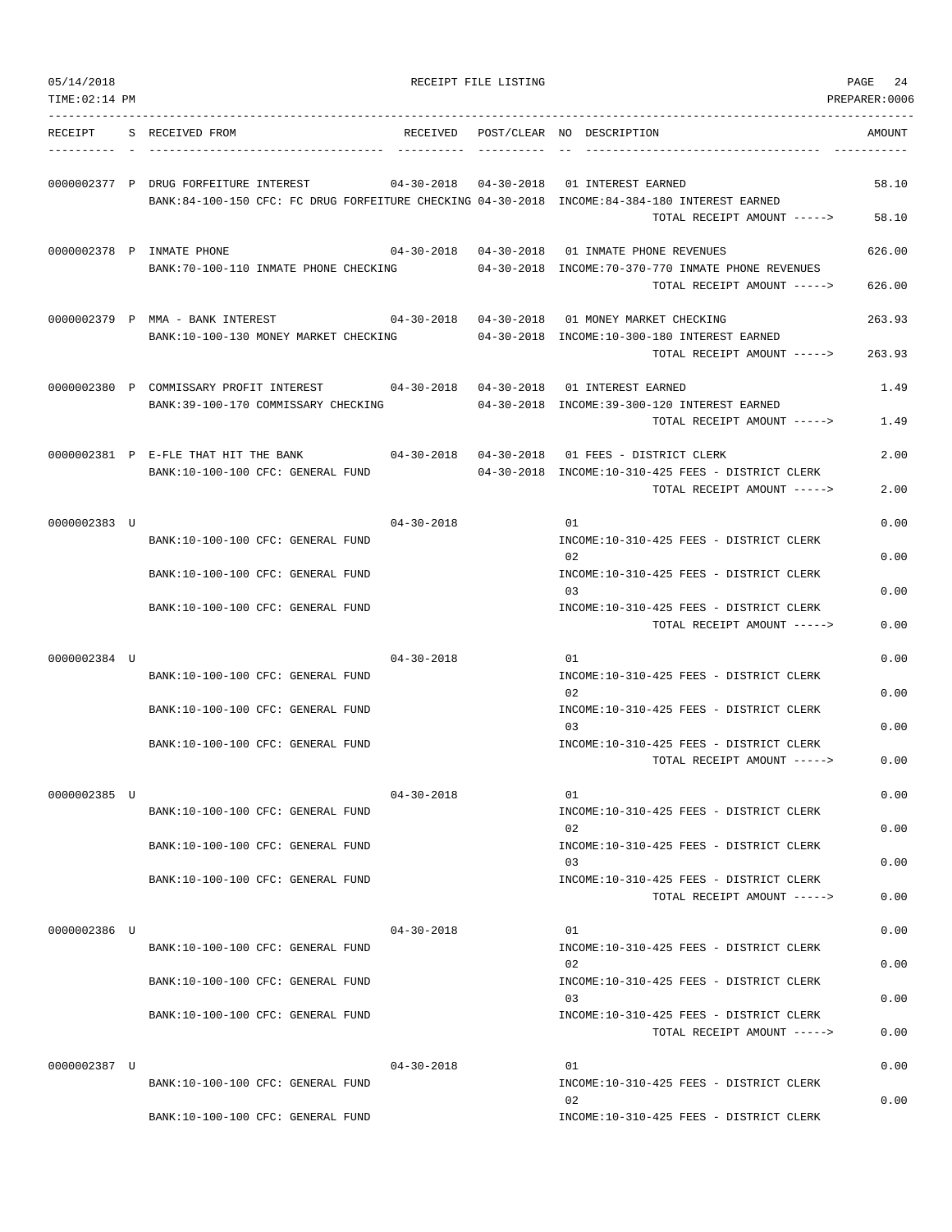| 05/14/2018<br>TIME: 02:14 PM |                                                                                                                                        |                  | RECEIPT FILE LISTING |                                                                                                                                       | PAGE<br>24<br>PREPARER:0006 |
|------------------------------|----------------------------------------------------------------------------------------------------------------------------------------|------------------|----------------------|---------------------------------------------------------------------------------------------------------------------------------------|-----------------------------|
| RECEIPT                      | S RECEIVED FROM<br>------------------------------------                                                                                | RECEIVED         |                      | POST/CLEAR NO DESCRIPTION<br>------------------------------------                                                                     | AMOUNT                      |
|                              | 0000002377 P DRUG FORFEITURE INTEREST<br>BANK:84-100-150 CFC: FC DRUG FORFEITURE CHECKING 04-30-2018 INCOME:84-384-180 INTEREST EARNED |                  |                      | 04-30-2018  04-30-2018  01 INTEREST EARNED<br>TOTAL RECEIPT AMOUNT ----->                                                             | 58.10<br>58.10              |
|                              | 0000002378 P INMATE PHONE<br>BANK: 70-100-110 INMATE PHONE CHECKING                                                                    |                  |                      | 04-30-2018  04-30-2018  01 INMATE PHONE REVENUES<br>04-30-2018 INCOME:70-370-770 INMATE PHONE REVENUES<br>TOTAL RECEIPT AMOUNT -----> | 626.00<br>626.00            |
|                              | 0000002379 P MMA - BANK INTEREST<br>BANK:10-100-130 MONEY MARKET CHECKING                                                              |                  |                      | 04-30-2018  04-30-2018  01 MONEY MARKET CHECKING<br>04-30-2018 INCOME:10-300-180 INTEREST EARNED<br>TOTAL RECEIPT AMOUNT ----->       | 263.93<br>263.93            |
|                              | 0000002380 P COMMISSARY PROFIT INTEREST<br>BANK: 39-100-170 COMMISSARY CHECKING                                                        |                  |                      | 04-30-2018  04-30-2018  01 INTEREST EARNED<br>04-30-2018 INCOME:39-300-120 INTEREST EARNED<br>TOTAL RECEIPT AMOUNT ----->             | 1.49<br>1.49                |
|                              | 0000002381 P E-FLE THAT HIT THE BANK<br>BANK:10-100-100 CFC: GENERAL FUND                                                              |                  |                      | 04-30-2018  04-30-2018  01 FEES - DISTRICT CLERK<br>04-30-2018 INCOME:10-310-425 FEES - DISTRICT CLERK<br>TOTAL RECEIPT AMOUNT -----> | 2.00<br>2.00                |
| 0000002383 U                 | BANK:10-100-100 CFC: GENERAL FUND                                                                                                      | $04 - 30 - 2018$ |                      | 01<br>INCOME:10-310-425 FEES - DISTRICT CLERK                                                                                         | 0.00                        |
|                              | BANK:10-100-100 CFC: GENERAL FUND                                                                                                      |                  |                      | 02<br>INCOME:10-310-425 FEES - DISTRICT CLERK<br>03                                                                                   | 0.00<br>0.00                |
|                              | BANK:10-100-100 CFC: GENERAL FUND                                                                                                      |                  |                      | INCOME:10-310-425 FEES - DISTRICT CLERK<br>TOTAL RECEIPT AMOUNT ----->                                                                | 0.00                        |
| 0000002384 U                 | BANK:10-100-100 CFC: GENERAL FUND                                                                                                      | $04 - 30 - 2018$ |                      | 01<br>INCOME:10-310-425 FEES - DISTRICT CLERK                                                                                         | 0.00                        |
|                              | BANK:10-100-100 CFC: GENERAL FUND                                                                                                      |                  |                      | 02<br>INCOME:10-310-425 FEES - DISTRICT CLERK<br>03                                                                                   | 0.00<br>0.00                |
|                              | BANK:10-100-100 CFC: GENERAL FUND                                                                                                      |                  |                      | INCOME:10-310-425 FEES - DISTRICT CLERK<br>TOTAL RECEIPT AMOUNT ----->                                                                | 0.00                        |
| 0000002385 U                 | BANK:10-100-100 CFC: GENERAL FUND                                                                                                      | $04 - 30 - 2018$ |                      | 01<br>INCOME:10-310-425 FEES - DISTRICT CLERK<br>02                                                                                   | 0.00<br>0.00                |
|                              | BANK:10-100-100 CFC: GENERAL FUND<br>BANK:10-100-100 CFC: GENERAL FUND                                                                 |                  |                      | INCOME:10-310-425 FEES - DISTRICT CLERK<br>0.3<br>INCOME:10-310-425 FEES - DISTRICT CLERK                                             | 0.00                        |
|                              |                                                                                                                                        |                  |                      | TOTAL RECEIPT AMOUNT ----->                                                                                                           | 0.00                        |
| 0000002386 U                 | BANK:10-100-100 CFC: GENERAL FUND                                                                                                      | $04 - 30 - 2018$ |                      | 01<br>INCOME:10-310-425 FEES - DISTRICT CLERK<br>02                                                                                   | 0.00<br>0.00                |
|                              | BANK:10-100-100 CFC: GENERAL FUND<br>BANK:10-100-100 CFC: GENERAL FUND                                                                 |                  |                      | INCOME:10-310-425 FEES - DISTRICT CLERK<br>03<br>INCOME:10-310-425 FEES - DISTRICT CLERK                                              | 0.00                        |
| 0000002387 U                 |                                                                                                                                        | $04 - 30 - 2018$ |                      | TOTAL RECEIPT AMOUNT -----><br>01                                                                                                     | 0.00<br>0.00                |
|                              | BANK:10-100-100 CFC: GENERAL FUND                                                                                                      |                  |                      | INCOME:10-310-425 FEES - DISTRICT CLERK<br>02                                                                                         | 0.00                        |
|                              | BANK:10-100-100 CFC: GENERAL FUND                                                                                                      |                  |                      | INCOME:10-310-425 FEES - DISTRICT CLERK                                                                                               |                             |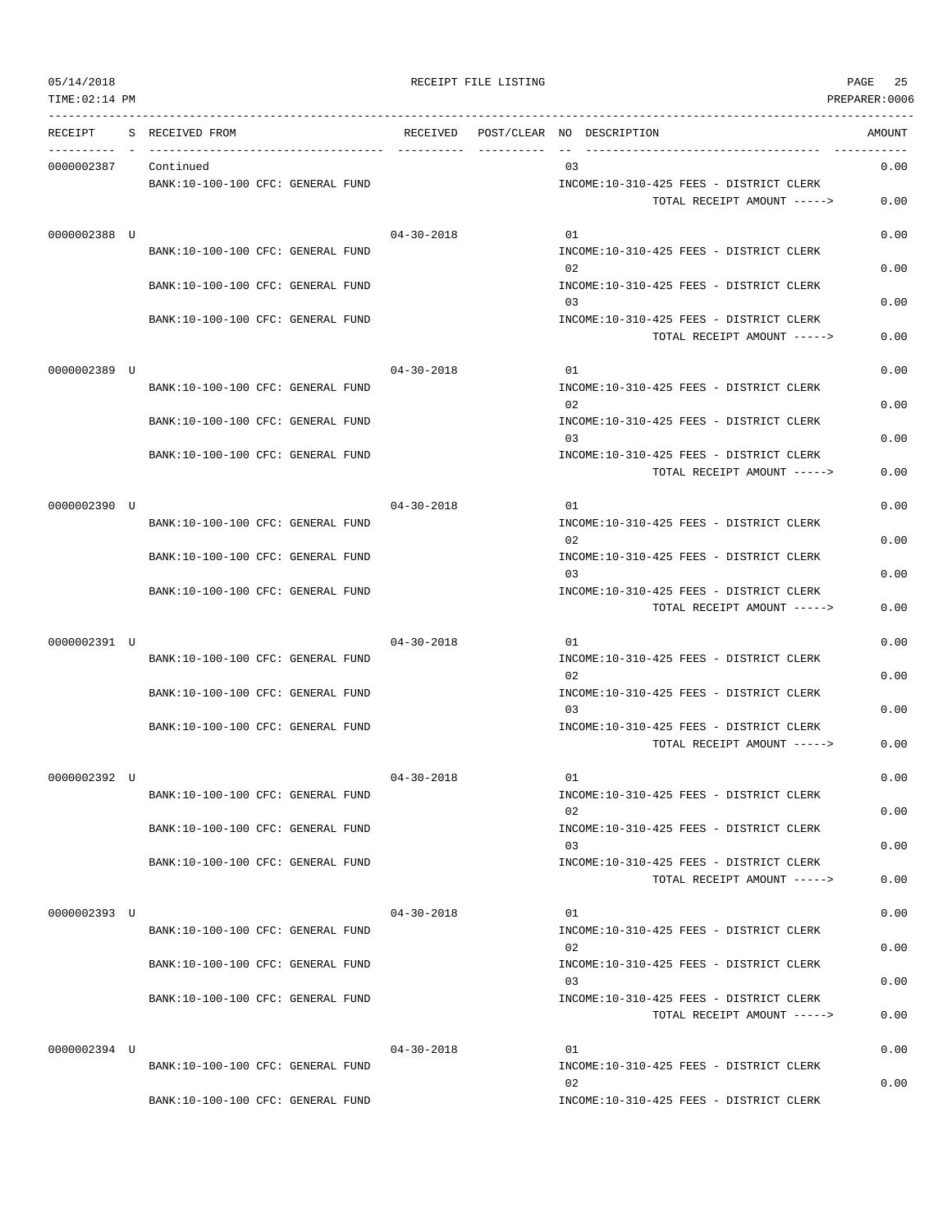| RECEIPT      | S RECEIVED FROM                   |                  | RECEIVED POST/CLEAR NO DESCRIPTION                                     | AMOUNT |
|--------------|-----------------------------------|------------------|------------------------------------------------------------------------|--------|
| 0000002387   | Continued                         |                  | 03                                                                     | 0.00   |
|              | BANK:10-100-100 CFC: GENERAL FUND |                  | INCOME:10-310-425 FEES - DISTRICT CLERK<br>TOTAL RECEIPT AMOUNT -----> | 0.00   |
| 0000002388 U |                                   | 04-30-2018       | 01                                                                     | 0.00   |
|              | BANK:10-100-100 CFC: GENERAL FUND |                  | INCOME:10-310-425 FEES - DISTRICT CLERK<br>02                          | 0.00   |
|              | BANK:10-100-100 CFC: GENERAL FUND |                  | INCOME:10-310-425 FEES - DISTRICT CLERK<br>03                          | 0.00   |
|              | BANK:10-100-100 CFC: GENERAL FUND |                  | INCOME:10-310-425 FEES - DISTRICT CLERK                                |        |
|              |                                   |                  | TOTAL RECEIPT AMOUNT ----->                                            | 0.00   |
| 0000002389 U |                                   | $04 - 30 - 2018$ | 01                                                                     | 0.00   |
|              | BANK:10-100-100 CFC: GENERAL FUND |                  | INCOME:10-310-425 FEES - DISTRICT CLERK<br>02                          | 0.00   |
|              | BANK:10-100-100 CFC: GENERAL FUND |                  | INCOME:10-310-425 FEES - DISTRICT CLERK<br>03                          | 0.00   |
|              | BANK:10-100-100 CFC: GENERAL FUND |                  | INCOME:10-310-425 FEES - DISTRICT CLERK                                |        |
|              |                                   |                  | TOTAL RECEIPT AMOUNT ----->                                            | 0.00   |
| 0000002390 U |                                   | $04 - 30 - 2018$ | 01                                                                     | 0.00   |
|              | BANK:10-100-100 CFC: GENERAL FUND |                  | INCOME:10-310-425 FEES - DISTRICT CLERK<br>02                          | 0.00   |
|              | BANK:10-100-100 CFC: GENERAL FUND |                  | INCOME:10-310-425 FEES - DISTRICT CLERK<br>03                          | 0.00   |
|              | BANK:10-100-100 CFC: GENERAL FUND |                  | INCOME:10-310-425 FEES - DISTRICT CLERK                                |        |
|              |                                   |                  | TOTAL RECEIPT AMOUNT ----->                                            | 0.00   |
| 0000002391 U | BANK:10-100-100 CFC: GENERAL FUND | $04 - 30 - 2018$ | 01<br>INCOME:10-310-425 FEES - DISTRICT CLERK                          | 0.00   |
|              |                                   |                  | 02                                                                     | 0.00   |
|              | BANK:10-100-100 CFC: GENERAL FUND |                  | INCOME:10-310-425 FEES - DISTRICT CLERK<br>03                          | 0.00   |
|              | BANK:10-100-100 CFC: GENERAL FUND |                  | INCOME:10-310-425 FEES - DISTRICT CLERK                                |        |
|              |                                   |                  | TOTAL RECEIPT AMOUNT ----->                                            | 0.00   |
| 0000002392 U | BANK:10-100-100 CFC: GENERAL FUND | $04 - 30 - 2018$ | 01<br>INCOME:10-310-425 FEES - DISTRICT CLERK                          | 0.00   |
|              |                                   |                  |                                                                        | 0.00   |
|              | BANK:10-100-100 CFC: GENERAL FUND |                  | INCOME:10-310-425 FEES - DISTRICT CLERK<br>03                          | 0.00   |
|              | BANK:10-100-100 CFC: GENERAL FUND |                  | INCOME:10-310-425 FEES - DISTRICT CLERK<br>TOTAL RECEIPT AMOUNT -----> | 0.00   |
|              |                                   |                  |                                                                        |        |
| 0000002393 U | BANK:10-100-100 CFC: GENERAL FUND | $04 - 30 - 2018$ | 01<br>INCOME:10-310-425 FEES - DISTRICT CLERK                          | 0.00   |
|              |                                   |                  | 02                                                                     | 0.00   |
|              | BANK:10-100-100 CFC: GENERAL FUND |                  | INCOME:10-310-425 FEES - DISTRICT CLERK<br>03                          | 0.00   |
|              | BANK:10-100-100 CFC: GENERAL FUND |                  | INCOME:10-310-425 FEES - DISTRICT CLERK<br>TOTAL RECEIPT AMOUNT -----> | 0.00   |
|              |                                   |                  |                                                                        |        |
| 0000002394 U | BANK:10-100-100 CFC: GENERAL FUND | $04 - 30 - 2018$ | 01<br>INCOME:10-310-425 FEES - DISTRICT CLERK                          | 0.00   |
|              |                                   |                  | 02                                                                     | 0.00   |
|              | BANK:10-100-100 CFC: GENERAL FUND |                  | INCOME:10-310-425 FEES - DISTRICT CLERK                                |        |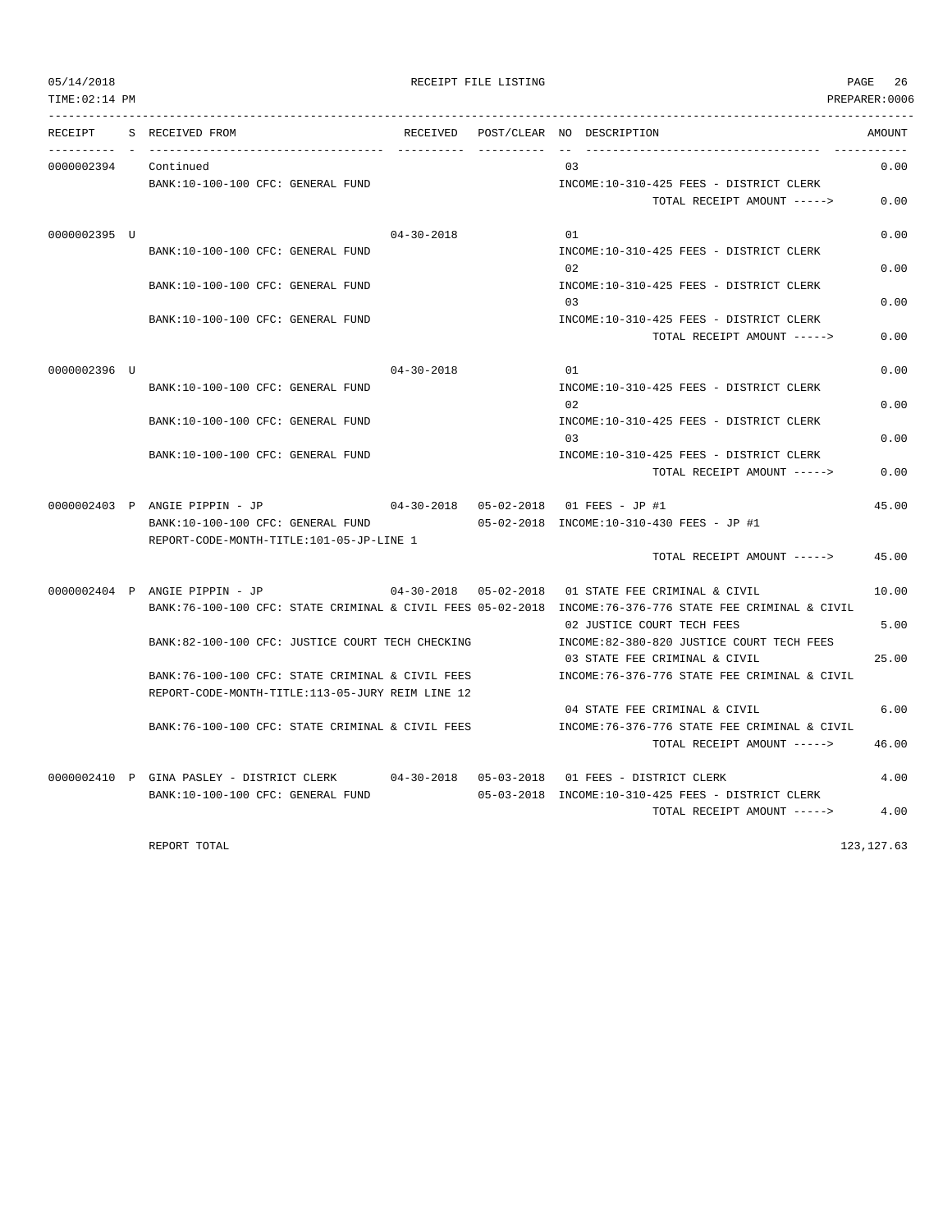| TIME: 02:14 PM |                                                  |                                         |                           |     |                                                                                                          | PREPARER:0006 |
|----------------|--------------------------------------------------|-----------------------------------------|---------------------------|-----|----------------------------------------------------------------------------------------------------------|---------------|
| RECEIPT        | S RECEIVED FROM<br>_____________                 | RECEIVED                                | POST/CLEAR NO DESCRIPTION |     |                                                                                                          | AMOUNT        |
| 0000002394     | Continued                                        |                                         |                           | 03  |                                                                                                          | 0.00          |
|                | BANK:10-100-100 CFC: GENERAL FUND                |                                         |                           |     | INCOME:10-310-425 FEES - DISTRICT CLERK                                                                  |               |
|                |                                                  |                                         |                           |     | TOTAL RECEIPT AMOUNT ----->                                                                              | 0.00          |
| 0000002395 U   |                                                  | $04 - 30 - 2018$                        |                           | 01  |                                                                                                          | 0.00          |
|                | BANK:10-100-100 CFC: GENERAL FUND                |                                         |                           |     | INCOME:10-310-425 FEES - DISTRICT CLERK                                                                  |               |
|                |                                                  |                                         |                           | 0.2 |                                                                                                          | 0.00          |
|                | BANK:10-100-100 CFC: GENERAL FUND                |                                         |                           |     | INCOME:10-310-425 FEES - DISTRICT CLERK                                                                  |               |
|                |                                                  |                                         |                           | 03  |                                                                                                          | 0.00          |
|                | BANK:10-100-100 CFC: GENERAL FUND                |                                         |                           |     | INCOME:10-310-425 FEES - DISTRICT CLERK                                                                  |               |
|                |                                                  |                                         |                           |     | TOTAL RECEIPT AMOUNT ----->                                                                              | 0.00          |
| 0000002396 U   |                                                  | $04 - 30 - 2018$                        |                           | 01  |                                                                                                          | 0.00          |
|                | BANK: 10-100-100 CFC: GENERAL FUND               |                                         |                           |     | INCOME:10-310-425 FEES - DISTRICT CLERK                                                                  |               |
|                |                                                  |                                         |                           | 02  |                                                                                                          | 0.00          |
|                | BANK:10-100-100 CFC: GENERAL FUND                |                                         |                           |     | INCOME:10-310-425 FEES - DISTRICT CLERK                                                                  |               |
|                |                                                  |                                         |                           | 0.3 |                                                                                                          | 0.00          |
|                | BANK:10-100-100 CFC: GENERAL FUND                |                                         |                           |     | INCOME:10-310-425 FEES - DISTRICT CLERK                                                                  |               |
|                |                                                  |                                         |                           |     | TOTAL RECEIPT AMOUNT ----->                                                                              | 0.00          |
|                | 0000002403 P ANGIE PIPPIN - JP                   | 04-30-2018  05-02-2018  01 FEES - JP #1 |                           |     |                                                                                                          | 45.00         |
|                | BANK:10-100-100 CFC: GENERAL FUND                |                                         |                           |     | 05-02-2018 INCOME:10-310-430 FEES - JP #1                                                                |               |
|                | REPORT-CODE-MONTH-TITLE:101-05-JP-LINE 1         |                                         |                           |     |                                                                                                          |               |
|                |                                                  |                                         |                           |     | TOTAL RECEIPT AMOUNT ----->                                                                              | 45.00         |
|                | $0000002404$ P ANGIE PIPPIN - JP                 | $04 - 30 - 2018$ $05 - 02 - 2018$       |                           |     | 01 STATE FEE CRIMINAL & CIVIL                                                                            | 10.00         |
|                |                                                  |                                         |                           |     | BANK:76-100-100 CFC: STATE CRIMINAL & CIVIL FEES 05-02-2018 INCOME:76-376-776 STATE FEE CRIMINAL & CIVIL |               |
|                |                                                  |                                         |                           |     | 02 JUSTICE COURT TECH FEES                                                                               | 5.00          |
|                | BANK:82-100-100 CFC: JUSTICE COURT TECH CHECKING |                                         |                           |     | INCOME:82-380-820 JUSTICE COURT TECH FEES                                                                |               |
|                |                                                  |                                         |                           |     | 03 STATE FEE CRIMINAL & CIVIL                                                                            | 25.00         |
|                | BANK:76-100-100 CFC: STATE CRIMINAL & CIVIL FEES |                                         |                           |     | INCOME: 76-376-776 STATE FEE CRIMINAL & CIVIL                                                            |               |
|                | REPORT-CODE-MONTH-TITLE:113-05-JURY REIM LINE 12 |                                         |                           |     |                                                                                                          |               |
|                |                                                  |                                         |                           |     | 04 STATE FEE CRIMINAL & CIVIL                                                                            | 6.00          |
|                | BANK:76-100-100 CFC: STATE CRIMINAL & CIVIL FEES |                                         |                           |     | INCOME: 76-376-776 STATE FEE CRIMINAL & CIVIL                                                            |               |
|                |                                                  |                                         |                           |     | TOTAL RECEIPT AMOUNT ----->                                                                              | 46.00         |
|                | 0000002410 P GINA PASLEY - DISTRICT CLERK        |                                         |                           |     | 04-30-2018  05-03-2018  01  FEES - DISTRICT CLERK                                                        | 4.00          |
|                | BANK:10-100-100 CFC: GENERAL FUND                |                                         |                           |     | 05-03-2018 INCOME:10-310-425 FEES - DISTRICT CLERK                                                       |               |
|                |                                                  |                                         |                           |     | TOTAL RECEIPT AMOUNT ----->                                                                              | 4.00          |

REPORT TOTAL 123,127.63